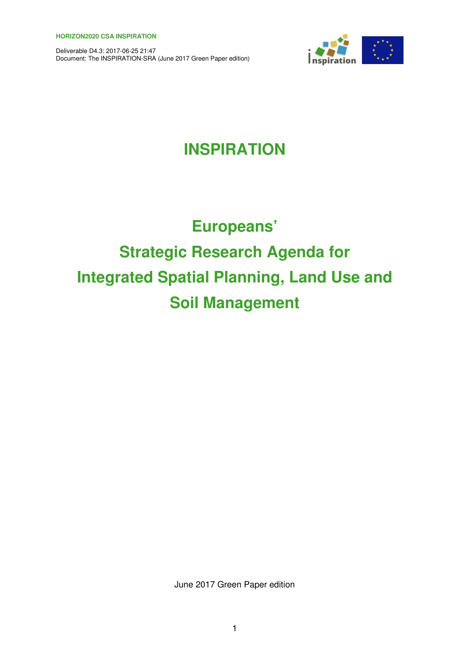

# **INSPIRATION**

# **Europeans' Strategic Research Agenda for Integrated Spatial Planning, Land Use and Soil Management**

June 2017 Green Paper edition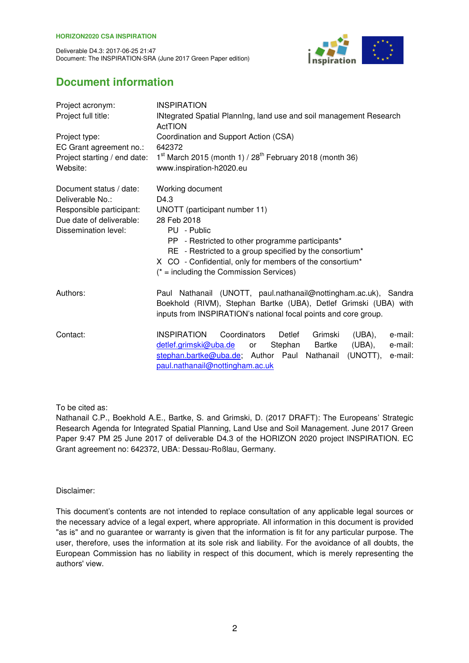

# **Document information**

| Project acronym:                            | <b>INSPIRATION</b>                                                                                                                  |  |  |  |  |  |  |  |  |  |
|---------------------------------------------|-------------------------------------------------------------------------------------------------------------------------------------|--|--|--|--|--|--|--|--|--|
| Project full title:                         | INtegrated Spatial Planning, land use and soil management Research<br>ActTION                                                       |  |  |  |  |  |  |  |  |  |
| Project type:<br>EC Grant agreement no.:    | Coordination and Support Action (CSA)<br>642372                                                                                     |  |  |  |  |  |  |  |  |  |
| Project starting / end date:<br>Website:    | $1st$ March 2015 (month 1) / 28 <sup>th</sup> February 2018 (month 36)<br>www.inspiration-h2020.eu                                  |  |  |  |  |  |  |  |  |  |
| Document status / date:<br>Deliverable No.: | Working document<br>D4.3                                                                                                            |  |  |  |  |  |  |  |  |  |
| Responsible participant:                    | UNOTT (participant number 11)                                                                                                       |  |  |  |  |  |  |  |  |  |
| Due date of deliverable:                    | 28 Feb 2018                                                                                                                         |  |  |  |  |  |  |  |  |  |
| Dissemination level:                        | PU - Public                                                                                                                         |  |  |  |  |  |  |  |  |  |
|                                             | PP - Restricted to other programme participants*                                                                                    |  |  |  |  |  |  |  |  |  |
|                                             | RE - Restricted to a group specified by the consortium*                                                                             |  |  |  |  |  |  |  |  |  |
|                                             | X CO - Confidential, only for members of the consortium*                                                                            |  |  |  |  |  |  |  |  |  |
|                                             | $(* = including the Commission Services)$                                                                                           |  |  |  |  |  |  |  |  |  |
| Authors:                                    | Paul Nathanail (UNOTT, paul.nathanail@nottingham.ac.uk), Sandra                                                                     |  |  |  |  |  |  |  |  |  |
|                                             | Boekhold (RIVM), Stephan Bartke (UBA), Detlef Grimski (UBA) with<br>inputs from INSPIRATION's national focal points and core group. |  |  |  |  |  |  |  |  |  |
| Contact:                                    | <b>INSPIRATION</b><br>Coordinators<br>Detlef<br>Grimski<br>(UBA),<br>e-mail:                                                        |  |  |  |  |  |  |  |  |  |
|                                             | (UBA),<br>detlef.grimski@uba.de<br>Stephan<br>Bartke<br>e-mail:<br>or                                                               |  |  |  |  |  |  |  |  |  |
|                                             | stephan.bartke@uba.de; Author Paul<br>(UNOTT),<br>Nathanail<br>e-mail:                                                              |  |  |  |  |  |  |  |  |  |
|                                             | paul.nathanail@nottingham.ac.uk                                                                                                     |  |  |  |  |  |  |  |  |  |

To be cited as:

Nathanail C.P., Boekhold A.E., Bartke, S. and Grimski, D. (2017 DRAFT): The Europeans' Strategic Research Agenda for Integrated Spatial Planning, Land Use and Soil Management. June 2017 Green Paper 9:47 PM 25 June 2017 of deliverable D4.3 of the HORIZON 2020 project INSPIRATION. EC Grant agreement no: 642372, UBA: Dessau-Roßlau, Germany.

Disclaimer:

This document's contents are not intended to replace consultation of any applicable legal sources or the necessary advice of a legal expert, where appropriate. All information in this document is provided "as is" and no guarantee or warranty is given that the information is fit for any particular purpose. The user, therefore, uses the information at its sole risk and liability. For the avoidance of all doubts, the European Commission has no liability in respect of this document, which is merely representing the authors' view.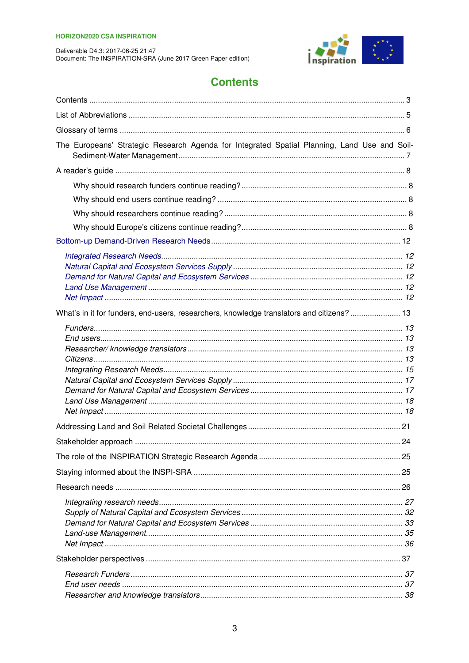

# **Contents**

| The Europeans' Strategic Research Agenda for Integrated Spatial Planning, Land Use and Soil- |  |
|----------------------------------------------------------------------------------------------|--|
|                                                                                              |  |
|                                                                                              |  |
|                                                                                              |  |
|                                                                                              |  |
|                                                                                              |  |
|                                                                                              |  |
|                                                                                              |  |
| What's in it for funders, end-users, researchers, knowledge translators and citizens? 13     |  |
|                                                                                              |  |
|                                                                                              |  |
|                                                                                              |  |
|                                                                                              |  |
|                                                                                              |  |
|                                                                                              |  |
|                                                                                              |  |
|                                                                                              |  |
|                                                                                              |  |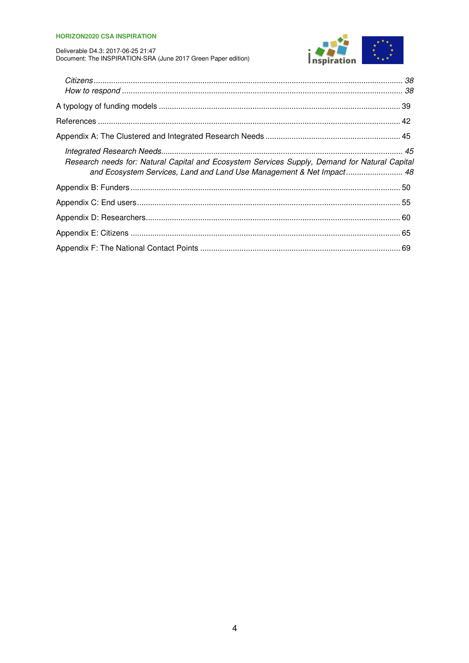

| Research needs for: Natural Capital and Ecosystem Services Supply, Demand for Natural Capital<br>and Ecosystem Services, Land and Land Use Management & Net Impact 48 |  |
|-----------------------------------------------------------------------------------------------------------------------------------------------------------------------|--|
|                                                                                                                                                                       |  |
|                                                                                                                                                                       |  |
|                                                                                                                                                                       |  |
|                                                                                                                                                                       |  |
|                                                                                                                                                                       |  |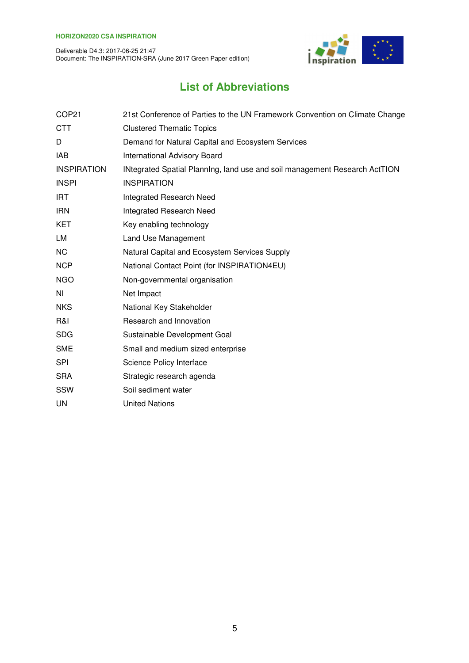| Deliverable D4.3: 2017-06-25 21:47                            |
|---------------------------------------------------------------|
| Document: The INSPIRATION-SRA (June 2017 Green Paper edition) |



# **List of Abbreviations**

| 21st Conference of Parties to the UN Framework Convention on Climate Change |
|-----------------------------------------------------------------------------|
| <b>Clustered Thematic Topics</b>                                            |
| Demand for Natural Capital and Ecosystem Services                           |
| International Advisory Board                                                |
| INtegrated Spatial Planning, land use and soil management Research ActTION  |
| <b>INSPIRATION</b>                                                          |
| <b>Integrated Research Need</b>                                             |
| Integrated Research Need                                                    |
| Key enabling technology                                                     |
| Land Use Management                                                         |
| Natural Capital and Ecosystem Services Supply                               |
| National Contact Point (for INSPIRATION4EU)                                 |
| Non-governmental organisation                                               |
| Net Impact                                                                  |
| National Key Stakeholder                                                    |
| Research and Innovation                                                     |
| Sustainable Development Goal                                                |
| Small and medium sized enterprise                                           |
| Science Policy Interface                                                    |
| Strategic research agenda                                                   |
| Soil sediment water                                                         |
| <b>United Nations</b>                                                       |
|                                                                             |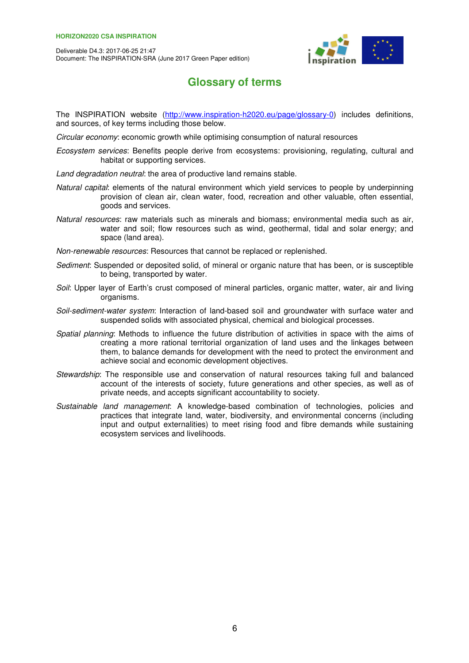

# **Glossary of terms**

The INSPIRATION website (http://www.inspiration-h2020.eu/page/glossary-0) includes definitions, and sources, of key terms including those below.

Circular economy: economic growth while optimising consumption of natural resources

Ecosystem services: Benefits people derive from ecosystems: provisioning, regulating, cultural and habitat or supporting services.

Land degradation neutral: the area of productive land remains stable.

- Natural capital: elements of the natural environment which yield services to people by underpinning provision of clean air, clean water, food, recreation and other valuable, often essential, goods and services.
- Natural resources: raw materials such as minerals and biomass; environmental media such as air, water and soil; flow resources such as wind, geothermal, tidal and solar energy; and space (land area).

Non-renewable resources: Resources that cannot be replaced or replenished.

- Sediment: Suspended or deposited solid, of mineral or organic nature that has been, or is susceptible to being, transported by water.
- Soil: Upper layer of Earth's crust composed of mineral particles, organic matter, water, air and living organisms.
- Soil-sediment-water system: Interaction of land-based soil and groundwater with surface water and suspended solids with associated physical, chemical and biological processes.
- Spatial planning: Methods to influence the future distribution of activities in space with the aims of creating a more rational territorial organization of land uses and the linkages between them, to balance demands for development with the need to protect the environment and achieve social and economic development objectives.
- Stewardship: The responsible use and conservation of natural resources taking full and balanced account of the interests of society, future generations and other species, as well as of private needs, and accepts significant accountability to society.
- Sustainable land management: A knowledge-based combination of technologies, policies and practices that integrate land, water, biodiversity, and environmental concerns (including input and output externalities) to meet rising food and fibre demands while sustaining ecosystem services and livelihoods.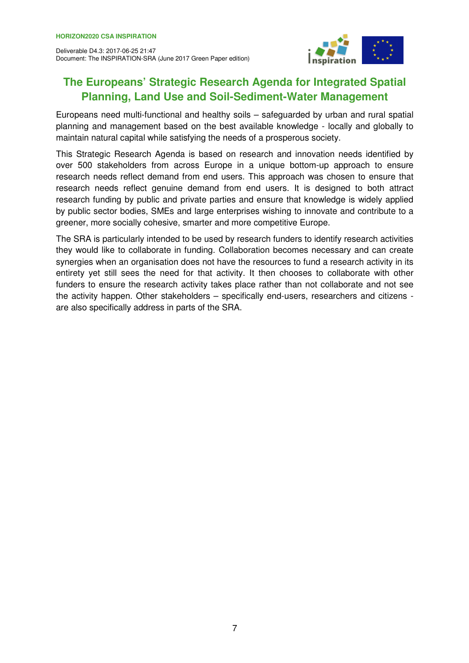

# **The Europeans' Strategic Research Agenda for Integrated Spatial Planning, Land Use and Soil-Sediment-Water Management**

Europeans need multi-functional and healthy soils – safeguarded by urban and rural spatial planning and management based on the best available knowledge - locally and globally to maintain natural capital while satisfying the needs of a prosperous society.

This Strategic Research Agenda is based on research and innovation needs identified by over 500 stakeholders from across Europe in a unique bottom-up approach to ensure research needs reflect demand from end users. This approach was chosen to ensure that research needs reflect genuine demand from end users. It is designed to both attract research funding by public and private parties and ensure that knowledge is widely applied by public sector bodies, SMEs and large enterprises wishing to innovate and contribute to a greener, more socially cohesive, smarter and more competitive Europe.

The SRA is particularly intended to be used by research funders to identify research activities they would like to collaborate in funding. Collaboration becomes necessary and can create synergies when an organisation does not have the resources to fund a research activity in its entirety yet still sees the need for that activity. It then chooses to collaborate with other funders to ensure the research activity takes place rather than not collaborate and not see the activity happen. Other stakeholders – specifically end-users, researchers and citizens are also specifically address in parts of the SRA.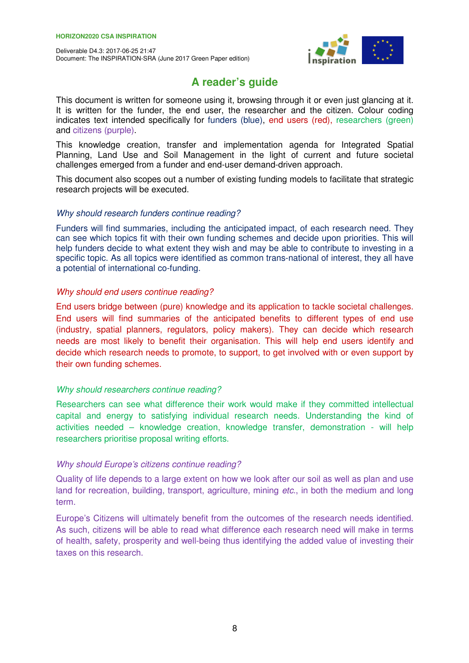

# **A reader's guide**

This document is written for someone using it, browsing through it or even just glancing at it. It is written for the funder, the end user, the researcher and the citizen. Colour coding indicates text intended specifically for funders (blue), end users (red), researchers (green) and citizens (purple).

This knowledge creation, transfer and implementation agenda for Integrated Spatial Planning, Land Use and Soil Management in the light of current and future societal challenges emerged from a funder and end-user demand-driven approach.

This document also scopes out a number of existing funding models to facilitate that strategic research projects will be executed.

# Why should research funders continue reading?

Funders will find summaries, including the anticipated impact, of each research need. They can see which topics fit with their own funding schemes and decide upon priorities. This will help funders decide to what extent they wish and may be able to contribute to investing in a specific topic. As all topics were identified as common trans-national of interest, they all have a potential of international co-funding.

# Why should end users continue reading?

End users bridge between (pure) knowledge and its application to tackle societal challenges. End users will find summaries of the anticipated benefits to different types of end use (industry, spatial planners, regulators, policy makers). They can decide which research needs are most likely to benefit their organisation. This will help end users identify and decide which research needs to promote, to support, to get involved with or even support by their own funding schemes.

# Why should researchers continue reading?

Researchers can see what difference their work would make if they committed intellectual capital and energy to satisfying individual research needs. Understanding the kind of activities needed – knowledge creation, knowledge transfer, demonstration - will help researchers prioritise proposal writing efforts.

# Why should Europe's citizens continue reading?

Quality of life depends to a large extent on how we look after our soil as well as plan and use land for recreation, building, transport, agriculture, mining etc., in both the medium and long term.

Europe's Citizens will ultimately benefit from the outcomes of the research needs identified. As such, citizens will be able to read what difference each research need will make in terms of health, safety, prosperity and well-being thus identifying the added value of investing their taxes on this research.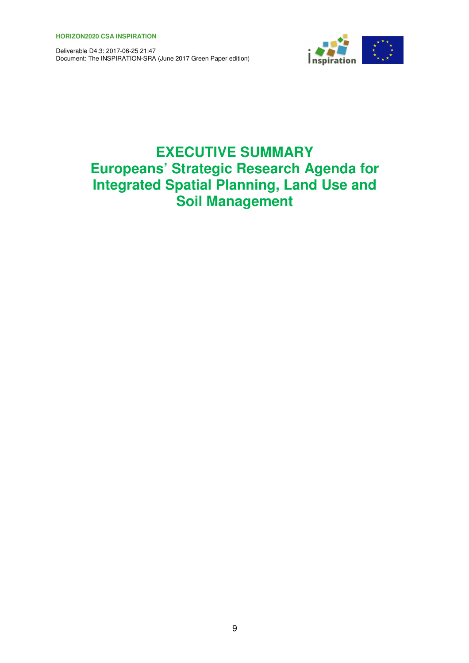

# **EXECUTIVE SUMMARY Europeans' Strategic Research Agenda for Integrated Spatial Planning, Land Use and Soil Management**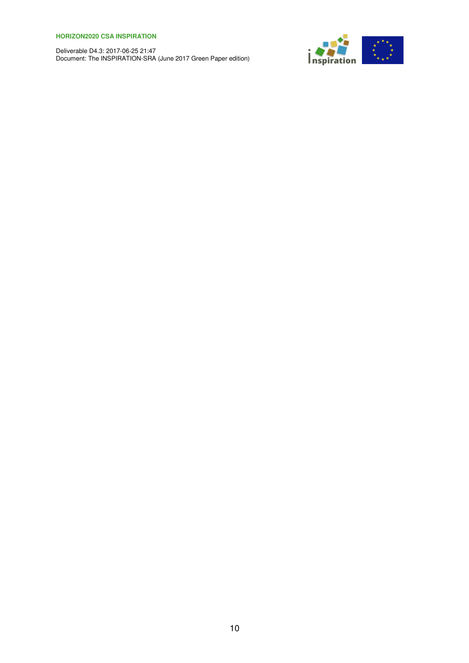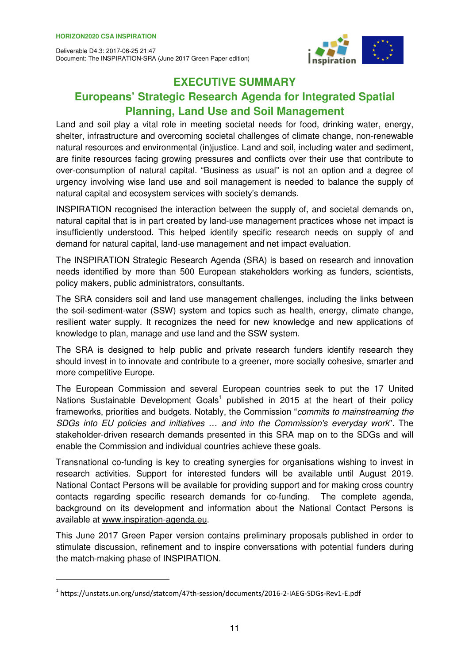

# **EXECUTIVE SUMMARY**

# **Europeans' Strategic Research Agenda for Integrated Spatial Planning, Land Use and Soil Management**

Land and soil play a vital role in meeting societal needs for food, drinking water, energy, shelter, infrastructure and overcoming societal challenges of climate change, non-renewable natural resources and environmental (in)justice. Land and soil, including water and sediment, are finite resources facing growing pressures and conflicts over their use that contribute to over-consumption of natural capital. "Business as usual" is not an option and a degree of urgency involving wise land use and soil management is needed to balance the supply of natural capital and ecosystem services with society's demands.

INSPIRATION recognised the interaction between the supply of, and societal demands on, natural capital that is in part created by land-use management practices whose net impact is insufficiently understood. This helped identify specific research needs on supply of and demand for natural capital, land-use management and net impact evaluation.

The INSPIRATION Strategic Research Agenda (SRA) is based on research and innovation needs identified by more than 500 European stakeholders working as funders, scientists, policy makers, public administrators, consultants.

The SRA considers soil and land use management challenges, including the links between the soil-sediment-water (SSW) system and topics such as health, energy, climate change, resilient water supply. It recognizes the need for new knowledge and new applications of knowledge to plan, manage and use land and the SSW system.

The SRA is designed to help public and private research funders identify research they should invest in to innovate and contribute to a greener, more socially cohesive, smarter and more competitive Europe.

The European Commission and several European countries seek to put the 17 United Nations Sustainable Development Goals<sup>1</sup> published in 2015 at the heart of their policy frameworks, priorities and budgets. Notably, the Commission "commits to mainstreaming the SDGs into EU policies and initiatives … and into the Commission's everyday work". The stakeholder-driven research demands presented in this SRA map on to the SDGs and will enable the Commission and individual countries achieve these goals.

Transnational co-funding is key to creating synergies for organisations wishing to invest in research activities. Support for interested funders will be available until August 2019. National Contact Persons will be available for providing support and for making cross country contacts regarding specific research demands for co-funding. The complete agenda, background on its development and information about the National Contact Persons is available at www.inspiration-agenda.eu.

This June 2017 Green Paper version contains preliminary proposals published in order to stimulate discussion, refinement and to inspire conversations with potential funders during the match-making phase of INSPIRATION.

 $\overline{a}$ 

<sup>&</sup>lt;sup>1</sup> https://unstats.un.org/unsd/statcom/47th-session/documents/2016-2-IAEG-SDGs-Rev1-E.pdf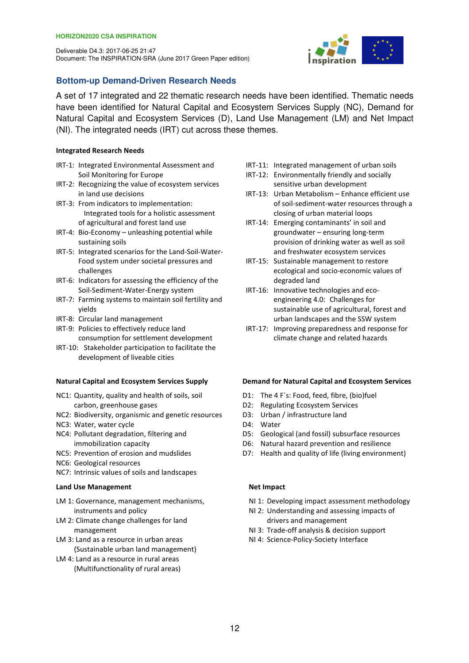

# **Bottom-up Demand-Driven Research Needs**

A set of 17 integrated and 22 thematic research needs have been identified. Thematic needs have been identified for Natural Capital and Ecosystem Services Supply (NC), Demand for Natural Capital and Ecosystem Services (D), Land Use Management (LM) and Net Impact (NI). The integrated needs (IRT) cut across these themes.

## Integrated Research Needs

- IRT-1: Integrated Environmental Assessment and Soil Monitoring for Europe
- IRT-2: Recognizing the value of ecosystem services in land use decisions
- IRT-3: From indicators to implementation: Integrated tools for a holistic assessment of agricultural and forest land use
- IRT-4: Bio-Economy unleashing potential while sustaining soils
- IRT-5: Integrated scenarios for the Land-Soil-Water-Food system under societal pressures and challenges
- IRT-6: Indicators for assessing the efficiency of the Soil-Sediment-Water-Energy system
- IRT-7: Farming systems to maintain soil fertility and yields
- IRT-8: Circular land management
- IRT-9: Policies to effectively reduce land consumption for settlement development
- IRT-10: Stakeholder participation to facilitate the development of liveable cities

#### Natural Capital and Ecosystem Services Supply

- NC1: Quantity, quality and health of soils, soil carbon, greenhouse gases
- NC2: Biodiversity, organismic and genetic resources
- NC3: Water, water cycle
- NC4: Pollutant degradation, filtering and immobilization capacity
- NC5: Prevention of erosion and mudslides
- NC6: Geological resources
- NC7: Intrinsic values of soils and landscapes

#### Land Use Management

- LM 1: Governance, management mechanisms, instruments and policy
- LM 2: Climate change challenges for land management
- LM 3: Land as a resource in urban areas (Sustainable urban land management)
- LM 4: Land as a resource in rural areas (Multifunctionality of rural areas)
- IRT-11: Integrated management of urban soils
- IRT-12: Environmentally friendly and socially sensitive urban development
- IRT-13: Urban Metabolism Enhance efficient use of soil-sediment-water resources through a closing of urban material loops
- IRT-14: Emerging contaminants' in soil and groundwater – ensuring long-term provision of drinking water as well as soil and freshwater ecosystem services
- IRT-15: Sustainable management to restore ecological and socio-economic values of degraded land
- IRT-16: Innovative technologies and ecoengineering 4.0: Challenges for sustainable use of agricultural, forest and urban landscapes and the SSW system
- IRT-17: Improving preparedness and response for climate change and related hazards

#### Demand for Natural Capital and Ecosystem Services

- D1: The 4 F´s: Food, feed, fibre, (bio)fuel
- D2: Regulating Ecosystem Services
- D3: Urban / infrastructure land
- D4: Water
- D5: Geological (and fossil) subsurface resources
- D6: Natural hazard prevention and resilience
- D7: Health and quality of life (living environment)

#### Net Impact

- NI 1: Developing impact assessment methodology
- NI 2: Understanding and assessing impacts of drivers and management
- NI 3: Trade-off analysis & decision support
- NI 4: Science-Policy-Society Interface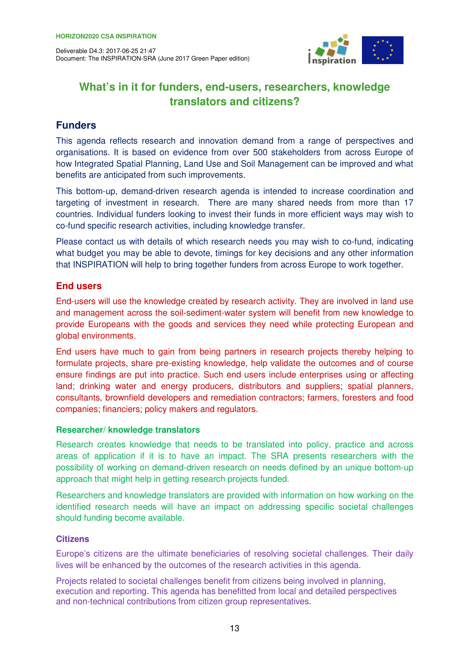

# **What's in it for funders, end-users, researchers, knowledge translators and citizens?**

# **Funders**

This agenda reflects research and innovation demand from a range of perspectives and organisations. It is based on evidence from over 500 stakeholders from across Europe of how Integrated Spatial Planning, Land Use and Soil Management can be improved and what benefits are anticipated from such improvements.

This bottom-up, demand-driven research agenda is intended to increase coordination and targeting of investment in research. There are many shared needs from more than 17 countries. Individual funders looking to invest their funds in more efficient ways may wish to co-fund specific research activities, including knowledge transfer.

Please contact us with details of which research needs you may wish to co-fund, indicating what budget you may be able to devote, timings for key decisions and any other information that INSPIRATION will help to bring together funders from across Europe to work together.

# **End users**

End-users will use the knowledge created by research activity. They are involved in land use and management across the soil-sediment-water system will benefit from new knowledge to provide Europeans with the goods and services they need while protecting European and global environments.

End users have much to gain from being partners in research projects thereby helping to formulate projects, share pre-existing knowledge, help validate the outcomes and of course ensure findings are put into practice. Such end users include enterprises using or affecting land; drinking water and energy producers, distributors and suppliers; spatial planners, consultants, brownfield developers and remediation contractors; farmers, foresters and food companies; financiers; policy makers and regulators.

# **Researcher/ knowledge translators**

Research creates knowledge that needs to be translated into policy, practice and across areas of application if it is to have an impact. The SRA presents researchers with the possibility of working on demand-driven research on needs defined by an unique bottom-up approach that might help in getting research projects funded.

Researchers and knowledge translators are provided with information on how working on the identified research needs will have an impact on addressing specific societal challenges should funding become available.

# **Citizens**

Europe's citizens are the ultimate beneficiaries of resolving societal challenges. Their daily lives will be enhanced by the outcomes of the research activities in this agenda.

Projects related to societal challenges benefit from citizens being involved in planning, execution and reporting. This agenda has benefitted from local and detailed perspectives and non-technical contributions from citizen group representatives.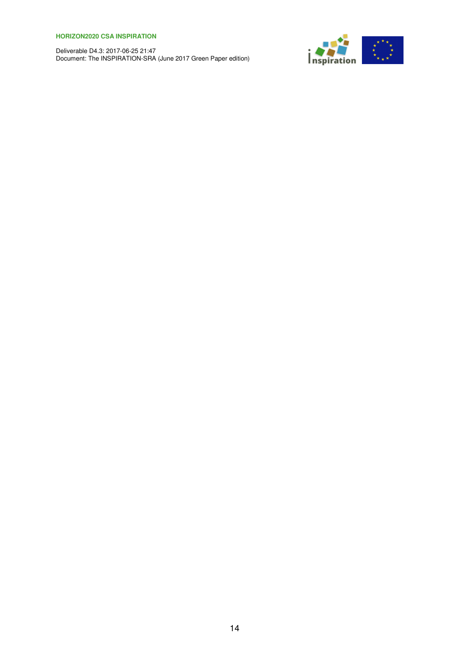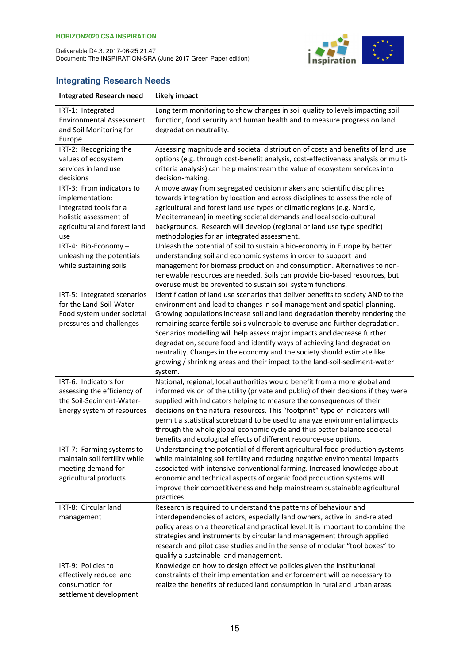

# **Integrating Research Needs**

| <b>Integrated Research need</b>                                                                                                         | <b>Likely impact</b>                                                                                                                                                                                                                                                                                                                                                                                                                                                                                                                                                                                                                                     |  |  |  |  |  |  |  |  |
|-----------------------------------------------------------------------------------------------------------------------------------------|----------------------------------------------------------------------------------------------------------------------------------------------------------------------------------------------------------------------------------------------------------------------------------------------------------------------------------------------------------------------------------------------------------------------------------------------------------------------------------------------------------------------------------------------------------------------------------------------------------------------------------------------------------|--|--|--|--|--|--|--|--|
| IRT-1: Integrated<br><b>Environmental Assessment</b><br>and Soil Monitoring for<br>Europe                                               | Long term monitoring to show changes in soil quality to levels impacting soil<br>function, food security and human health and to measure progress on land<br>degradation neutrality.                                                                                                                                                                                                                                                                                                                                                                                                                                                                     |  |  |  |  |  |  |  |  |
| IRT-2: Recognizing the<br>values of ecosystem<br>services in land use<br>decisions                                                      | Assessing magnitude and societal distribution of costs and benefits of land use<br>options (e.g. through cost-benefit analysis, cost-effectiveness analysis or multi-<br>criteria analysis) can help mainstream the value of ecosystem services into<br>decision-making.                                                                                                                                                                                                                                                                                                                                                                                 |  |  |  |  |  |  |  |  |
| IRT-3: From indicators to<br>implementation:<br>Integrated tools for a<br>holistic assessment of<br>agricultural and forest land<br>use | A move away from segregated decision makers and scientific disciplines<br>towards integration by location and across disciplines to assess the role of<br>agricultural and forest land use types or climatic regions (e.g. Nordic,<br>Mediterranean) in meeting societal demands and local socio-cultural<br>backgrounds. Research will develop (regional or land use type specific)<br>methodologies for an integrated assessment.                                                                                                                                                                                                                      |  |  |  |  |  |  |  |  |
| IRT-4: Bio-Economy-<br>unleashing the potentials<br>while sustaining soils                                                              | Unleash the potential of soil to sustain a bio-economy in Europe by better<br>understanding soil and economic systems in order to support land<br>management for biomass production and consumption. Alternatives to non-<br>renewable resources are needed. Soils can provide bio-based resources, but<br>overuse must be prevented to sustain soil system functions.                                                                                                                                                                                                                                                                                   |  |  |  |  |  |  |  |  |
| IRT-5: Integrated scenarios<br>for the Land-Soil-Water-<br>Food system under societal<br>pressures and challenges                       | Identification of land use scenarios that deliver benefits to society AND to the<br>environment and lead to changes in soil management and spatial planning.<br>Growing populations increase soil and land degradation thereby rendering the<br>remaining scarce fertile soils vulnerable to overuse and further degradation.<br>Scenarios modelling will help assess major impacts and decrease further<br>degradation, secure food and identify ways of achieving land degradation<br>neutrality. Changes in the economy and the society should estimate like<br>growing / shrinking areas and their impact to the land-soil-sediment-water<br>system. |  |  |  |  |  |  |  |  |
| IRT-6: Indicators for<br>assessing the efficiency of<br>the Soil-Sediment-Water-<br>Energy system of resources                          | National, regional, local authorities would benefit from a more global and<br>informed vision of the utility (private and public) of their decisions if they were<br>supplied with indicators helping to measure the consequences of their<br>decisions on the natural resources. This "footprint" type of indicators will<br>permit a statistical scoreboard to be used to analyze environmental impacts<br>through the whole global economic cycle and thus better balance societal<br>benefits and ecological effects of different resource-use options.                                                                                              |  |  |  |  |  |  |  |  |
| IRT-7: Farming systems to<br>maintain soil fertility while<br>meeting demand for<br>agricultural products                               | Understanding the potential of different agricultural food production systems<br>while maintaining soil fertility and reducing negative environmental impacts<br>associated with intensive conventional farming. Increased knowledge about<br>economic and technical aspects of organic food production systems will<br>improve their competitiveness and help mainstream sustainable agricultural<br>practices.                                                                                                                                                                                                                                         |  |  |  |  |  |  |  |  |
| IRT-8: Circular land<br>management                                                                                                      | Research is required to understand the patterns of behaviour and<br>interdependencies of actors, especially land owners, active in land-related<br>policy areas on a theoretical and practical level. It is important to combine the<br>strategies and instruments by circular land management through applied<br>research and pilot case studies and in the sense of modular "tool boxes" to<br>qualify a sustainable land management.                                                                                                                                                                                                                  |  |  |  |  |  |  |  |  |
| IRT-9: Policies to<br>effectively reduce land<br>consumption for<br>settlement development                                              | Knowledge on how to design effective policies given the institutional<br>constraints of their implementation and enforcement will be necessary to<br>realize the benefits of reduced land consumption in rural and urban areas.                                                                                                                                                                                                                                                                                                                                                                                                                          |  |  |  |  |  |  |  |  |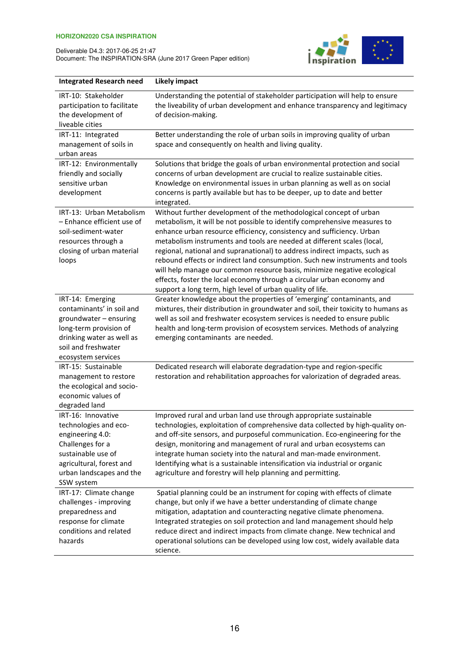

| <b>Integrated Research need</b>                                                                                                                                                 | Likely impact                                                                                                                                                                                                                                                                                                                                                                                                                                                                                                                                                                                                                                                                        |  |  |  |  |  |  |  |
|---------------------------------------------------------------------------------------------------------------------------------------------------------------------------------|--------------------------------------------------------------------------------------------------------------------------------------------------------------------------------------------------------------------------------------------------------------------------------------------------------------------------------------------------------------------------------------------------------------------------------------------------------------------------------------------------------------------------------------------------------------------------------------------------------------------------------------------------------------------------------------|--|--|--|--|--|--|--|
| IRT-10: Stakeholder<br>participation to facilitate<br>the development of<br>liveable cities                                                                                     | Understanding the potential of stakeholder participation will help to ensure<br>the liveability of urban development and enhance transparency and legitimacy<br>of decision-making.                                                                                                                                                                                                                                                                                                                                                                                                                                                                                                  |  |  |  |  |  |  |  |
| IRT-11: Integrated<br>management of soils in<br>urban areas                                                                                                                     | Better understanding the role of urban soils in improving quality of urban<br>space and consequently on health and living quality.                                                                                                                                                                                                                                                                                                                                                                                                                                                                                                                                                   |  |  |  |  |  |  |  |
| IRT-12: Environmentally<br>friendly and socially<br>sensitive urban<br>development                                                                                              | Solutions that bridge the goals of urban environmental protection and social<br>concerns of urban development are crucial to realize sustainable cities.<br>Knowledge on environmental issues in urban planning as well as on social<br>concerns is partly available but has to be deeper, up to date and better<br>integrated.                                                                                                                                                                                                                                                                                                                                                      |  |  |  |  |  |  |  |
| IRT-13: Urban Metabolism<br>- Enhance efficient use of<br>soil-sediment-water<br>resources through a<br>closing of urban material<br>loops                                      | Without further development of the methodological concept of urban<br>metabolism, it will be not possible to identify comprehensive measures to<br>enhance urban resource efficiency, consistency and sufficiency. Urban<br>metabolism instruments and tools are needed at different scales (local,<br>regional, national and supranational) to address indirect impacts, such as<br>rebound effects or indirect land consumption. Such new instruments and tools<br>will help manage our common resource basis, minimize negative ecological<br>effects, foster the local economy through a circular urban economy and<br>support a long term, high level of urban quality of life. |  |  |  |  |  |  |  |
| IRT-14: Emerging<br>contaminants' in soil and<br>groundwater - ensuring<br>long-term provision of<br>drinking water as well as<br>soil and freshwater<br>ecosystem services     | Greater knowledge about the properties of 'emerging' contaminants, and<br>mixtures, their distribution in groundwater and soil, their toxicity to humans as<br>well as soil and freshwater ecosystem services is needed to ensure public<br>health and long-term provision of ecosystem services. Methods of analyzing<br>emerging contaminants are needed.                                                                                                                                                                                                                                                                                                                          |  |  |  |  |  |  |  |
| IRT-15: Sustainable<br>management to restore<br>the ecological and socio-<br>economic values of<br>degraded land                                                                | Dedicated research will elaborate degradation-type and region-specific<br>restoration and rehabilitation approaches for valorization of degraded areas.                                                                                                                                                                                                                                                                                                                                                                                                                                                                                                                              |  |  |  |  |  |  |  |
| IRT-16: Innovative<br>technologies and eco-<br>engineering 4.0:<br>Challenges for a<br>sustainable use of<br>agricultural, forest and<br>urban landscapes and the<br>SSW system | Improved rural and urban land use through appropriate sustainable<br>technologies, exploitation of comprehensive data collected by high-quality on-<br>and off-site sensors, and purposeful communication. Eco-engineering for the<br>design, monitoring and management of rural and urban ecosystems can<br>integrate human society into the natural and man-made environment.<br>Identifying what is a sustainable intensification via industrial or organic<br>agriculture and forestry will help planning and permitting.                                                                                                                                                        |  |  |  |  |  |  |  |
| IRT-17: Climate change<br>challenges - improving<br>preparedness and<br>response for climate<br>conditions and related<br>hazards                                               | Spatial planning could be an instrument for coping with effects of climate<br>change, but only if we have a better understanding of climate change<br>mitigation, adaptation and counteracting negative climate phenomena.<br>Integrated strategies on soil protection and land management should help<br>reduce direct and indirect impacts from climate change. New technical and<br>operational solutions can be developed using low cost, widely available data<br>science.                                                                                                                                                                                                      |  |  |  |  |  |  |  |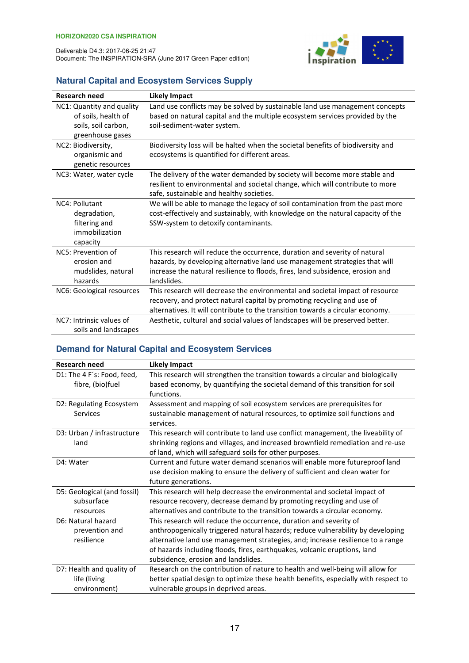

# **Natural Capital and Ecosystem Services Supply**

| <b>Research need</b>                                                                        | <b>Likely Impact</b>                                                                                                                                                                                                                                       |
|---------------------------------------------------------------------------------------------|------------------------------------------------------------------------------------------------------------------------------------------------------------------------------------------------------------------------------------------------------------|
| NC1: Quantity and quality<br>of soils, health of<br>soils, soil carbon,<br>greenhouse gases | Land use conflicts may be solved by sustainable land use management concepts<br>based on natural capital and the multiple ecosystem services provided by the<br>soil-sediment-water system.                                                                |
| NC2: Biodiversity,<br>organismic and<br>genetic resources                                   | Biodiversity loss will be halted when the societal benefits of biodiversity and<br>ecosystems is quantified for different areas.                                                                                                                           |
| NC3: Water, water cycle                                                                     | The delivery of the water demanded by society will become more stable and<br>resilient to environmental and societal change, which will contribute to more<br>safe, sustainable and healthy societies.                                                     |
| NC4: Pollutant<br>degradation,<br>filtering and<br>immobilization<br>capacity               | We will be able to manage the legacy of soil contamination from the past more<br>cost-effectively and sustainably, with knowledge on the natural capacity of the<br>SSW-system to detoxify contaminants.                                                   |
| NC5: Prevention of<br>erosion and<br>mudslides, natural<br>hazards                          | This research will reduce the occurrence, duration and severity of natural<br>hazards, by developing alternative land use management strategies that will<br>increase the natural resilience to floods, fires, land subsidence, erosion and<br>landslides. |
| NC6: Geological resources                                                                   | This research will decrease the environmental and societal impact of resource<br>recovery, and protect natural capital by promoting recycling and use of<br>alternatives. It will contribute to the transition towards a circular economy.                 |
| NC7: Intrinsic values of<br>soils and landscapes                                            | Aesthetic, cultural and social values of landscapes will be preserved better.                                                                                                                                                                              |

# **Demand for Natural Capital and Ecosystem Services**

| <b>Research need</b>        | <b>Likely Impact</b>                                                                |  |  |  |  |  |  |
|-----------------------------|-------------------------------------------------------------------------------------|--|--|--|--|--|--|
| D1: The 4 F's: Food, feed,  | This research will strengthen the transition towards a circular and biologically    |  |  |  |  |  |  |
| fibre, (bio)fuel            | based economy, by quantifying the societal demand of this transition for soil       |  |  |  |  |  |  |
|                             | functions.                                                                          |  |  |  |  |  |  |
| D2: Regulating Ecosystem    | Assessment and mapping of soil ecosystem services are prerequisites for             |  |  |  |  |  |  |
| Services                    | sustainable management of natural resources, to optimize soil functions and         |  |  |  |  |  |  |
|                             | services.                                                                           |  |  |  |  |  |  |
| D3: Urban / infrastructure  | This research will contribute to land use conflict management, the liveability of   |  |  |  |  |  |  |
| land                        | shrinking regions and villages, and increased brownfield remediation and re-use     |  |  |  |  |  |  |
|                             | of land, which will safeguard soils for other purposes.                             |  |  |  |  |  |  |
| D4: Water                   | Current and future water demand scenarios will enable more futureproof land         |  |  |  |  |  |  |
|                             | use decision making to ensure the delivery of sufficient and clean water for        |  |  |  |  |  |  |
|                             | future generations.                                                                 |  |  |  |  |  |  |
| D5: Geological (and fossil) | This research will help decrease the environmental and societal impact of           |  |  |  |  |  |  |
| subsurface                  | resource recovery, decrease demand by promoting recycling and use of                |  |  |  |  |  |  |
| resources                   | alternatives and contribute to the transition towards a circular economy.           |  |  |  |  |  |  |
| D6: Natural hazard          | This research will reduce the occurrence, duration and severity of                  |  |  |  |  |  |  |
| prevention and              | anthropogenically triggered natural hazards; reduce vulnerability by developing     |  |  |  |  |  |  |
| resilience                  | alternative land use management strategies, and; increase resilience to a range     |  |  |  |  |  |  |
|                             | of hazards including floods, fires, earthquakes, volcanic eruptions, land           |  |  |  |  |  |  |
|                             | subsidence, erosion and landslides.                                                 |  |  |  |  |  |  |
| D7: Health and quality of   | Research on the contribution of nature to health and well-being will allow for      |  |  |  |  |  |  |
| life (living                | better spatial design to optimize these health benefits, especially with respect to |  |  |  |  |  |  |
| environment)                | vulnerable groups in deprived areas.                                                |  |  |  |  |  |  |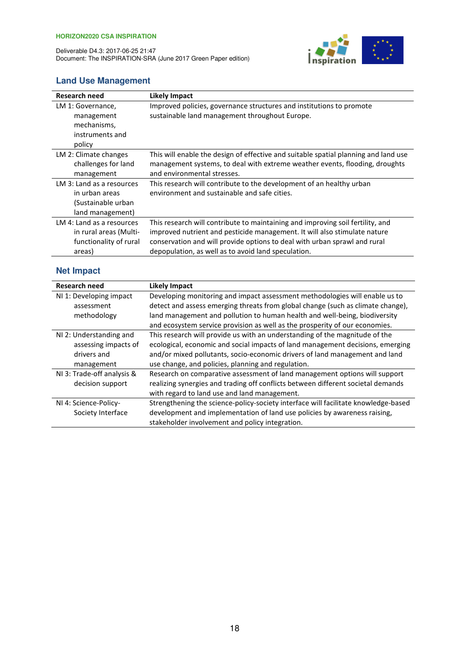

# **Land Use Management**

| <b>Research need</b>      | <b>Likely Impact</b>                                                                |  |  |  |  |  |  |
|---------------------------|-------------------------------------------------------------------------------------|--|--|--|--|--|--|
| LM 1: Governance,         | Improved policies, governance structures and institutions to promote                |  |  |  |  |  |  |
| management                | sustainable land management throughout Europe.                                      |  |  |  |  |  |  |
| mechanisms,               |                                                                                     |  |  |  |  |  |  |
| instruments and           |                                                                                     |  |  |  |  |  |  |
| policy                    |                                                                                     |  |  |  |  |  |  |
| LM 2: Climate changes     | This will enable the design of effective and suitable spatial planning and land use |  |  |  |  |  |  |
| challenges for land       | management systems, to deal with extreme weather events, flooding, droughts         |  |  |  |  |  |  |
| management                | and environmental stresses.                                                         |  |  |  |  |  |  |
| LM 3: Land as a resources | This research will contribute to the development of an healthy urban                |  |  |  |  |  |  |
| in urban areas            | environment and sustainable and safe cities.                                        |  |  |  |  |  |  |
| (Sustainable urban        |                                                                                     |  |  |  |  |  |  |
| land management)          |                                                                                     |  |  |  |  |  |  |
| LM 4: Land as a resources | This research will contribute to maintaining and improving soil fertility, and      |  |  |  |  |  |  |
| in rural areas (Multi-    | improved nutrient and pesticide management. It will also stimulate nature           |  |  |  |  |  |  |
| functionality of rural    | conservation and will provide options to deal with urban sprawl and rural           |  |  |  |  |  |  |
| areas)                    | depopulation, as well as to avoid land speculation.                                 |  |  |  |  |  |  |

# **Net Impact**

| <b>Research need</b>       | <b>Likely Impact</b>                                                               |
|----------------------------|------------------------------------------------------------------------------------|
| NI 1: Developing impact    | Developing monitoring and impact assessment methodologies will enable us to        |
| assessment                 | detect and assess emerging threats from global change (such as climate change),    |
| methodology                | land management and pollution to human health and well-being, biodiversity         |
|                            | and ecosystem service provision as well as the prosperity of our economies.        |
| NI 2: Understanding and    | This research will provide us with an understanding of the magnitude of the        |
| assessing impacts of       | ecological, economic and social impacts of land management decisions, emerging     |
| drivers and                | and/or mixed pollutants, socio-economic drivers of land management and land        |
| management                 | use change, and policies, planning and regulation.                                 |
| NI 3: Trade-off analysis & | Research on comparative assessment of land management options will support         |
| decision support           | realizing synergies and trading off conflicts between different societal demands   |
|                            | with regard to land use and land management.                                       |
| NI 4: Science-Policy-      | Strengthening the science-policy-society interface will facilitate knowledge-based |
| Society Interface          | development and implementation of land use policies by awareness raising,          |
|                            | stakeholder involvement and policy integration.                                    |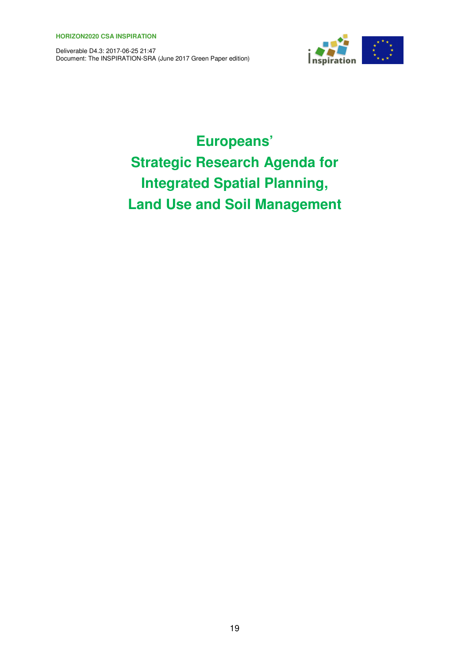Deliverable D4.3: 2017-06-25 21:47 Document: The INSPIRATION-SRA (June 2017 Green Paper edition)



# **Europeans' Strategic Research Agenda for Integrated Spatial Planning, Land Use and Soil Management**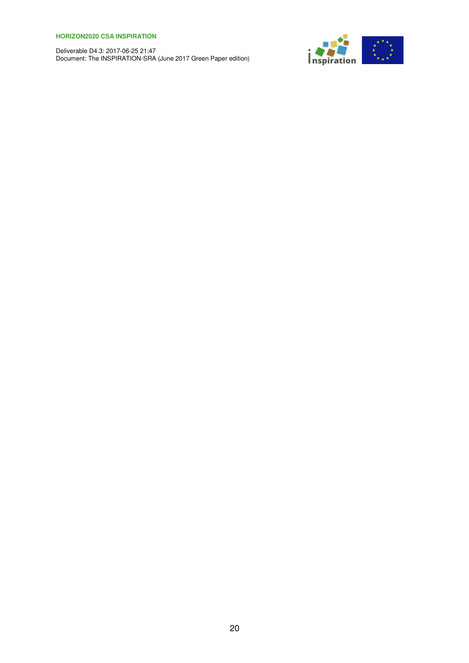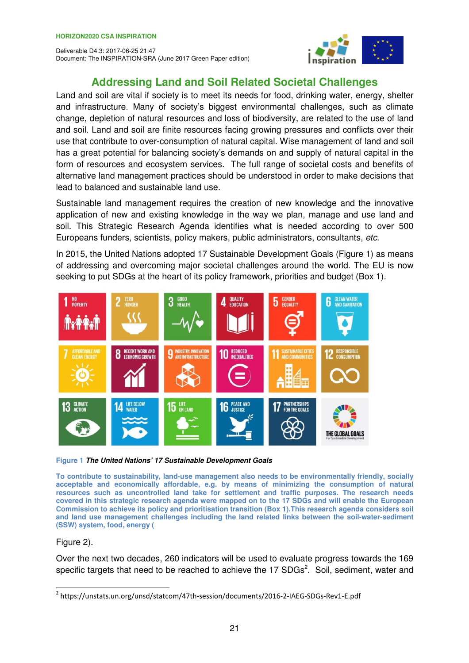

# **Addressing Land and Soil Related Societal Challenges**

Land and soil are vital if society is to meet its needs for food, drinking water, energy, shelter and infrastructure. Many of society's biggest environmental challenges, such as climate change, depletion of natural resources and loss of biodiversity, are related to the use of land and soil. Land and soil are finite resources facing growing pressures and conflicts over their use that contribute to over-consumption of natural capital. Wise management of land and soil has a great potential for balancing society's demands on and supply of natural capital in the form of resources and ecosystem services. The full range of societal costs and benefits of alternative land management practices should be understood in order to make decisions that lead to balanced and sustainable land use.

Sustainable land management requires the creation of new knowledge and the innovative application of new and existing knowledge in the way we plan, manage and use land and soil. This Strategic Research Agenda identifies what is needed according to over 500 Europeans funders, scientists, policy makers, public administrators, consultants, etc.

In 2015, the United Nations adopted 17 Sustainable Development Goals (Figure 1) as means of addressing and overcoming major societal challenges around the world. The EU is now seeking to put SDGs at the heart of its policy framework, priorities and budget (Box 1).



**Figure 1 The United Nations' 17 Sustainable Development Goals** 

**To contribute to sustainability, land-use management also needs to be environmentally friendly, socially acceptable and economically affordable, e.g. by means of minimizing the consumption of natural resources such as uncontrolled land take for settlement and traffic purposes. The research needs covered in this strategic research agenda were mapped on to the 17 SDGs and will enable the European Commission to achieve its policy and prioritisation transition (Box 1).This research agenda considers soil and land use management challenges including the land related links between the soil-water-sediment (SSW) system, food, energy (** 

# Figure 2).

 $\overline{a}$ 

Over the next two decades, 260 indicators will be used to evaluate progress towards the 169 specific targets that need to be reached to achieve the 17 SDGs<sup>2</sup>. Soil, sediment, water and

<sup>&</sup>lt;sup>2</sup> https://unstats.un.org/unsd/statcom/47th-session/documents/2016-2-IAEG-SDGs-Rev1-E.pdf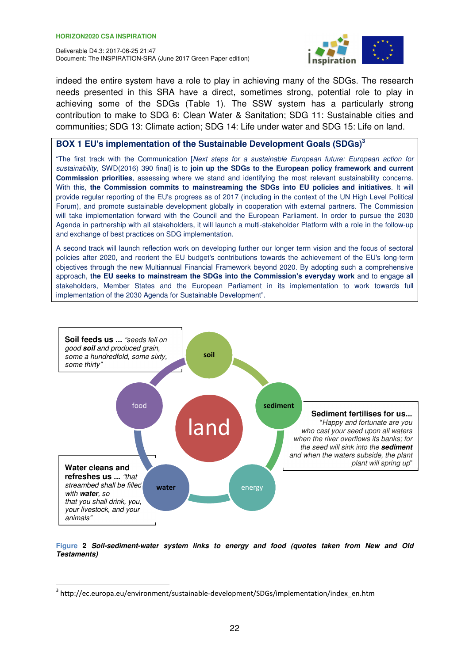$\overline{a}$ 

Deliverable D4.3: 2017-06-25 21:47 Document: The INSPIRATION-SRA (June 2017 Green Paper edition)



indeed the entire system have a role to play in achieving many of the SDGs. The research needs presented in this SRA have a direct, sometimes strong, potential role to play in achieving some of the SDGs (Table 1). The SSW system has a particularly strong contribution to make to SDG 6: Clean Water & Sanitation; SDG 11: Sustainable cities and communities; SDG 13: Climate action; SDG 14: Life under water and SDG 15: Life on land.

# **BOX 1 EU's implementation of the Sustainable Development Goals (SDGs)<sup>3</sup>**

"The first track with the Communication [Next steps for a sustainable European future: European action for sustainability, SWD(2016) 390 final] is to **join up the SDGs to the European policy framework and current Commission priorities**, assessing where we stand and identifying the most relevant sustainability concerns. With this, **the Commission commits to mainstreaming the SDGs into EU policies and initiatives**. It will provide regular reporting of the EU's progress as of 2017 (including in the context of the UN High Level Political Forum), and promote sustainable development globally in cooperation with external partners. The Commission will take implementation forward with the Council and the European Parliament. In order to pursue the 2030 Agenda in partnership with all stakeholders, it will launch a multi-stakeholder Platform with a role in the follow-up and exchange of best practices on SDG implementation.

A second track will launch reflection work on developing further our longer term vision and the focus of sectoral policies after 2020, and reorient the EU budget's contributions towards the achievement of the EU's long-term objectives through the new Multiannual Financial Framework beyond 2020. By adopting such a comprehensive approach, **the EU seeks to mainstream the SDGs into the Commission's everyday work** and to engage all stakeholders, Member States and the European Parliament in its implementation to work towards full implementation of the 2030 Agenda for Sustainable Development".



## **Figure 2 Soil-sediment-water system links to energy and food (quotes taken from New and Old Testaments)**

<sup>&</sup>lt;sup>3</sup> http://ec.europa.eu/environment/sustainable-development/SDGs/implementation/index\_en.htm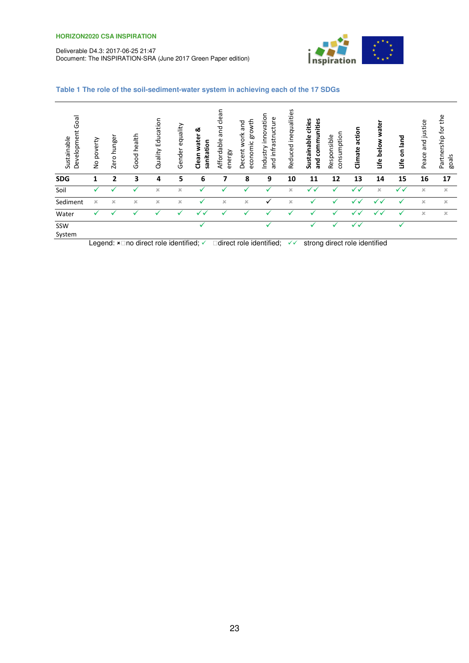

## **Table 1 The role of the soil-sediment-water system in achieving each of the 17 SDGs**

| Development Goal<br>Sustainable | poverty<br>$\frac{1}{2}$ | hunger<br><b>Zero</b> | Good health           | Education<br>Quality | equality<br>Gender    | ఱ<br>water<br>sanitation<br>Clean | clean<br>and<br>Affordable<br>energy | growth<br>and<br>work<br>economic<br>Decent | innovation<br>and infrastructure<br>Industry | Reduced inequalities  | communities<br>cities<br>Sustainable<br>ត<br>ត | consumption<br>Responsible | action<br>Climate | water<br>below<br><u>uife</u> | on land<br>Life | and justice<br>Peace  | the<br>Partnership for<br>goals |
|---------------------------------|--------------------------|-----------------------|-----------------------|----------------------|-----------------------|-----------------------------------|--------------------------------------|---------------------------------------------|----------------------------------------------|-----------------------|------------------------------------------------|----------------------------|-------------------|-------------------------------|-----------------|-----------------------|---------------------------------|
| <b>SDG</b>                      | 1                        | 2                     | 3                     | 4                    | 5                     | 6                                 | 7                                    | 8                                           | 9                                            | 10                    | 11                                             | 12                         | 13                | 14                            | 15              | 16                    | 17                              |
| Soil                            |                          |                       |                       | $\chi$               | ×                     |                                   |                                      |                                             |                                              | $\boldsymbol{\times}$ | $\checkmark$<br>✓                              |                            | ✓✓                | $\times$                      | ✓✓              | $\times$              | $\times$                        |
| Sediment                        | $\times$                 | x                     | $\boldsymbol{\times}$ | $\times$             | $\boldsymbol{\times}$ | ັ                                 | $\boldsymbol{\times}$                | $\boldsymbol{\times}$                       | ✓                                            | $\boldsymbol{\times}$ |                                                |                            | ✓◡                | ✓<br>$\cdot$                  | ✓               | $\times$              | $\times$                        |
| Water                           | ✓                        |                       |                       |                      |                       |                                   |                                      |                                             |                                              |                       |                                                |                            | ✓<br>$\cdot$      | ✓<br>$\overline{\phantom{a}}$ | $\cdot$         | $\boldsymbol{\times}$ | $\times$                        |
| SSW<br>System                   |                          |                       |                       |                      |                       | v                                 |                                      |                                             |                                              |                       |                                                |                            | ✓✓                |                               | v               |                       |                                 |

Legend:  $x$  no direct role identified;  $\checkmark$  direct role identified;  $\checkmark\checkmark$  strong direct role identified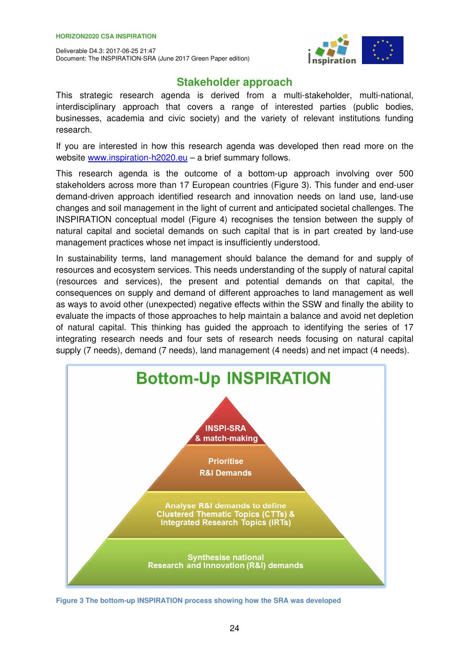

# **Stakeholder approach**

This strategic research agenda is derived from a multi-stakeholder, multi-national, interdisciplinary approach that covers a range of interested parties (public bodies, businesses, academia and civic society) and the variety of relevant institutions funding research.

If you are interested in how this research agenda was developed then read more on the website www.inspiration-h2020.eu – a brief summary follows.

This research agenda is the outcome of a bottom-up approach involving over 500 stakeholders across more than 17 European countries (Figure 3). This funder and end-user demand-driven approach identified research and innovation needs on land use, land-use changes and soil management in the light of current and anticipated societal challenges. The INSPIRATION conceptual model (Figure 4) recognises the tension between the supply of natural capital and societal demands on such capital that is in part created by land-use management practices whose net impact is insufficiently understood.

In sustainability terms, land management should balance the demand for and supply of resources and ecosystem services. This needs understanding of the supply of natural capital (resources and services), the present and potential demands on that capital, the consequences on supply and demand of different approaches to land management as well as ways to avoid other (unexpected) negative effects within the SSW and finally the ability to evaluate the impacts of those approaches to help maintain a balance and avoid net depletion of natural capital. This thinking has guided the approach to identifying the series of 17 integrating research needs and four sets of research needs focusing on natural capital supply (7 needs), demand (7 needs), land management (4 needs) and net impact (4 needs).



**Figure 3 The bottom-up INSPIRATION process showing how the SRA was developed**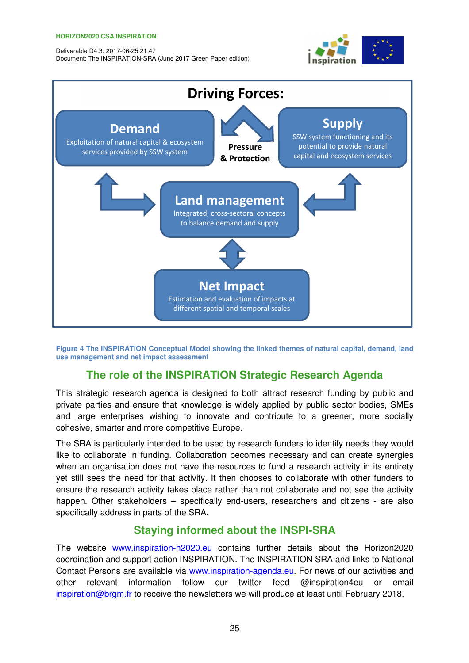Deliverable D4.3: 2017-06-25 21:47 Document: The INSPIRATION-SRA (June 2017 Green Paper edition)





**Figure 4 The INSPIRATION Conceptual Model showing the linked themes of natural capital, demand, land use management and net impact assessment** 

# **The role of the INSPIRATION Strategic Research Agenda**

This strategic research agenda is designed to both attract research funding by public and private parties and ensure that knowledge is widely applied by public sector bodies, SMEs and large enterprises wishing to innovate and contribute to a greener, more socially cohesive, smarter and more competitive Europe.

The SRA is particularly intended to be used by research funders to identify needs they would like to collaborate in funding. Collaboration becomes necessary and can create synergies when an organisation does not have the resources to fund a research activity in its entirety yet still sees the need for that activity. It then chooses to collaborate with other funders to ensure the research activity takes place rather than not collaborate and not see the activity happen. Other stakeholders – specifically end-users, researchers and citizens - are also specifically address in parts of the SRA.

# **Staying informed about the INSPI-SRA**

The website www.inspiration-h2020.eu contains further details about the Horizon2020 coordination and support action INSPIRATION. The INSPIRATION SRA and links to National Contact Persons are available via www.inspiration-agenda.eu. For news of our activities and other relevant information follow our twitter feed @inspiration4eu or email inspiration@brgm.fr to receive the newsletters we will produce at least until February 2018.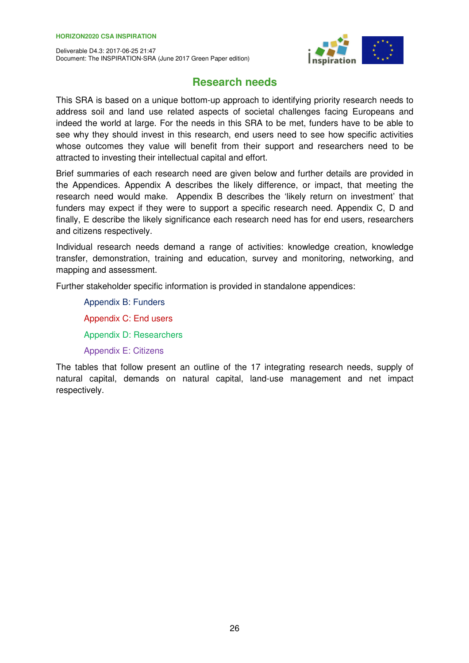

# **Research needs**

This SRA is based on a unique bottom-up approach to identifying priority research needs to address soil and land use related aspects of societal challenges facing Europeans and indeed the world at large. For the needs in this SRA to be met, funders have to be able to see why they should invest in this research, end users need to see how specific activities whose outcomes they value will benefit from their support and researchers need to be attracted to investing their intellectual capital and effort.

Brief summaries of each research need are given below and further details are provided in the Appendices. Appendix A describes the likely difference, or impact, that meeting the research need would make. Appendix B describes the 'likely return on investment' that funders may expect if they were to support a specific research need. Appendix C, D and finally, E describe the likely significance each research need has for end users, researchers and citizens respectively.

Individual research needs demand a range of activities: knowledge creation, knowledge transfer, demonstration, training and education, survey and monitoring, networking, and mapping and assessment.

Further stakeholder specific information is provided in standalone appendices:

Appendix B: Funders Appendix C: End users Appendix D: Researchers Appendix E: Citizens

The tables that follow present an outline of the 17 integrating research needs, supply of natural capital, demands on natural capital, land-use management and net impact respectively.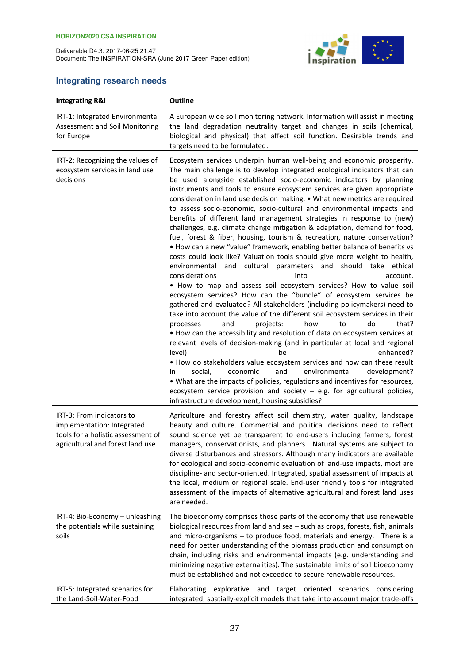Deliverable D4.3: 2017-06-25 21:47 Document: The INSPIRATION-SRA (June 2017 Green Paper edition)



# **Integrating research needs**

| <b>Integrating R&amp;I</b>                                                                                                        | <b>Outline</b>                                                                                                                                                                                                                                                                                                                                                                                                                                                                                                                                                                                                                                                                                                                                                                                                                                                                                                                                                                                                                                                                                                                                                                                                                                                                                                                                                                                                                                                                                                                                                                                                                                                                                                                                                                                                                                                                                              |  |
|-----------------------------------------------------------------------------------------------------------------------------------|-------------------------------------------------------------------------------------------------------------------------------------------------------------------------------------------------------------------------------------------------------------------------------------------------------------------------------------------------------------------------------------------------------------------------------------------------------------------------------------------------------------------------------------------------------------------------------------------------------------------------------------------------------------------------------------------------------------------------------------------------------------------------------------------------------------------------------------------------------------------------------------------------------------------------------------------------------------------------------------------------------------------------------------------------------------------------------------------------------------------------------------------------------------------------------------------------------------------------------------------------------------------------------------------------------------------------------------------------------------------------------------------------------------------------------------------------------------------------------------------------------------------------------------------------------------------------------------------------------------------------------------------------------------------------------------------------------------------------------------------------------------------------------------------------------------------------------------------------------------------------------------------------------------|--|
| IRT-1: Integrated Environmental<br>Assessment and Soil Monitoring<br>for Europe                                                   | A European wide soil monitoring network. Information will assist in meeting<br>the land degradation neutrality target and changes in soils (chemical,<br>biological and physical) that affect soil function. Desirable trends and<br>targets need to be formulated.                                                                                                                                                                                                                                                                                                                                                                                                                                                                                                                                                                                                                                                                                                                                                                                                                                                                                                                                                                                                                                                                                                                                                                                                                                                                                                                                                                                                                                                                                                                                                                                                                                         |  |
| IRT-2: Recognizing the values of<br>ecosystem services in land use<br>decisions                                                   | Ecosystem services underpin human well-being and economic prosperity.<br>The main challenge is to develop integrated ecological indicators that can<br>be used alongside established socio-economic indicators by planning<br>instruments and tools to ensure ecosystem services are given appropriate<br>consideration in land use decision making. . What new metrics are required<br>to assess socio-economic, socio-cultural and environmental impacts and<br>benefits of different land management strategies in response to (new)<br>challenges, e.g. climate change mitigation & adaptation, demand for food,<br>fuel, forest & fiber, housing, tourism & recreation, nature conservation?<br>. How can a new "value" framework, enabling better balance of benefits vs<br>costs could look like? Valuation tools should give more weight to health,<br>environmental<br>and cultural<br>parameters and should take ethical<br>considerations<br>into<br>account.<br>. How to map and assess soil ecosystem services? How to value soil<br>ecosystem services? How can the "bundle" of ecosystem services be<br>gathered and evaluated? All stakeholders (including policymakers) need to<br>take into account the value of the different soil ecosystem services in their<br>do<br>that?<br>and<br>projects:<br>how<br>to<br>processes<br>. How can the accessibility and resolution of data on ecosystem services at<br>relevant levels of decision-making (and in particular at local and regional<br>level)<br>enhanced?<br>be<br>. How do stakeholders value ecosystem services and how can these result<br>social,<br>economic<br>and<br>environmental<br>in<br>development?<br>. What are the impacts of policies, regulations and incentives for resources,<br>ecosystem service provision and society $-$ e.g. for agricultural policies,<br>infrastructure development, housing subsidies? |  |
| IRT-3: From indicators to<br>implementation: Integrated<br>tools for a holistic assessment of<br>agricultural and forest land use | Agriculture and forestry affect soil chemistry, water quality, landscape<br>beauty and culture. Commercial and political decisions need to reflect<br>sound science yet be transparent to end-users including farmers, forest<br>managers, conservationists, and planners. Natural systems are subject to<br>diverse disturbances and stressors. Although many indicators are available<br>for ecological and socio-economic evaluation of land-use impacts, most are<br>discipline- and sector-oriented. Integrated, spatial assessment of impacts at<br>the local, medium or regional scale. End-user friendly tools for integrated<br>assessment of the impacts of alternative agricultural and forest land uses<br>are needed.                                                                                                                                                                                                                                                                                                                                                                                                                                                                                                                                                                                                                                                                                                                                                                                                                                                                                                                                                                                                                                                                                                                                                                          |  |
| IRT-4: Bio-Economy - unleashing<br>the potentials while sustaining<br>soils                                                       | The bioeconomy comprises those parts of the economy that use renewable<br>biological resources from land and sea - such as crops, forests, fish, animals<br>and micro-organisms - to produce food, materials and energy. There is a<br>need for better understanding of the biomass production and consumption<br>chain, including risks and environmental impacts (e.g. understanding and<br>minimizing negative externalities). The sustainable limits of soil bioeconomy<br>must be established and not exceeded to secure renewable resources.                                                                                                                                                                                                                                                                                                                                                                                                                                                                                                                                                                                                                                                                                                                                                                                                                                                                                                                                                                                                                                                                                                                                                                                                                                                                                                                                                          |  |
| IRT-5: Integrated scenarios for<br>the Land-Soil-Water-Food                                                                       | Elaborating explorative and target oriented scenarios considering<br>integrated, spatially-explicit models that take into account major trade-offs                                                                                                                                                                                                                                                                                                                                                                                                                                                                                                                                                                                                                                                                                                                                                                                                                                                                                                                                                                                                                                                                                                                                                                                                                                                                                                                                                                                                                                                                                                                                                                                                                                                                                                                                                          |  |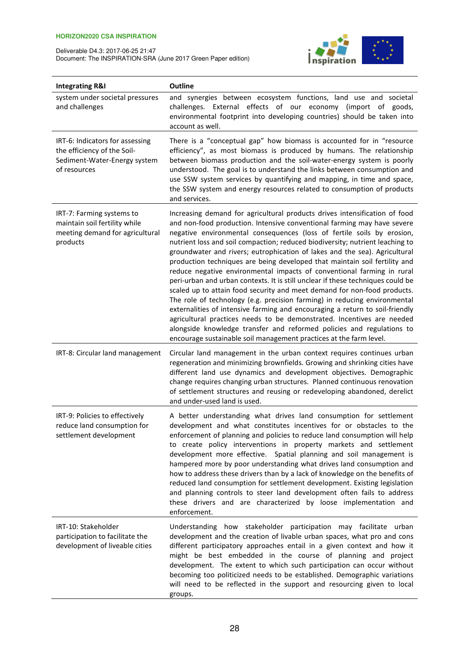

| <b>Integrating R&amp;I</b>                                                                                     | Outline                                                                                                                                                                                                                                                                                                                                                                                                                                                                                                                                                                                                                                                                                                                                                                                                                                                                                                                                                                                                                                                                                                     |  |
|----------------------------------------------------------------------------------------------------------------|-------------------------------------------------------------------------------------------------------------------------------------------------------------------------------------------------------------------------------------------------------------------------------------------------------------------------------------------------------------------------------------------------------------------------------------------------------------------------------------------------------------------------------------------------------------------------------------------------------------------------------------------------------------------------------------------------------------------------------------------------------------------------------------------------------------------------------------------------------------------------------------------------------------------------------------------------------------------------------------------------------------------------------------------------------------------------------------------------------------|--|
| system under societal pressures<br>and challenges                                                              | and synergies between ecosystem functions, land use and societal<br>challenges. External effects of our economy (import of goods,<br>environmental footprint into developing countries) should be taken into<br>account as well.                                                                                                                                                                                                                                                                                                                                                                                                                                                                                                                                                                                                                                                                                                                                                                                                                                                                            |  |
| IRT-6: Indicators for assessing<br>the efficiency of the Soil-<br>Sediment-Water-Energy system<br>of resources | There is a "conceptual gap" how biomass is accounted for in "resource<br>efficiency", as most biomass is produced by humans. The relationship<br>between biomass production and the soil-water-energy system is poorly<br>understood. The goal is to understand the links between consumption and<br>use SSW system services by quantifying and mapping, in time and space,<br>the SSW system and energy resources related to consumption of products<br>and services.                                                                                                                                                                                                                                                                                                                                                                                                                                                                                                                                                                                                                                      |  |
| IRT-7: Farming systems to<br>maintain soil fertility while<br>meeting demand for agricultural<br>products      | Increasing demand for agricultural products drives intensification of food<br>and non-food production. Intensive conventional farming may have severe<br>negative environmental consequences (loss of fertile soils by erosion,<br>nutrient loss and soil compaction; reduced biodiversity; nutrient leaching to<br>groundwater and rivers; eutrophication of lakes and the sea). Agricultural<br>production techniques are being developed that maintain soil fertility and<br>reduce negative environmental impacts of conventional farming in rural<br>peri-urban and urban contexts. It is still unclear if these techniques could be<br>scaled up to attain food security and meet demand for non-food products.<br>The role of technology (e.g. precision farming) in reducing environmental<br>externalities of intensive farming and encouraging a return to soil-friendly<br>agricultural practices needs to be demonstrated. Incentives are needed<br>alongside knowledge transfer and reformed policies and regulations to<br>encourage sustainable soil management practices at the farm level. |  |
| IRT-8: Circular land management                                                                                | Circular land management in the urban context requires continues urban<br>regeneration and minimizing brownfields. Growing and shrinking cities have<br>different land use dynamics and development objectives. Demographic<br>change requires changing urban structures. Planned continuous renovation<br>of settlement structures and reusing or redeveloping abandoned, derelict<br>and under-used land is used.                                                                                                                                                                                                                                                                                                                                                                                                                                                                                                                                                                                                                                                                                         |  |
| IRT-9: Policies to effectively<br>reduce land consumption for<br>settlement development                        | A better understanding what drives land consumption for settlement<br>development and what constitutes incentives for or obstacles to the<br>enforcement of planning and policies to reduce land consumption will help<br>to create policy interventions in property markets and settlement<br>development more effective. Spatial planning and soil management is<br>hampered more by poor understanding what drives land consumption and<br>how to address these drivers than by a lack of knowledge on the benefits of<br>reduced land consumption for settlement development. Existing legislation<br>and planning controls to steer land development often fails to address<br>these drivers and are characterized by loose implementation and<br>enforcement.                                                                                                                                                                                                                                                                                                                                         |  |
| IRT-10: Stakeholder<br>participation to facilitate the<br>development of liveable cities                       | Understanding how stakeholder participation may facilitate urban<br>development and the creation of livable urban spaces, what pro and cons<br>different participatory approaches entail in a given context and how it<br>might be best embedded in the course of planning and project<br>development. The extent to which such participation can occur without<br>becoming too politicized needs to be established. Demographic variations<br>will need to be reflected in the support and resourcing given to local<br>groups.                                                                                                                                                                                                                                                                                                                                                                                                                                                                                                                                                                            |  |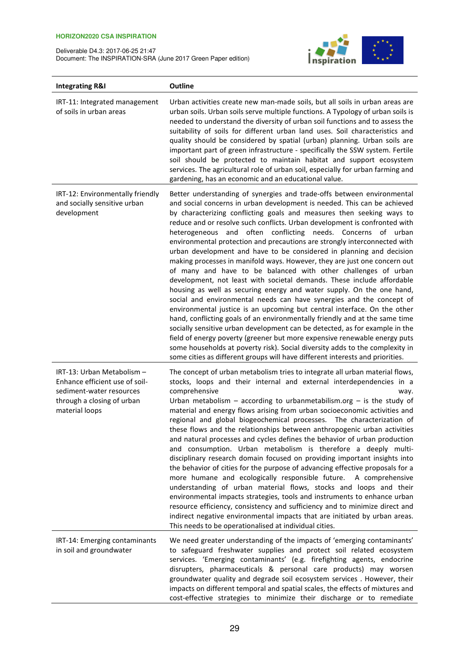

| <b>Integrating R&amp;I</b>                                                                                                               | <b>Outline</b>                                                                                                                                                                                                                                                                                                                                                                                                                                                                                                                                                                                                                                                                                                                                                                                                                                                                                                                                                                                                                                                                                                                                                                                                                                                                                                                                                                                   |  |
|------------------------------------------------------------------------------------------------------------------------------------------|--------------------------------------------------------------------------------------------------------------------------------------------------------------------------------------------------------------------------------------------------------------------------------------------------------------------------------------------------------------------------------------------------------------------------------------------------------------------------------------------------------------------------------------------------------------------------------------------------------------------------------------------------------------------------------------------------------------------------------------------------------------------------------------------------------------------------------------------------------------------------------------------------------------------------------------------------------------------------------------------------------------------------------------------------------------------------------------------------------------------------------------------------------------------------------------------------------------------------------------------------------------------------------------------------------------------------------------------------------------------------------------------------|--|
| IRT-11: Integrated management<br>of soils in urban areas                                                                                 | Urban activities create new man-made soils, but all soils in urban areas are<br>urban soils. Urban soils serve multiple functions. A Typology of urban soils is<br>needed to understand the diversity of urban soil functions and to assess the<br>suitability of soils for different urban land uses. Soil characteristics and<br>quality should be considered by spatial (urban) planning. Urban soils are<br>important part of green infrastructure - specifically the SSW system. Fertile<br>soil should be protected to maintain habitat and support ecosystem<br>services. The agricultural role of urban soil, especially for urban farming and<br>gardening, has an economic and an educational value.                                                                                                                                                                                                                                                                                                                                                                                                                                                                                                                                                                                                                                                                                   |  |
| IRT-12: Environmentally friendly<br>and socially sensitive urban<br>development                                                          | Better understanding of synergies and trade-offs between environmental<br>and social concerns in urban development is needed. This can be achieved<br>by characterizing conflicting goals and measures then seeking ways to<br>reduce and or resolve such conflicts. Urban development is confronted with<br>heterogeneous and often conflicting needs. Concerns of urban<br>environmental protection and precautions are strongly interconnected with<br>urban development and have to be considered in planning and decision<br>making processes in manifold ways. However, they are just one concern out<br>of many and have to be balanced with other challenges of urban<br>development, not least with societal demands. These include affordable<br>housing as well as securing energy and water supply. On the one hand,<br>social and environmental needs can have synergies and the concept of<br>environmental justice is an upcoming but central interface. On the other<br>hand, conflicting goals of an environmentally friendly and at the same time<br>socially sensitive urban development can be detected, as for example in the<br>field of energy poverty (greener but more expensive renewable energy puts<br>some households at poverty risk). Social diversity adds to the complexity in<br>some cities as different groups will have different interests and priorities. |  |
| IRT-13: Urban Metabolism -<br>Enhance efficient use of soil-<br>sediment-water resources<br>through a closing of urban<br>material loops | The concept of urban metabolism tries to integrate all urban material flows,<br>stocks, loops and their internal and external interdependencies in a<br>comprehensive<br>way.<br>Urban metabolism $-$ according to urbanmetabilism.org $-$ is the study of<br>material and energy flows arising from urban socioeconomic activities and<br>regional and global biogeochemical processes. The characterization of<br>these flows and the relationships between anthropogenic urban activities<br>and natural processes and cycles defines the behavior of urban production<br>and consumption. Urban metabolism is therefore a deeply multi-<br>disciplinary research domain focused on providing important insights into<br>the behavior of cities for the purpose of advancing effective proposals for a<br>more humane and ecologically responsible future. A comprehensive<br>understanding of urban material flows, stocks and loops and their<br>environmental impacts strategies, tools and instruments to enhance urban<br>resource efficiency, consistency and sufficiency and to minimize direct and<br>indirect negative environmental impacts that are initiated by urban areas.<br>This needs to be operationalised at individual cities.                                                                                                                                            |  |
| IRT-14: Emerging contaminants<br>in soil and groundwater                                                                                 | We need greater understanding of the impacts of 'emerging contaminants'<br>to safeguard freshwater supplies and protect soil related ecosystem<br>services. 'Emerging contaminants' (e.g. firefighting agents, endocrine<br>disrupters, pharmaceuticals & personal care products) may worsen<br>groundwater quality and degrade soil ecosystem services. However, their<br>impacts on different temporal and spatial scales, the effects of mixtures and<br>cost-effective strategies to minimize their discharge or to remediate                                                                                                                                                                                                                                                                                                                                                                                                                                                                                                                                                                                                                                                                                                                                                                                                                                                                |  |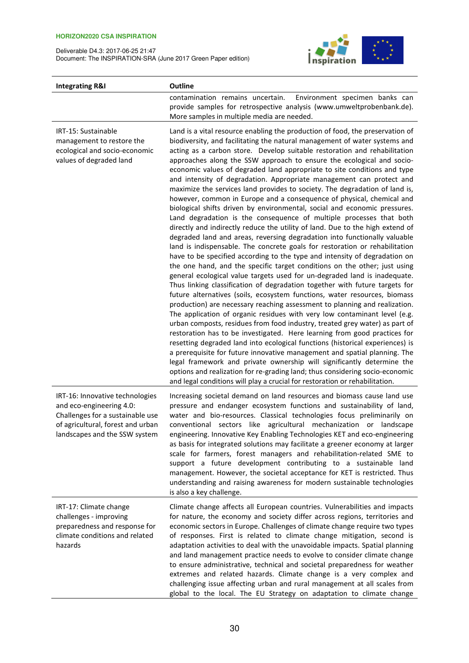

| <b>Integrating R&amp;I</b>                                                                                                                                            | <b>Outline</b>                                                                                                                                                                                                                                                                                                                                                                                                                                                                                                                                                                                                                                                                                                                                                                                                                                                                                                                                                                                                                                                                                                                                                                                                                                                                                                                                                                                                                                                                                                                                                                                                                                                                                                                                                                                                                                                                                                                                                                                                                                                                                                                                                   |  |
|-----------------------------------------------------------------------------------------------------------------------------------------------------------------------|------------------------------------------------------------------------------------------------------------------------------------------------------------------------------------------------------------------------------------------------------------------------------------------------------------------------------------------------------------------------------------------------------------------------------------------------------------------------------------------------------------------------------------------------------------------------------------------------------------------------------------------------------------------------------------------------------------------------------------------------------------------------------------------------------------------------------------------------------------------------------------------------------------------------------------------------------------------------------------------------------------------------------------------------------------------------------------------------------------------------------------------------------------------------------------------------------------------------------------------------------------------------------------------------------------------------------------------------------------------------------------------------------------------------------------------------------------------------------------------------------------------------------------------------------------------------------------------------------------------------------------------------------------------------------------------------------------------------------------------------------------------------------------------------------------------------------------------------------------------------------------------------------------------------------------------------------------------------------------------------------------------------------------------------------------------------------------------------------------------------------------------------------------------|--|
|                                                                                                                                                                       | contamination remains uncertain.<br>Environment specimen banks can<br>provide samples for retrospective analysis (www.umweltprobenbank.de).<br>More samples in multiple media are needed.                                                                                                                                                                                                                                                                                                                                                                                                                                                                                                                                                                                                                                                                                                                                                                                                                                                                                                                                                                                                                                                                                                                                                                                                                                                                                                                                                                                                                                                                                                                                                                                                                                                                                                                                                                                                                                                                                                                                                                        |  |
| IRT-15: Sustainable<br>management to restore the<br>ecological and socio-economic<br>values of degraded land                                                          | Land is a vital resource enabling the production of food, the preservation of<br>biodiversity, and facilitating the natural management of water systems and<br>acting as a carbon store. Develop suitable restoration and rehabilitation<br>approaches along the SSW approach to ensure the ecological and socio-<br>economic values of degraded land appropriate to site conditions and type<br>and intensity of degradation. Appropriate management can protect and<br>maximize the services land provides to society. The degradation of land is,<br>however, common in Europe and a consequence of physical, chemical and<br>biological shifts driven by environmental, social and economic pressures.<br>Land degradation is the consequence of multiple processes that both<br>directly and indirectly reduce the utility of land. Due to the high extend of<br>degraded land and areas, reversing degradation into functionally valuable<br>land is indispensable. The concrete goals for restoration or rehabilitation<br>have to be specified according to the type and intensity of degradation on<br>the one hand, and the specific target conditions on the other; just using<br>general ecological value targets used for un-degraded land is inadequate.<br>Thus linking classification of degradation together with future targets for<br>future alternatives (soils, ecosystem functions, water resources, biomass<br>production) are necessary reaching assessment to planning and realization.<br>The application of organic residues with very low contaminant level (e.g.<br>urban composts, residues from food industry, treated grey water) as part of<br>restoration has to be investigated. Here learning from good practices for<br>resetting degraded land into ecological functions (historical experiences) is<br>a prerequisite for future innovative management and spatial planning. The<br>legal framework and private ownership will significantly determine the<br>options and realization for re-grading land; thus considering socio-economic<br>and legal conditions will play a crucial for restoration or rehabilitation. |  |
| IRT-16: Innovative technologies<br>and eco-engineering 4.0:<br>Challenges for a sustainable use<br>of agricultural, forest and urban<br>landscapes and the SSW system | Increasing societal demand on land resources and biomass cause land use<br>pressure and endanger ecosystem functions and sustainability of land,<br>water and bio-resources. Classical technologies focus preliminarily on<br>conventional sectors like agricultural mechanization or landscape<br>engineering. Innovative Key Enabling Technologies KET and eco-engineering<br>as basis for integrated solutions may facilitate a greener economy at larger<br>scale for farmers, forest managers and rehabilitation-related SME to<br>support a future development contributing to a sustainable land<br>management. However, the societal acceptance for KET is restricted. Thus<br>understanding and raising awareness for modern sustainable technologies<br>is also a key challenge.                                                                                                                                                                                                                                                                                                                                                                                                                                                                                                                                                                                                                                                                                                                                                                                                                                                                                                                                                                                                                                                                                                                                                                                                                                                                                                                                                                       |  |
| IRT-17: Climate change<br>challenges - improving<br>preparedness and response for<br>climate conditions and related<br>hazards                                        | Climate change affects all European countries. Vulnerabilities and impacts<br>for nature, the economy and society differ across regions, territories and<br>economic sectors in Europe. Challenges of climate change require two types<br>of responses. First is related to climate change mitigation, second is<br>adaptation activities to deal with the unavoidable impacts. Spatial planning<br>and land management practice needs to evolve to consider climate change<br>to ensure administrative, technical and societal preparedness for weather<br>extremes and related hazards. Climate change is a very complex and<br>challenging issue affecting urban and rural management at all scales from<br>global to the local. The EU Strategy on adaptation to climate change                                                                                                                                                                                                                                                                                                                                                                                                                                                                                                                                                                                                                                                                                                                                                                                                                                                                                                                                                                                                                                                                                                                                                                                                                                                                                                                                                                              |  |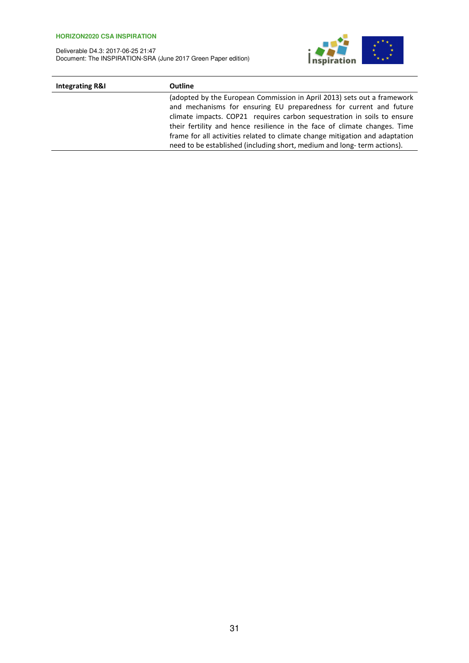

| <b>Integrating R&amp;I</b> | <b>Outline</b>                                                                                                                                                                                                                                                                                                                                                                                                                                                   |
|----------------------------|------------------------------------------------------------------------------------------------------------------------------------------------------------------------------------------------------------------------------------------------------------------------------------------------------------------------------------------------------------------------------------------------------------------------------------------------------------------|
|                            | (adopted by the European Commission in April 2013) sets out a framework<br>and mechanisms for ensuring EU preparedness for current and future<br>climate impacts. COP21 requires carbon sequestration in soils to ensure<br>their fertility and hence resilience in the face of climate changes. Time<br>frame for all activities related to climate change mitigation and adaptation<br>need to be established (including short, medium and long-term actions). |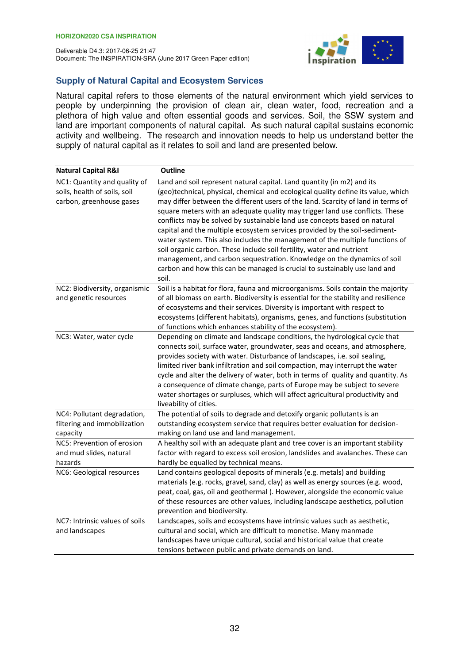

# **Supply of Natural Capital and Ecosystem Services**

Natural capital refers to those elements of the natural environment which yield services to people by underpinning the provision of clean air, clean water, food, recreation and a plethora of high value and often essential goods and services. Soil, the SSW system and land are important components of natural capital. As such natural capital sustains economic activity and wellbeing. The research and innovation needs to help us understand better the supply of natural capital as it relates to soil and land are presented below.

| <b>Natural Capital R&amp;I</b>                                                           | Outline                                                                                                                                                                                                                                                                                                                                                                                                                                                                                                                                                                                                                                                                                                                                                                                                              |
|------------------------------------------------------------------------------------------|----------------------------------------------------------------------------------------------------------------------------------------------------------------------------------------------------------------------------------------------------------------------------------------------------------------------------------------------------------------------------------------------------------------------------------------------------------------------------------------------------------------------------------------------------------------------------------------------------------------------------------------------------------------------------------------------------------------------------------------------------------------------------------------------------------------------|
| NC1: Quantity and quality of<br>soils, health of soils, soil<br>carbon, greenhouse gases | Land and soil represent natural capital. Land quantity (in m2) and its<br>(geo)technical, physical, chemical and ecological quality define its value, which<br>may differ between the different users of the land. Scarcity of land in terms of<br>square meters with an adequate quality may trigger land use conflicts. These<br>conflicts may be solved by sustainable land use concepts based on natural<br>capital and the multiple ecosystem services provided by the soil-sediment-<br>water system. This also includes the management of the multiple functions of<br>soil organic carbon. These include soil fertility, water and nutrient<br>management, and carbon sequestration. Knowledge on the dynamics of soil<br>carbon and how this can be managed is crucial to sustainably use land and<br>soil. |
| NC2: Biodiversity, organismic<br>and genetic resources                                   | Soil is a habitat for flora, fauna and microorganisms. Soils contain the majority<br>of all biomass on earth. Biodiversity is essential for the stability and resilience<br>of ecosystems and their services. Diversity is important with respect to<br>ecosystems (different habitats), organisms, genes, and functions (substitution<br>of functions which enhances stability of the ecosystem).                                                                                                                                                                                                                                                                                                                                                                                                                   |
| NC3: Water, water cycle                                                                  | Depending on climate and landscape conditions, the hydrological cycle that<br>connects soil, surface water, groundwater, seas and oceans, and atmosphere,<br>provides society with water. Disturbance of landscapes, i.e. soil sealing,<br>limited river bank infiltration and soil compaction, may interrupt the water<br>cycle and alter the delivery of water, both in terms of quality and quantity. As<br>a consequence of climate change, parts of Europe may be subject to severe<br>water shortages or surpluses, which will affect agricultural productivity and<br>liveability of cities.                                                                                                                                                                                                                  |
| NC4: Pollutant degradation,<br>filtering and immobilization<br>capacity                  | The potential of soils to degrade and detoxify organic pollutants is an<br>outstanding ecosystem service that requires better evaluation for decision-<br>making on land use and land management.                                                                                                                                                                                                                                                                                                                                                                                                                                                                                                                                                                                                                    |
| NC5: Prevention of erosion<br>and mud slides, natural<br>hazards                         | A healthy soil with an adequate plant and tree cover is an important stability<br>factor with regard to excess soil erosion, landslides and avalanches. These can<br>hardly be equalled by technical means.                                                                                                                                                                                                                                                                                                                                                                                                                                                                                                                                                                                                          |
| NC6: Geological resources                                                                | Land contains geological deposits of minerals (e.g. metals) and building<br>materials (e.g. rocks, gravel, sand, clay) as well as energy sources (e.g. wood,<br>peat, coal, gas, oil and geothermal). However, alongside the economic value<br>of these resources are other values, including landscape aesthetics, pollution<br>prevention and biodiversity.                                                                                                                                                                                                                                                                                                                                                                                                                                                        |
| NC7: Intrinsic values of soils<br>and landscapes                                         | Landscapes, soils and ecosystems have intrinsic values such as aesthetic,<br>cultural and social, which are difficult to monetise. Many manmade<br>landscapes have unique cultural, social and historical value that create<br>tensions between public and private demands on land.                                                                                                                                                                                                                                                                                                                                                                                                                                                                                                                                  |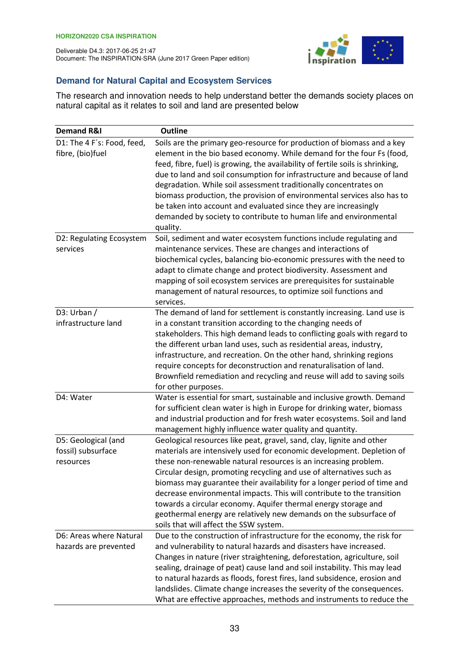

# **Demand for Natural Capital and Ecosystem Services**

The research and innovation needs to help understand better the demands society places on natural capital as it relates to soil and land are presented below

| <b>Demand R&amp;I</b>                                                                  | <b>Outline</b>                                                                                                                                                                                                                                                                                                                                                                                                                                                                                                                                                                                                                                                                                                                                        |
|----------------------------------------------------------------------------------------|-------------------------------------------------------------------------------------------------------------------------------------------------------------------------------------------------------------------------------------------------------------------------------------------------------------------------------------------------------------------------------------------------------------------------------------------------------------------------------------------------------------------------------------------------------------------------------------------------------------------------------------------------------------------------------------------------------------------------------------------------------|
| D1: The 4 F's: Food, feed,<br>fibre, (bio)fuel<br>D2: Regulating Ecosystem<br>services | Soils are the primary geo-resource for production of biomass and a key<br>element in the bio based economy. While demand for the four Fs (food,<br>feed, fibre, fuel) is growing, the availability of fertile soils is shrinking,<br>due to land and soil consumption for infrastructure and because of land<br>degradation. While soil assessment traditionally concentrates on<br>biomass production, the provision of environmental services also has to<br>be taken into account and evaluated since they are increasingly<br>demanded by society to contribute to human life and environmental<br>quality.<br>Soil, sediment and water ecosystem functions include regulating and<br>maintenance services. These are changes and interactions of |
|                                                                                        | biochemical cycles, balancing bio-economic pressures with the need to<br>adapt to climate change and protect biodiversity. Assessment and<br>mapping of soil ecosystem services are prerequisites for sustainable<br>management of natural resources, to optimize soil functions and<br>services.                                                                                                                                                                                                                                                                                                                                                                                                                                                     |
| D3: Urban /<br>infrastructure land                                                     | The demand of land for settlement is constantly increasing. Land use is<br>in a constant transition according to the changing needs of<br>stakeholders. This high demand leads to conflicting goals with regard to<br>the different urban land uses, such as residential areas, industry,<br>infrastructure, and recreation. On the other hand, shrinking regions<br>require concepts for deconstruction and renaturalisation of land.<br>Brownfield remediation and recycling and reuse will add to saving soils<br>for other purposes.                                                                                                                                                                                                              |
| D4: Water                                                                              | Water is essential for smart, sustainable and inclusive growth. Demand<br>for sufficient clean water is high in Europe for drinking water, biomass<br>and industrial production and for fresh water ecosystems. Soil and land<br>management highly influence water quality and quantity.                                                                                                                                                                                                                                                                                                                                                                                                                                                              |
| D5: Geological (and<br>fossil) subsurface<br>resources                                 | Geological resources like peat, gravel, sand, clay, lignite and other<br>materials are intensively used for economic development. Depletion of<br>these non-renewable natural resources is an increasing problem.<br>Circular design, promoting recycling and use of alternatives such as<br>biomass may guarantee their availability for a longer period of time and<br>decrease environmental impacts. This will contribute to the transition<br>towards a circular economy. Aquifer thermal energy storage and<br>geothermal energy are relatively new demands on the subsurface of<br>soils that will affect the SSW system.                                                                                                                      |
| D6: Areas where Natural<br>hazards are prevented                                       | Due to the construction of infrastructure for the economy, the risk for<br>and vulnerability to natural hazards and disasters have increased.<br>Changes in nature (river straightening, deforestation, agriculture, soil<br>sealing, drainage of peat) cause land and soil instability. This may lead<br>to natural hazards as floods, forest fires, land subsidence, erosion and<br>landslides. Climate change increases the severity of the consequences.<br>What are effective approaches, methods and instruments to reduce the                                                                                                                                                                                                                  |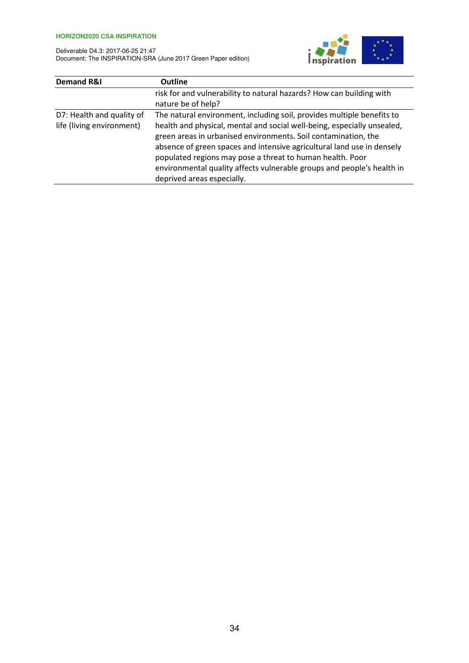

| <b>Demand R&amp;I</b>     | <b>Outline</b>                                                                                                                                                                                                                                                                                                                                                                           |
|---------------------------|------------------------------------------------------------------------------------------------------------------------------------------------------------------------------------------------------------------------------------------------------------------------------------------------------------------------------------------------------------------------------------------|
|                           | risk for and vulnerability to natural hazards? How can building with                                                                                                                                                                                                                                                                                                                     |
|                           | nature be of help?                                                                                                                                                                                                                                                                                                                                                                       |
| D7: Health and quality of | The natural environment, including soil, provides multiple benefits to                                                                                                                                                                                                                                                                                                                   |
| life (living environment) | health and physical, mental and social well-being, especially unsealed,<br>green areas in urbanised environments. Soil contamination, the<br>absence of green spaces and intensive agricultural land use in densely<br>populated regions may pose a threat to human health. Poor<br>environmental quality affects vulnerable groups and people's health in<br>deprived areas especially. |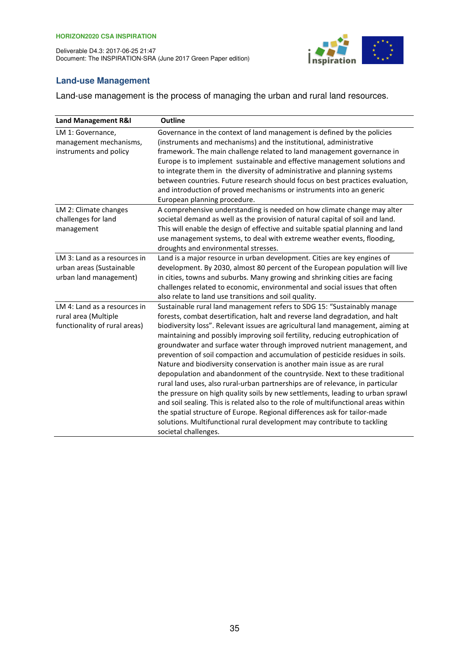Deliverable D4.3: 2017-06-25 21:47 Document: The INSPIRATION-SRA (June 2017 Green Paper edition)



# **Land-use Management**

Land-use management is the process of managing the urban and rural land resources.

| <b>Land Management R&amp;I</b>                                                        | <b>Outline</b>                                                                                                                                                                                                                                                                                                                                                                                                                                                                                                                                                                                                                                                                                                                                                                                                                                                                                                                                                                                                                                                                              |
|---------------------------------------------------------------------------------------|---------------------------------------------------------------------------------------------------------------------------------------------------------------------------------------------------------------------------------------------------------------------------------------------------------------------------------------------------------------------------------------------------------------------------------------------------------------------------------------------------------------------------------------------------------------------------------------------------------------------------------------------------------------------------------------------------------------------------------------------------------------------------------------------------------------------------------------------------------------------------------------------------------------------------------------------------------------------------------------------------------------------------------------------------------------------------------------------|
| LM 1: Governance,<br>management mechanisms,<br>instruments and policy                 | Governance in the context of land management is defined by the policies<br>(instruments and mechanisms) and the institutional, administrative<br>framework. The main challenge related to land management governance in<br>Europe is to implement sustainable and effective management solutions and<br>to integrate them in the diversity of administrative and planning systems<br>between countries. Future research should focus on best practices evaluation,<br>and introduction of proved mechanisms or instruments into an generic<br>European planning procedure.                                                                                                                                                                                                                                                                                                                                                                                                                                                                                                                  |
| LM 2: Climate changes<br>challenges for land<br>management                            | A comprehensive understanding is needed on how climate change may alter<br>societal demand as well as the provision of natural capital of soil and land.<br>This will enable the design of effective and suitable spatial planning and land<br>use management systems, to deal with extreme weather events, flooding,<br>droughts and environmental stresses.                                                                                                                                                                                                                                                                                                                                                                                                                                                                                                                                                                                                                                                                                                                               |
| LM 3: Land as a resources in<br>urban areas (Sustainable<br>urban land management)    | Land is a major resource in urban development. Cities are key engines of<br>development. By 2030, almost 80 percent of the European population will live<br>in cities, towns and suburbs. Many growing and shrinking cities are facing<br>challenges related to economic, environmental and social issues that often<br>also relate to land use transitions and soil quality.                                                                                                                                                                                                                                                                                                                                                                                                                                                                                                                                                                                                                                                                                                               |
| LM 4: Land as a resources in<br>rural area (Multiple<br>functionality of rural areas) | Sustainable rural land management refers to SDG 15: "Sustainably manage<br>forests, combat desertification, halt and reverse land degradation, and halt<br>biodiversity loss". Relevant issues are agricultural land management, aiming at<br>maintaining and possibly improving soil fertility, reducing eutrophication of<br>groundwater and surface water through improved nutrient management, and<br>prevention of soil compaction and accumulation of pesticide residues in soils.<br>Nature and biodiversity conservation is another main issue as are rural<br>depopulation and abandonment of the countryside. Next to these traditional<br>rural land uses, also rural-urban partnerships are of relevance, in particular<br>the pressure on high quality soils by new settlements, leading to urban sprawl<br>and soil sealing. This is related also to the role of multifunctional areas within<br>the spatial structure of Europe. Regional differences ask for tailor-made<br>solutions. Multifunctional rural development may contribute to tackling<br>societal challenges. |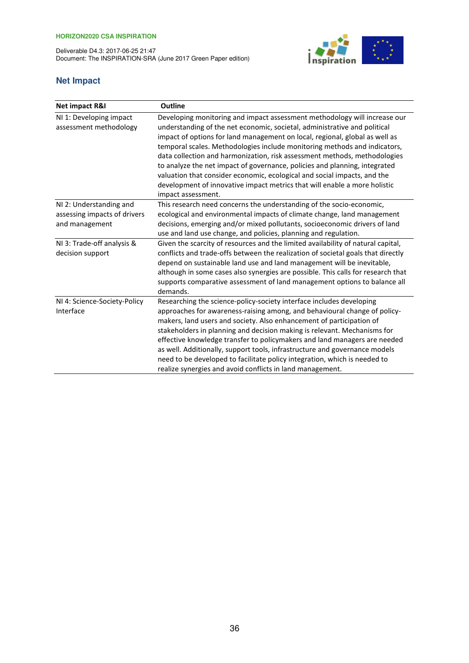Deliverable D4.3: 2017-06-25 21:47 Document: The INSPIRATION-SRA (June 2017 Green Paper edition)



# **Net Impact**

| Net impact R&I                                                            | <b>Outline</b>                                                                                                                                                                                                                                                                                                                                                                                                                                                                                                                                                                                                                                               |  |
|---------------------------------------------------------------------------|--------------------------------------------------------------------------------------------------------------------------------------------------------------------------------------------------------------------------------------------------------------------------------------------------------------------------------------------------------------------------------------------------------------------------------------------------------------------------------------------------------------------------------------------------------------------------------------------------------------------------------------------------------------|--|
| NI 1: Developing impact<br>assessment methodology                         | Developing monitoring and impact assessment methodology will increase our<br>understanding of the net economic, societal, administrative and political<br>impact of options for land management on local, regional, global as well as<br>temporal scales. Methodologies include monitoring methods and indicators,<br>data collection and harmonization, risk assessment methods, methodologies<br>to analyze the net impact of governance, policies and planning, integrated<br>valuation that consider economic, ecological and social impacts, and the<br>development of innovative impact metrics that will enable a more holistic<br>impact assessment. |  |
| NI 2: Understanding and<br>assessing impacts of drivers<br>and management | This research need concerns the understanding of the socio-economic,<br>ecological and environmental impacts of climate change, land management<br>decisions, emerging and/or mixed pollutants, socioeconomic drivers of land<br>use and land use change, and policies, planning and regulation.                                                                                                                                                                                                                                                                                                                                                             |  |
| NI 3: Trade-off analysis &<br>decision support                            | Given the scarcity of resources and the limited availability of natural capital,<br>conflicts and trade-offs between the realization of societal goals that directly<br>depend on sustainable land use and land management will be inevitable,<br>although in some cases also synergies are possible. This calls for research that<br>supports comparative assessment of land management options to balance all<br>demands.                                                                                                                                                                                                                                  |  |
| NI 4: Science-Society-Policy<br>Interface                                 | Researching the science-policy-society interface includes developing<br>approaches for awareness-raising among, and behavioural change of policy-<br>makers, land users and society. Also enhancement of participation of<br>stakeholders in planning and decision making is relevant. Mechanisms for<br>effective knowledge transfer to policymakers and land managers are needed<br>as well. Additionally, support tools, infrastructure and governance models<br>need to be developed to facilitate policy integration, which is needed to<br>realize synergies and avoid conflicts in land management.                                                   |  |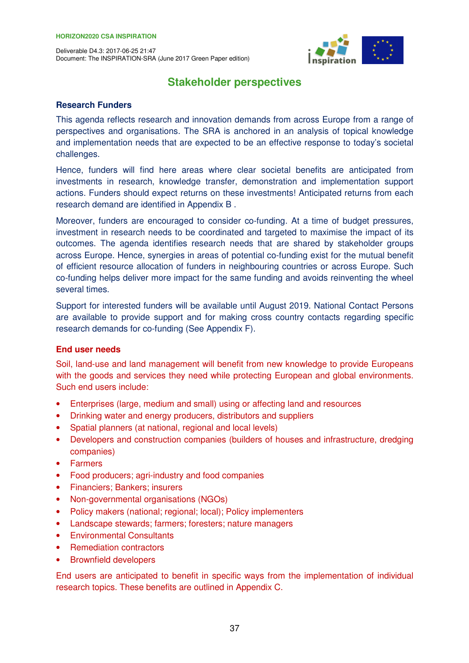

# **Stakeholder perspectives**

# **Research Funders**

This agenda reflects research and innovation demands from across Europe from a range of perspectives and organisations. The SRA is anchored in an analysis of topical knowledge and implementation needs that are expected to be an effective response to today's societal challenges.

Hence, funders will find here areas where clear societal benefits are anticipated from investments in research, knowledge transfer, demonstration and implementation support actions. Funders should expect returns on these investments! Anticipated returns from each research demand are identified in Appendix B .

Moreover, funders are encouraged to consider co-funding. At a time of budget pressures, investment in research needs to be coordinated and targeted to maximise the impact of its outcomes. The agenda identifies research needs that are shared by stakeholder groups across Europe. Hence, synergies in areas of potential co-funding exist for the mutual benefit of efficient resource allocation of funders in neighbouring countries or across Europe. Such co-funding helps deliver more impact for the same funding and avoids reinventing the wheel several times.

Support for interested funders will be available until August 2019. National Contact Persons are available to provide support and for making cross country contacts regarding specific research demands for co-funding (See Appendix F).

# **End user needs**

Soil, land-use and land management will benefit from new knowledge to provide Europeans with the goods and services they need while protecting European and global environments. Such end users include:

- Enterprises (large, medium and small) using or affecting land and resources
- Drinking water and energy producers, distributors and suppliers
- Spatial planners (at national, regional and local levels)
- Developers and construction companies (builders of houses and infrastructure, dredging companies)
- Farmers
- Food producers; agri-industry and food companies
- Financiers; Bankers; insurers
- Non-governmental organisations (NGOs)
- Policy makers (national; regional; local); Policy implementers
- Landscape stewards; farmers; foresters; nature managers
- Environmental Consultants
- Remediation contractors
- Brownfield developers

End users are anticipated to benefit in specific ways from the implementation of individual research topics. These benefits are outlined in Appendix C.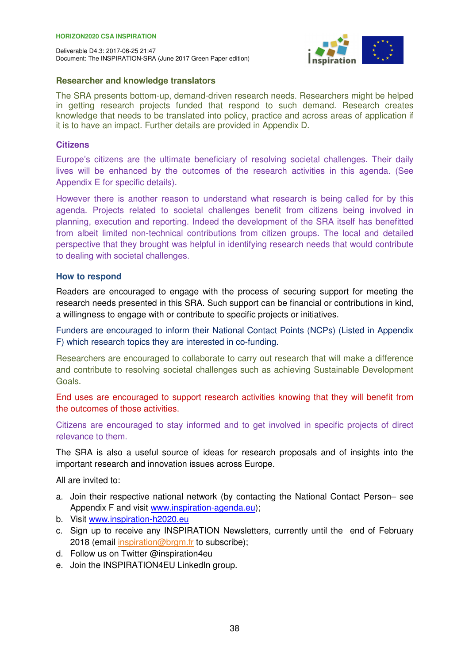

# **Researcher and knowledge translators**

The SRA presents bottom-up, demand-driven research needs. Researchers might be helped in getting research projects funded that respond to such demand. Research creates knowledge that needs to be translated into policy, practice and across areas of application if it is to have an impact. Further details are provided in Appendix D.

# **Citizens**

Europe's citizens are the ultimate beneficiary of resolving societal challenges. Their daily lives will be enhanced by the outcomes of the research activities in this agenda. (See Appendix E for specific details).

However there is another reason to understand what research is being called for by this agenda. Projects related to societal challenges benefit from citizens being involved in planning, execution and reporting. Indeed the development of the SRA itself has benefitted from albeit limited non-technical contributions from citizen groups. The local and detailed perspective that they brought was helpful in identifying research needs that would contribute to dealing with societal challenges.

# **How to respond**

Readers are encouraged to engage with the process of securing support for meeting the research needs presented in this SRA. Such support can be financial or contributions in kind, a willingness to engage with or contribute to specific projects or initiatives.

Funders are encouraged to inform their National Contact Points (NCPs) (Listed in Appendix F) which research topics they are interested in co-funding.

Researchers are encouraged to collaborate to carry out research that will make a difference and contribute to resolving societal challenges such as achieving Sustainable Development Goals.

End uses are encouraged to support research activities knowing that they will benefit from the outcomes of those activities.

Citizens are encouraged to stay informed and to get involved in specific projects of direct relevance to them.

The SRA is also a useful source of ideas for research proposals and of insights into the important research and innovation issues across Europe.

All are invited to:

- a. Join their respective national network (by contacting the National Contact Person– see Appendix F and visit www.inspiration-agenda.eu):
- b. Visit www.inspiration-h2020.eu
- c. Sign up to receive any INSPIRATION Newsletters, currently until the end of February 2018 (email inspiration@brgm.fr to subscribe);
- d. Follow us on Twitter @inspiration4eu
- e. Join the INSPIRATION4EU LinkedIn group.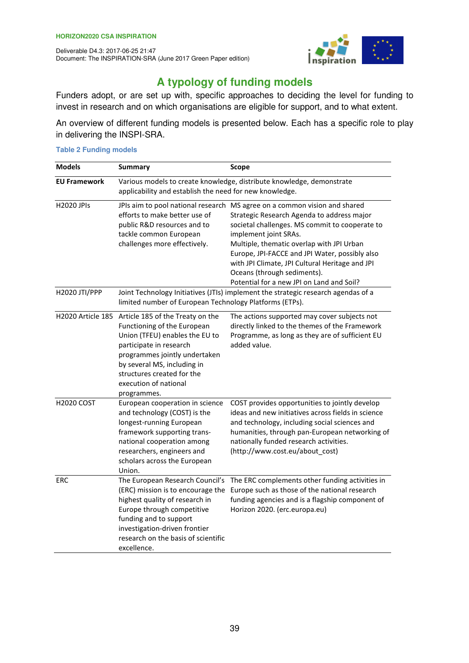

# **A typology of funding models**

Funders adopt, or are set up with, specific approaches to deciding the level for funding to invest in research and on which organisations are eligible for support, and to what extent.

An overview of different funding models is presented below. Each has a specific role to play in delivering the INSPI-SRA.

# **Table 2 Funding models**

| <b>Models</b>            | Summary                                                                                                                                                                                                                                                            | <b>Scope</b>                                                                                                                                                                                                                                                                                                                                                                                                                     |
|--------------------------|--------------------------------------------------------------------------------------------------------------------------------------------------------------------------------------------------------------------------------------------------------------------|----------------------------------------------------------------------------------------------------------------------------------------------------------------------------------------------------------------------------------------------------------------------------------------------------------------------------------------------------------------------------------------------------------------------------------|
| <b>EU Framework</b>      | Various models to create knowledge, distribute knowledge, demonstrate<br>applicability and establish the need for new knowledge.                                                                                                                                   |                                                                                                                                                                                                                                                                                                                                                                                                                                  |
| <b>H2020 JPIs</b>        | efforts to make better use of<br>public R&D resources and to<br>tackle common European<br>challenges more effectively.                                                                                                                                             | JPIs aim to pool national research MS agree on a common vision and shared<br>Strategic Research Agenda to address major<br>societal challenges. MS commit to cooperate to<br>implement joint SRAs.<br>Multiple, thematic overlap with JPI Urban<br>Europe, JPI-FACCE and JPI Water, possibly also<br>with JPI Climate, JPI Cultural Heritage and JPI<br>Oceans (through sediments).<br>Potential for a new JPI on Land and Soil? |
| H2020 JTI/PPP            | Joint Technology Initiatives (JTIs) implement the strategic research agendas of a<br>limited number of European Technology Platforms (ETPs).                                                                                                                       |                                                                                                                                                                                                                                                                                                                                                                                                                                  |
| <b>H2020 Article 185</b> | Article 185 of the Treaty on the<br>Functioning of the European<br>Union (TFEU) enables the EU to<br>participate in research<br>programmes jointly undertaken<br>by several MS, including in<br>structures created for the<br>execution of national<br>programmes. | The actions supported may cover subjects not<br>directly linked to the themes of the Framework<br>Programme, as long as they are of sufficient EU<br>added value.                                                                                                                                                                                                                                                                |
| <b>H2020 COST</b>        | European cooperation in science<br>and technology (COST) is the<br>longest-running European<br>framework supporting trans-<br>national cooperation among<br>researchers, engineers and<br>scholars across the European<br>Union.                                   | COST provides opportunities to jointly develop<br>ideas and new initiatives across fields in science<br>and technology, including social sciences and<br>humanities, through pan-European networking of<br>nationally funded research activities.<br>(http://www.cost.eu/about_cost)                                                                                                                                             |
| <b>ERC</b>               | The European Research Council's<br>(ERC) mission is to encourage the<br>highest quality of research in<br>Europe through competitive<br>funding and to support<br>investigation-driven frontier<br>research on the basis of scientific<br>excellence.              | The ERC complements other funding activities in<br>Europe such as those of the national research<br>funding agencies and is a flagship component of<br>Horizon 2020. (erc.europa.eu)                                                                                                                                                                                                                                             |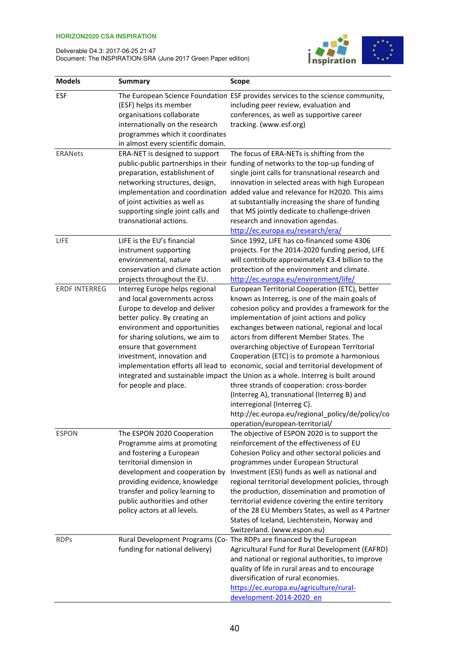

| <b>Models</b>        | <b>Summary</b>                                       | <b>Scope</b>                                                                                                                       |
|----------------------|------------------------------------------------------|------------------------------------------------------------------------------------------------------------------------------------|
| ESF                  |                                                      | The European Science Foundation ESF provides services to the science community,                                                    |
|                      | (ESF) helps its member                               | including peer review, evaluation and                                                                                              |
|                      | organisations collaborate                            | conferences, as well as supportive career                                                                                          |
|                      | internationally on the research                      | tracking. (www.esf.org)                                                                                                            |
|                      | programmes which it coordinates                      |                                                                                                                                    |
|                      | in almost every scientific domain.                   |                                                                                                                                    |
| <b>ERANets</b>       | ERA-NET is designed to support                       | The focus of ERA-NETs is shifting from the                                                                                         |
|                      |                                                      | public-public partnerships in their funding of networks to the top-up funding of                                                   |
|                      | preparation, establishment of                        | single joint calls for transnational research and                                                                                  |
|                      | networking structures, design,                       | innovation in selected areas with high European                                                                                    |
|                      | implementation and coordination                      | added value and relevance for H2020. This aims                                                                                     |
|                      | of joint activities as well as                       | at substantially increasing the share of funding                                                                                   |
|                      | supporting single joint calls and                    | that MS jointly dedicate to challenge-driven                                                                                       |
|                      | transnational actions.                               | research and innovation agendas.                                                                                                   |
|                      |                                                      | http://ec.europa.eu/research/era/                                                                                                  |
| LIFE                 | LIFE is the EU's financial                           | Since 1992, LIFE has co-financed some 4306                                                                                         |
|                      | instrument supporting                                | projects. For the 2014-2020 funding period, LIFE                                                                                   |
|                      | environmental, nature                                | will contribute approximately €3.4 billion to the                                                                                  |
|                      | conservation and climate action                      | protection of the environment and climate.                                                                                         |
|                      | projects throughout the EU.                          | http://ec.europa.eu/environment/life/                                                                                              |
| <b>ERDF INTERREG</b> | Interreg Europe helps regional                       | European Territorial Cooperation (ETC), better                                                                                     |
|                      | and local governments across                         | known as Interreg, is one of the main goals of                                                                                     |
|                      | Europe to develop and deliver                        | cohesion policy and provides a framework for the                                                                                   |
|                      | better policy. By creating an                        | implementation of joint actions and policy                                                                                         |
|                      | environment and opportunities                        | exchanges between national, regional and local                                                                                     |
|                      | for sharing solutions, we aim to                     | actors from different Member States. The<br>overarching objective of European Territorial                                          |
|                      | ensure that government<br>investment, innovation and |                                                                                                                                    |
|                      |                                                      | Cooperation (ETC) is to promote a harmonious<br>implementation efforts all lead to economic, social and territorial development of |
|                      |                                                      | integrated and sustainable impact the Union as a whole. Interreg is built around                                                   |
|                      | for people and place.                                | three strands of cooperation: cross-border                                                                                         |
|                      |                                                      | (Interreg A), transnational (Interreg B) and                                                                                       |
|                      |                                                      | interregional (Interreg C).                                                                                                        |
|                      |                                                      | http://ec.europa.eu/regional_policy/de/policy/co                                                                                   |
|                      |                                                      | operation/european-territorial/                                                                                                    |
| <b>ESPON</b>         | The ESPON 2020 Cooperation                           | The objective of ESPON 2020 is to support the                                                                                      |
|                      | Programme aims at promoting                          | reinforcement of the effectiveness of EU                                                                                           |
|                      | and fostering a European                             | Cohesion Policy and other sectoral policies and                                                                                    |
|                      | territorial dimension in                             | programmes under European Structural                                                                                               |
|                      | development and cooperation by                       | Investment (ESI) funds as well as national and                                                                                     |
|                      | providing evidence, knowledge                        | regional territorial development policies, through                                                                                 |
|                      | transfer and policy learning to                      | the production, dissemination and promotion of                                                                                     |
|                      | public authorities and other                         | territorial evidence covering the entire territory                                                                                 |
|                      | policy actors at all levels.                         | of the 28 EU Members States, as well as 4 Partner                                                                                  |
|                      |                                                      | States of Iceland, Liechtenstein, Norway and                                                                                       |
|                      |                                                      | Switzerland. (www.espon.eu)                                                                                                        |
| <b>RDPs</b>          |                                                      | Rural Development Programs (Co-The RDPs are financed by the European                                                               |
|                      | funding for national delivery)                       | Agricultural Fund for Rural Development (EAFRD)                                                                                    |
|                      |                                                      | and national or regional authorities, to improve                                                                                   |
|                      |                                                      | quality of life in rural areas and to encourage                                                                                    |
|                      |                                                      | diversification of rural economies.                                                                                                |
|                      |                                                      | https://ec.europa.eu/agriculture/rural-                                                                                            |
|                      |                                                      | development-2014-2020 en                                                                                                           |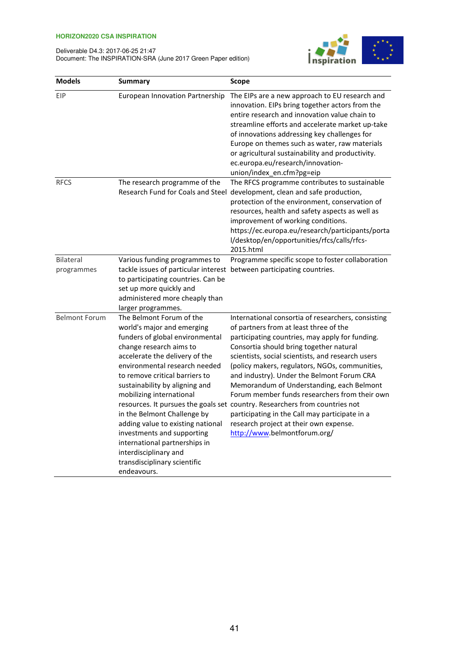

| <b>Models</b>           | <b>Summary</b>                                                                                                                                                                                                                                                                                                                                                                                                                                                                                     | Scope                                                                                                                                                                                                                                                                                                                                                                                                                                                                                                                                                                                                                                                    |
|-------------------------|----------------------------------------------------------------------------------------------------------------------------------------------------------------------------------------------------------------------------------------------------------------------------------------------------------------------------------------------------------------------------------------------------------------------------------------------------------------------------------------------------|----------------------------------------------------------------------------------------------------------------------------------------------------------------------------------------------------------------------------------------------------------------------------------------------------------------------------------------------------------------------------------------------------------------------------------------------------------------------------------------------------------------------------------------------------------------------------------------------------------------------------------------------------------|
| EIP                     | European Innovation Partnership                                                                                                                                                                                                                                                                                                                                                                                                                                                                    | The EIPs are a new approach to EU research and<br>innovation. EIPs bring together actors from the<br>entire research and innovation value chain to<br>streamline efforts and accelerate market up-take<br>of innovations addressing key challenges for<br>Europe on themes such as water, raw materials<br>or agricultural sustainability and productivity.<br>ec.europa.eu/research/innovation-<br>union/index_en.cfm?pg=eip                                                                                                                                                                                                                            |
| <b>RFCS</b>             | The research programme of the<br>Research Fund for Coals and Steel                                                                                                                                                                                                                                                                                                                                                                                                                                 | The RFCS programme contributes to sustainable<br>development, clean and safe production,<br>protection of the environment, conservation of<br>resources, health and safety aspects as well as<br>improvement of working conditions.<br>https://ec.europa.eu/research/participants/porta<br>l/desktop/en/opportunities/rfcs/calls/rfcs-<br>2015.html                                                                                                                                                                                                                                                                                                      |
| Bilateral<br>programmes | Various funding programmes to<br>tackle issues of particular interest between participating countries.<br>to participating countries. Can be<br>set up more quickly and<br>administered more cheaply than<br>larger programmes.                                                                                                                                                                                                                                                                    | Programme specific scope to foster collaboration                                                                                                                                                                                                                                                                                                                                                                                                                                                                                                                                                                                                         |
| <b>Belmont Forum</b>    | The Belmont Forum of the<br>world's major and emerging<br>funders of global environmental<br>change research aims to<br>accelerate the delivery of the<br>environmental research needed<br>to remove critical barriers to<br>sustainability by aligning and<br>mobilizing international<br>in the Belmont Challenge by<br>adding value to existing national<br>investments and supporting<br>international partnerships in<br>interdisciplinary and<br>transdisciplinary scientific<br>endeavours. | International consortia of researchers, consisting<br>of partners from at least three of the<br>participating countries, may apply for funding.<br>Consortia should bring together natural<br>scientists, social scientists, and research users<br>(policy makers, regulators, NGOs, communities,<br>and industry). Under the Belmont Forum CRA<br>Memorandum of Understanding, each Belmont<br>Forum member funds researchers from their own<br>resources. It pursues the goals set country. Researchers from countries not<br>participating in the Call may participate in a<br>research project at their own expense.<br>http://www.belmontforum.org/ |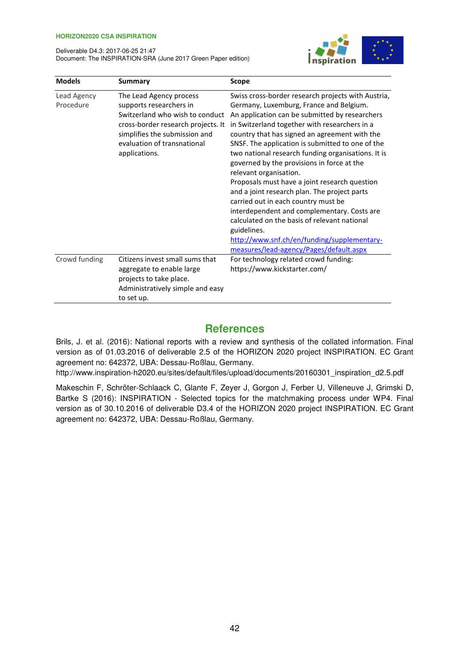Deliverable D4.3: 2017-06-25 21:47 Document: The INSPIRATION-SRA (June 2017 Green Paper edition)



| <b>Models</b>            | Summary                                                                                                                                                                                                      | <b>Scope</b>                                                                                                                                                                                                                                                                                                                                                                                                                                                                                                                                                                                                                                                                                                                                                                        |
|--------------------------|--------------------------------------------------------------------------------------------------------------------------------------------------------------------------------------------------------------|-------------------------------------------------------------------------------------------------------------------------------------------------------------------------------------------------------------------------------------------------------------------------------------------------------------------------------------------------------------------------------------------------------------------------------------------------------------------------------------------------------------------------------------------------------------------------------------------------------------------------------------------------------------------------------------------------------------------------------------------------------------------------------------|
| Lead Agency<br>Procedure | The Lead Agency process<br>supports researchers in<br>Switzerland who wish to conduct<br>cross-border research projects. It<br>simplifies the submission and<br>evaluation of transnational<br>applications. | Swiss cross-border research projects with Austria,<br>Germany, Luxemburg, France and Belgium.<br>An application can be submitted by researchers<br>in Switzerland together with researchers in a<br>country that has signed an agreement with the<br>SNSF. The application is submitted to one of the<br>two national research funding organisations. It is<br>governed by the provisions in force at the<br>relevant organisation.<br>Proposals must have a joint research question<br>and a joint research plan. The project parts<br>carried out in each country must be<br>interdependent and complementary. Costs are<br>calculated on the basis of relevant national<br>guidelines.<br>http://www.snf.ch/en/funding/supplementary-<br>measures/lead-agency/Pages/default.aspx |
| Crowd funding            | Citizens invest small sums that<br>aggregate to enable large<br>projects to take place.<br>Administratively simple and easy<br>to set up.                                                                    | For technology related crowd funding:<br>https://www.kickstarter.com/                                                                                                                                                                                                                                                                                                                                                                                                                                                                                                                                                                                                                                                                                                               |

# **References**

Brils, J. et al. (2016): National reports with a review and synthesis of the collated information. Final version as of 01.03.2016 of deliverable 2.5 of the HORIZON 2020 project INSPIRATION. EC Grant agreement no: 642372, UBA: Dessau-Roßlau, Germany.

http://www.inspiration-h2020.eu/sites/default/files/upload/documents/20160301\_inspiration\_d2.5.pdf

Makeschin F, Schröter-Schlaack C, Glante F, Zeyer J, Gorgon J, Ferber U, Villeneuve J, Grimski D, Bartke S (2016): INSPIRATION - Selected topics for the matchmaking process under WP4. Final version as of 30.10.2016 of deliverable D3.4 of the HORIZON 2020 project INSPIRATION. EC Grant agreement no: 642372, UBA: Dessau-Roßlau, Germany.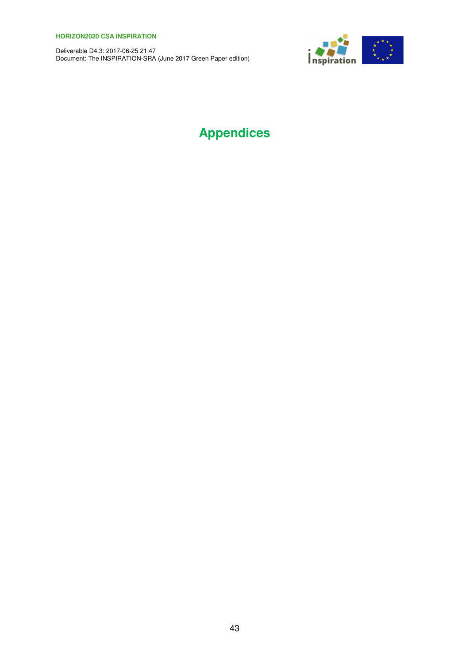Deliverable D4.3: 2017-06-25 21:47 Document: The INSPIRATION-SRA (June 2017 Green Paper edition)



# **Appendices**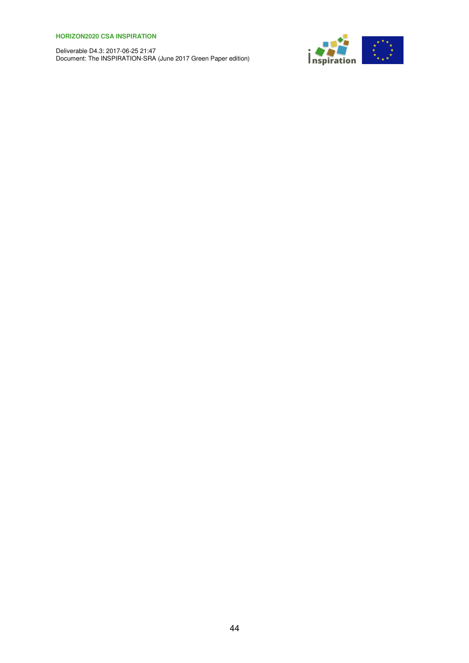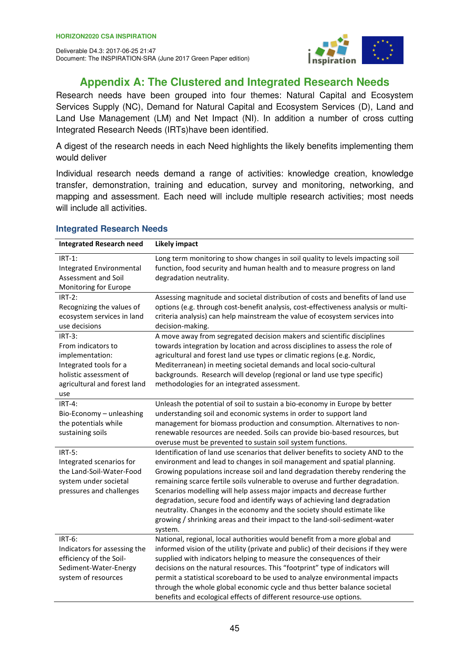

# **Appendix A: The Clustered and Integrated Research Needs**

Research needs have been grouped into four themes: Natural Capital and Ecosystem Services Supply (NC), Demand for Natural Capital and Ecosystem Services (D), Land and Land Use Management (LM) and Net Impact (NI). In addition a number of cross cutting Integrated Research Needs (IRTs)have been identified.

A digest of the research needs in each Need highlights the likely benefits implementing them would deliver

Individual research needs demand a range of activities: knowledge creation, knowledge transfer, demonstration, training and education, survey and monitoring, networking, and mapping and assessment. Each need will include multiple research activities; most needs will include all activities.

| <b>Integrated Research need</b>                                                                                                                   | <b>Likely impact</b>                                                                                                                                                                                                                                                                                                                                                                                                                                                                                                                                                                                                                                     |
|---------------------------------------------------------------------------------------------------------------------------------------------------|----------------------------------------------------------------------------------------------------------------------------------------------------------------------------------------------------------------------------------------------------------------------------------------------------------------------------------------------------------------------------------------------------------------------------------------------------------------------------------------------------------------------------------------------------------------------------------------------------------------------------------------------------------|
| $IRT-1:$<br>Integrated Environmental<br>Assessment and Soil<br>Monitoring for Europe                                                              | Long term monitoring to show changes in soil quality to levels impacting soil<br>function, food security and human health and to measure progress on land<br>degradation neutrality.                                                                                                                                                                                                                                                                                                                                                                                                                                                                     |
| IRT-2:<br>Recognizing the values of<br>ecosystem services in land<br>use decisions                                                                | Assessing magnitude and societal distribution of costs and benefits of land use<br>options (e.g. through cost-benefit analysis, cost-effectiveness analysis or multi-<br>criteria analysis) can help mainstream the value of ecosystem services into<br>decision-making.                                                                                                                                                                                                                                                                                                                                                                                 |
| <b>IRT-3:</b><br>From indicators to<br>implementation:<br>Integrated tools for a<br>holistic assessment of<br>agricultural and forest land<br>use | A move away from segregated decision makers and scientific disciplines<br>towards integration by location and across disciplines to assess the role of<br>agricultural and forest land use types or climatic regions (e.g. Nordic,<br>Mediterranean) in meeting societal demands and local socio-cultural<br>backgrounds. Research will develop (regional or land use type specific)<br>methodologies for an integrated assessment.                                                                                                                                                                                                                      |
| <b>IRT-4:</b><br>Bio-Economy - unleashing<br>the potentials while<br>sustaining soils                                                             | Unleash the potential of soil to sustain a bio-economy in Europe by better<br>understanding soil and economic systems in order to support land<br>management for biomass production and consumption. Alternatives to non-<br>renewable resources are needed. Soils can provide bio-based resources, but<br>overuse must be prevented to sustain soil system functions.                                                                                                                                                                                                                                                                                   |
| <b>IRT-5:</b><br>Integrated scenarios for<br>the Land-Soil-Water-Food<br>system under societal<br>pressures and challenges                        | Identification of land use scenarios that deliver benefits to society AND to the<br>environment and lead to changes in soil management and spatial planning.<br>Growing populations increase soil and land degradation thereby rendering the<br>remaining scarce fertile soils vulnerable to overuse and further degradation.<br>Scenarios modelling will help assess major impacts and decrease further<br>degradation, secure food and identify ways of achieving land degradation<br>neutrality. Changes in the economy and the society should estimate like<br>growing / shrinking areas and their impact to the land-soil-sediment-water<br>system. |
| IRT-6:<br>Indicators for assessing the<br>efficiency of the Soil-<br>Sediment-Water-Energy<br>system of resources                                 | National, regional, local authorities would benefit from a more global and<br>informed vision of the utility (private and public) of their decisions if they were<br>supplied with indicators helping to measure the consequences of their<br>decisions on the natural resources. This "footprint" type of indicators will<br>permit a statistical scoreboard to be used to analyze environmental impacts<br>through the whole global economic cycle and thus better balance societal<br>benefits and ecological effects of different resource-use options.                                                                                              |

# **Integrated Research Needs**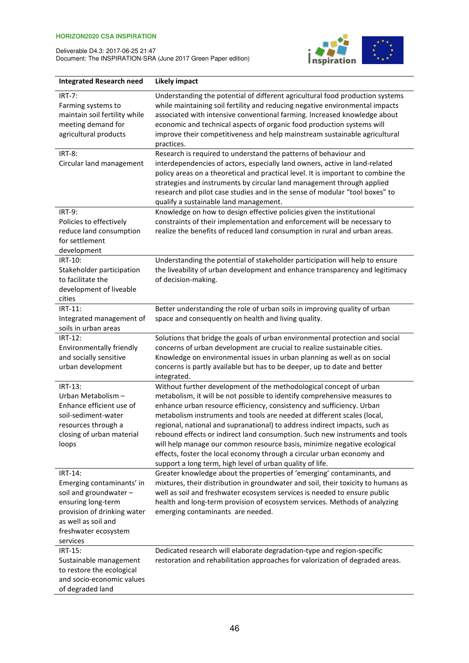

| <b>Integrated Research need</b>                                                                                                                                                | <b>Likely impact</b>                                                                                                                                                                                                                                                                                                                                                                                                                                                                                                                                                                                                                                                                 |
|--------------------------------------------------------------------------------------------------------------------------------------------------------------------------------|--------------------------------------------------------------------------------------------------------------------------------------------------------------------------------------------------------------------------------------------------------------------------------------------------------------------------------------------------------------------------------------------------------------------------------------------------------------------------------------------------------------------------------------------------------------------------------------------------------------------------------------------------------------------------------------|
| $IRT-7:$<br>Farming systems to<br>maintain soil fertility while<br>meeting demand for<br>agricultural products                                                                 | Understanding the potential of different agricultural food production systems<br>while maintaining soil fertility and reducing negative environmental impacts<br>associated with intensive conventional farming. Increased knowledge about<br>economic and technical aspects of organic food production systems will<br>improve their competitiveness and help mainstream sustainable agricultural<br>practices.                                                                                                                                                                                                                                                                     |
| <b>IRT-8:</b><br>Circular land management                                                                                                                                      | Research is required to understand the patterns of behaviour and<br>interdependencies of actors, especially land owners, active in land-related<br>policy areas on a theoretical and practical level. It is important to combine the<br>strategies and instruments by circular land management through applied<br>research and pilot case studies and in the sense of modular "tool boxes" to<br>qualify a sustainable land management.                                                                                                                                                                                                                                              |
| <b>IRT-9:</b><br>Policies to effectively<br>reduce land consumption<br>for settlement<br>development                                                                           | Knowledge on how to design effective policies given the institutional<br>constraints of their implementation and enforcement will be necessary to<br>realize the benefits of reduced land consumption in rural and urban areas.                                                                                                                                                                                                                                                                                                                                                                                                                                                      |
| IRT-10:<br>Stakeholder participation<br>to facilitate the<br>development of liveable<br>cities                                                                                 | Understanding the potential of stakeholder participation will help to ensure<br>the liveability of urban development and enhance transparency and legitimacy<br>of decision-making.                                                                                                                                                                                                                                                                                                                                                                                                                                                                                                  |
| IRT-11:<br>Integrated management of<br>soils in urban areas                                                                                                                    | Better understanding the role of urban soils in improving quality of urban<br>space and consequently on health and living quality.                                                                                                                                                                                                                                                                                                                                                                                                                                                                                                                                                   |
| IRT-12:<br>Environmentally friendly<br>and socially sensitive<br>urban development                                                                                             | Solutions that bridge the goals of urban environmental protection and social<br>concerns of urban development are crucial to realize sustainable cities.<br>Knowledge on environmental issues in urban planning as well as on social<br>concerns is partly available but has to be deeper, up to date and better<br>integrated.                                                                                                                                                                                                                                                                                                                                                      |
| IRT-13:<br>Urban Metabolism-<br>Enhance efficient use of<br>soil-sediment-water<br>resources through a<br>closing of urban material<br>loops                                   | Without further development of the methodological concept of urban<br>metabolism, it will be not possible to identify comprehensive measures to<br>enhance urban resource efficiency, consistency and sufficiency. Urban<br>metabolism instruments and tools are needed at different scales (local,<br>regional, national and supranational) to address indirect impacts, such as<br>rebound effects or indirect land consumption. Such new instruments and tools<br>will help manage our common resource basis, minimize negative ecological<br>effects, foster the local economy through a circular urban economy and<br>support a long term, high level of urban quality of life. |
| IRT-14:<br>Emerging contaminants' in<br>soil and groundwater -<br>ensuring long-term<br>provision of drinking water<br>as well as soil and<br>freshwater ecosystem<br>services | Greater knowledge about the properties of 'emerging' contaminants, and<br>mixtures, their distribution in groundwater and soil, their toxicity to humans as<br>well as soil and freshwater ecosystem services is needed to ensure public<br>health and long-term provision of ecosystem services. Methods of analyzing<br>emerging contaminants are needed.                                                                                                                                                                                                                                                                                                                          |
| IRT-15:<br>Sustainable management<br>to restore the ecological<br>and socio-economic values<br>of degraded land                                                                | Dedicated research will elaborate degradation-type and region-specific<br>restoration and rehabilitation approaches for valorization of degraded areas.                                                                                                                                                                                                                                                                                                                                                                                                                                                                                                                              |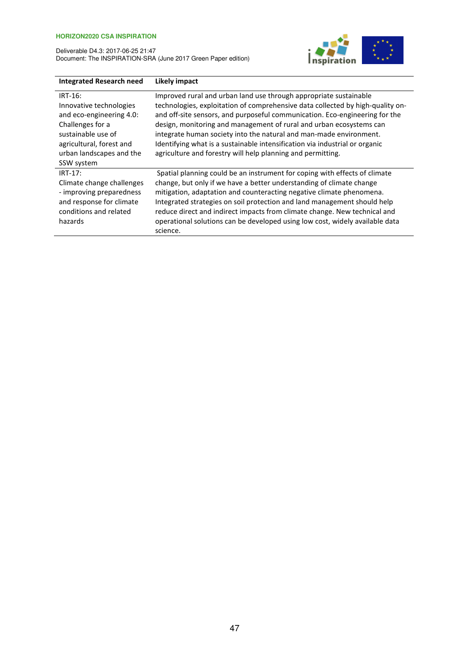

| <b>Integrated Research need</b>                                                                                                     | <b>Likely impact</b>                                                                                                                                                                                                                                                                                                                                                                                                                                                            |
|-------------------------------------------------------------------------------------------------------------------------------------|---------------------------------------------------------------------------------------------------------------------------------------------------------------------------------------------------------------------------------------------------------------------------------------------------------------------------------------------------------------------------------------------------------------------------------------------------------------------------------|
| IRT-16:<br>Innovative technologies<br>and eco-engineering 4.0:<br>Challenges for a                                                  | Improved rural and urban land use through appropriate sustainable<br>technologies, exploitation of comprehensive data collected by high-quality on-<br>and off-site sensors, and purposeful communication. Eco-engineering for the<br>design, monitoring and management of rural and urban ecosystems can                                                                                                                                                                       |
| sustainable use of<br>agricultural, forest and<br>urban landscapes and the<br>SSW system                                            | integrate human society into the natural and man-made environment.<br>Identifying what is a sustainable intensification via industrial or organic<br>agriculture and forestry will help planning and permitting.                                                                                                                                                                                                                                                                |
| $IRT-17:$<br>Climate change challenges<br>- improving preparedness<br>and response for climate<br>conditions and related<br>hazards | Spatial planning could be an instrument for coping with effects of climate<br>change, but only if we have a better understanding of climate change<br>mitigation, adaptation and counteracting negative climate phenomena.<br>Integrated strategies on soil protection and land management should help<br>reduce direct and indirect impacts from climate change. New technical and<br>operational solutions can be developed using low cost, widely available data<br>science. |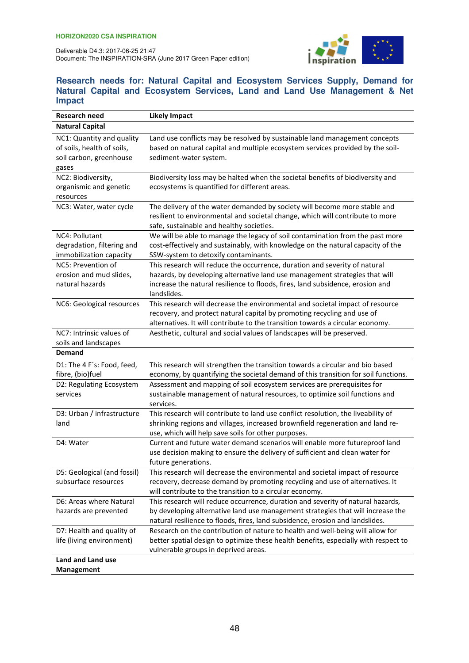

# **Research needs for: Natural Capital and Ecosystem Services Supply, Demand for Natural Capital and Ecosystem Services, Land and Land Use Management & Net Impact**

| <b>Research need</b>                                                                        | <b>Likely Impact</b>                                                                                                                                                                                                                                       |
|---------------------------------------------------------------------------------------------|------------------------------------------------------------------------------------------------------------------------------------------------------------------------------------------------------------------------------------------------------------|
| <b>Natural Capital</b>                                                                      |                                                                                                                                                                                                                                                            |
| NC1: Quantity and quality<br>of soils, health of soils,<br>soil carbon, greenhouse<br>gases | Land use conflicts may be resolved by sustainable land management concepts<br>based on natural capital and multiple ecosystem services provided by the soil-<br>sediment-water system.                                                                     |
| NC2: Biodiversity,<br>organismic and genetic<br>resources                                   | Biodiversity loss may be halted when the societal benefits of biodiversity and<br>ecosystems is quantified for different areas.                                                                                                                            |
| NC3: Water, water cycle                                                                     | The delivery of the water demanded by society will become more stable and<br>resilient to environmental and societal change, which will contribute to more<br>safe, sustainable and healthy societies.                                                     |
| NC4: Pollutant<br>degradation, filtering and<br>immobilization capacity                     | We will be able to manage the legacy of soil contamination from the past more<br>cost-effectively and sustainably, with knowledge on the natural capacity of the<br>SSW-system to detoxify contaminants.                                                   |
| NC5: Prevention of<br>erosion and mud slides,<br>natural hazards                            | This research will reduce the occurrence, duration and severity of natural<br>hazards, by developing alternative land use management strategies that will<br>increase the natural resilience to floods, fires, land subsidence, erosion and<br>landslides. |
| NC6: Geological resources                                                                   | This research will decrease the environmental and societal impact of resource<br>recovery, and protect natural capital by promoting recycling and use of<br>alternatives. It will contribute to the transition towards a circular economy.                 |
| NC7: Intrinsic values of<br>soils and landscapes                                            | Aesthetic, cultural and social values of landscapes will be preserved.                                                                                                                                                                                     |
| <b>Demand</b>                                                                               |                                                                                                                                                                                                                                                            |
| D1: The 4 F's: Food, feed,<br>fibre, (bio)fuel                                              | This research will strengthen the transition towards a circular and bio based<br>economy, by quantifying the societal demand of this transition for soil functions.                                                                                        |
| D2: Regulating Ecosystem<br>services                                                        | Assessment and mapping of soil ecosystem services are prerequisites for<br>sustainable management of natural resources, to optimize soil functions and<br>services.                                                                                        |
| D3: Urban / infrastructure<br>land                                                          | This research will contribute to land use conflict resolution, the liveability of<br>shrinking regions and villages, increased brownfield regeneration and land re-<br>use, which will help save soils for other purposes.                                 |
| D4: Water                                                                                   | Current and future water demand scenarios will enable more futureproof land<br>use decision making to ensure the delivery of sufficient and clean water for<br>future generations.                                                                         |
| D5: Geological (and fossil)<br>subsurface resources                                         | This research will decrease the environmental and societal impact of resource<br>recovery, decrease demand by promoting recycling and use of alternatives. It<br>will contribute to the transition to a circular economy.                                  |
| D6: Areas where Natural<br>hazards are prevented                                            | This research will reduce occurrence, duration and severity of natural hazards,<br>by developing alternative land use management strategies that will increase the<br>natural resilience to floods, fires, land subsidence, erosion and landslides.        |
| D7: Health and quality of<br>life (living environment)                                      | Research on the contribution of nature to health and well-being will allow for<br>better spatial design to optimize these health benefits, especially with respect to<br>vulnerable groups in deprived areas.                                              |
| Land and Land use<br>Management                                                             |                                                                                                                                                                                                                                                            |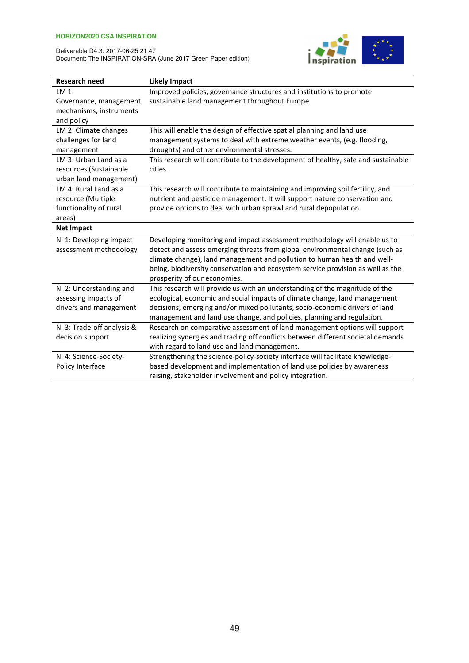

| <b>Research need</b>       | <b>Likely Impact</b>                                                              |
|----------------------------|-----------------------------------------------------------------------------------|
| LM 1:                      | Improved policies, governance structures and institutions to promote              |
| Governance, management     | sustainable land management throughout Europe.                                    |
| mechanisms, instruments    |                                                                                   |
| and policy                 |                                                                                   |
| LM 2: Climate changes      | This will enable the design of effective spatial planning and land use            |
| challenges for land        | management systems to deal with extreme weather events, (e.g. flooding,           |
| management                 | droughts) and other environmental stresses.                                       |
| LM 3: Urban Land as a      | This research will contribute to the development of healthy, safe and sustainable |
| resources (Sustainable     | cities.                                                                           |
| urban land management)     |                                                                                   |
| LM 4: Rural Land as a      | This research will contribute to maintaining and improving soil fertility, and    |
| resource (Multiple         | nutrient and pesticide management. It will support nature conservation and        |
| functionality of rural     | provide options to deal with urban sprawl and rural depopulation.                 |
| areas)                     |                                                                                   |
| <b>Net Impact</b>          |                                                                                   |
| NI 1: Developing impact    | Developing monitoring and impact assessment methodology will enable us to         |
| assessment methodology     | detect and assess emerging threats from global environmental change (such as      |
|                            | climate change), land management and pollution to human health and well-          |
|                            | being, biodiversity conservation and ecosystem service provision as well as the   |
|                            | prosperity of our economies.                                                      |
| NI 2: Understanding and    | This research will provide us with an understanding of the magnitude of the       |
| assessing impacts of       | ecological, economic and social impacts of climate change, land management        |
| drivers and management     | decisions, emerging and/or mixed pollutants, socio-economic drivers of land       |
|                            | management and land use change, and policies, planning and regulation.            |
| NI 3: Trade-off analysis & | Research on comparative assessment of land management options will support        |
| decision support           | realizing synergies and trading off conflicts between different societal demands  |
|                            | with regard to land use and land management.                                      |
| NI 4: Science-Society-     | Strengthening the science-policy-society interface will facilitate knowledge-     |
| Policy Interface           | based development and implementation of land use policies by awareness            |
|                            | raising, stakeholder involvement and policy integration.                          |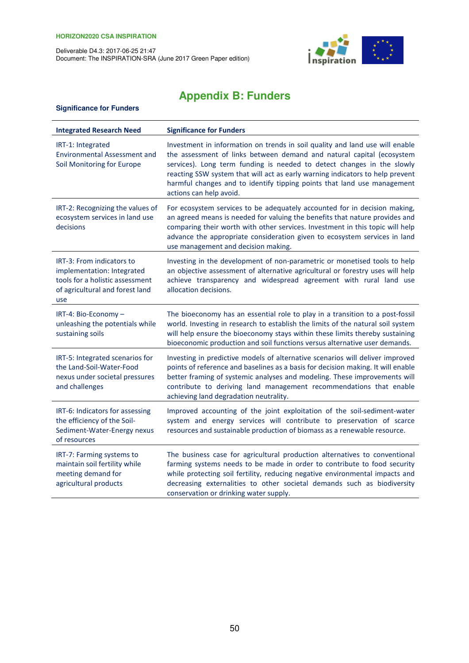Deliverable D4.3: 2017-06-25 21:47 Document: The INSPIRATION-SRA (June 2017 Green Paper edition)



# **Appendix B: Funders**

# **Significance for Funders**

| <b>Integrated Research Need</b>                                                                                                      | <b>Significance for Funders</b>                                                                                                                                                                                                                                                                                                                                                                                        |
|--------------------------------------------------------------------------------------------------------------------------------------|------------------------------------------------------------------------------------------------------------------------------------------------------------------------------------------------------------------------------------------------------------------------------------------------------------------------------------------------------------------------------------------------------------------------|
| IRT-1: Integrated<br><b>Environmental Assessment and</b><br>Soil Monitoring for Europe                                               | Investment in information on trends in soil quality and land use will enable<br>the assessment of links between demand and natural capital (ecosystem<br>services). Long term funding is needed to detect changes in the slowly<br>reacting SSW system that will act as early warning indicators to help prevent<br>harmful changes and to identify tipping points that land use management<br>actions can help avoid. |
| IRT-2: Recognizing the values of<br>ecosystem services in land use<br>decisions                                                      | For ecosystem services to be adequately accounted for in decision making,<br>an agreed means is needed for valuing the benefits that nature provides and<br>comparing their worth with other services. Investment in this topic will help<br>advance the appropriate consideration given to ecosystem services in land<br>use management and decision making.                                                          |
| IRT-3: From indicators to<br>implementation: Integrated<br>tools for a holistic assessment<br>of agricultural and forest land<br>use | Investing in the development of non-parametric or monetised tools to help<br>an objective assessment of alternative agricultural or forestry uses will help<br>achieve transparency and widespread agreement with rural land use<br>allocation decisions.                                                                                                                                                              |
| IRT-4: Bio-Economy -<br>unleashing the potentials while<br>sustaining soils                                                          | The bioeconomy has an essential role to play in a transition to a post-fossil<br>world. Investing in research to establish the limits of the natural soil system<br>will help ensure the bioeconomy stays within these limits thereby sustaining<br>bioeconomic production and soil functions versus alternative user demands.                                                                                         |
| IRT-5: Integrated scenarios for<br>the Land-Soil-Water-Food<br>nexus under societal pressures<br>and challenges                      | Investing in predictive models of alternative scenarios will deliver improved<br>points of reference and baselines as a basis for decision making. It will enable<br>better framing of systemic analyses and modeling. These improvements will<br>contribute to deriving land management recommendations that enable<br>achieving land degradation neutrality.                                                         |
| IRT-6: Indicators for assessing<br>the efficiency of the Soil-<br>Sediment-Water-Energy nexus<br>of resources                        | Improved accounting of the joint exploitation of the soil-sediment-water<br>system and energy services will contribute to preservation of scarce<br>resources and sustainable production of biomass as a renewable resource.                                                                                                                                                                                           |
| IRT-7: Farming systems to<br>maintain soil fertility while<br>meeting demand for<br>agricultural products                            | The business case for agricultural production alternatives to conventional<br>farming systems needs to be made in order to contribute to food security<br>while protecting soil fertility, reducing negative environmental impacts and<br>decreasing externalities to other societal demands such as biodiversity<br>conservation or drinking water supply.                                                            |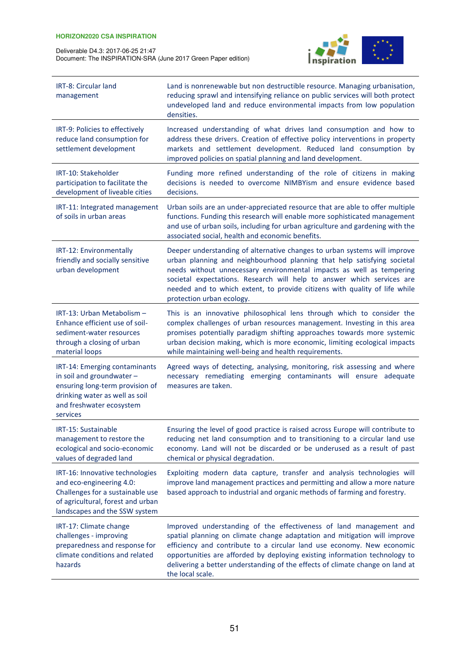| Deliverable D4.3: 2017-06-25 21:47                            |
|---------------------------------------------------------------|
| Document: The INSPIRATION-SRA (June 2017 Green Paper edition) |



| IRT-8: Circular land<br>management                                                                                                                                      | Land is nonrenewable but non destructible resource. Managing urbanisation,<br>reducing sprawl and intensifying reliance on public services will both protect<br>undeveloped land and reduce environmental impacts from low population<br>densities.                                                                                                                                                               |
|-------------------------------------------------------------------------------------------------------------------------------------------------------------------------|-------------------------------------------------------------------------------------------------------------------------------------------------------------------------------------------------------------------------------------------------------------------------------------------------------------------------------------------------------------------------------------------------------------------|
| IRT-9: Policies to effectively<br>reduce land consumption for<br>settlement development                                                                                 | Increased understanding of what drives land consumption and how to<br>address these drivers. Creation of effective policy interventions in property<br>markets and settlement development. Reduced land consumption by<br>improved policies on spatial planning and land development.                                                                                                                             |
| IRT-10: Stakeholder<br>participation to facilitate the<br>development of liveable cities                                                                                | Funding more refined understanding of the role of citizens in making<br>decisions is needed to overcome NIMBYism and ensure evidence based<br>decisions.                                                                                                                                                                                                                                                          |
| IRT-11: Integrated management<br>of soils in urban areas                                                                                                                | Urban soils are an under-appreciated resource that are able to offer multiple<br>functions. Funding this research will enable more sophisticated management<br>and use of urban soils, including for urban agriculture and gardening with the<br>associated social, health and economic benefits.                                                                                                                 |
| IRT-12: Environmentally<br>friendly and socially sensitive<br>urban development                                                                                         | Deeper understanding of alternative changes to urban systems will improve<br>urban planning and neighbourhood planning that help satisfying societal<br>needs without unnecessary environmental impacts as well as tempering<br>societal expectations. Research will help to answer which services are<br>needed and to which extent, to provide citizens with quality of life while<br>protection urban ecology. |
| IRT-13: Urban Metabolism -<br>Enhance efficient use of soil-<br>sediment-water resources<br>through a closing of urban<br>material loops                                | This is an innovative philosophical lens through which to consider the<br>complex challenges of urban resources management. Investing in this area<br>promises potentially paradigm shifting approaches towards more systemic<br>urban decision making, which is more economic, limiting ecological impacts<br>while maintaining well-being and health requirements.                                              |
| IRT-14: Emerging contaminants<br>in soil and groundwater -<br>ensuring long-term provision of<br>drinking water as well as soil<br>and freshwater ecosystem<br>services | Agreed ways of detecting, analysing, monitoring, risk assessing and where<br>necessary remediating emerging contaminants will ensure adequate<br>measures are taken.                                                                                                                                                                                                                                              |
| IRT-15: Sustainable<br>management to restore the<br>ecological and socio-economic<br>values of degraded land                                                            | Ensuring the level of good practice is raised across Europe will contribute to<br>reducing net land consumption and to transitioning to a circular land use<br>economy. Land will not be discarded or be underused as a result of past<br>chemical or physical degradation.                                                                                                                                       |
| IRT-16: Innovative technologies<br>and eco-engineering 4.0:<br>Challenges for a sustainable use<br>of agricultural, forest and urban<br>landscapes and the SSW system   | Exploiting modern data capture, transfer and analysis technologies will<br>improve land management practices and permitting and allow a more nature<br>based approach to industrial and organic methods of farming and forestry.                                                                                                                                                                                  |
| IRT-17: Climate change<br>challenges - improving<br>preparedness and response for<br>climate conditions and related<br>hazards                                          | Improved understanding of the effectiveness of land management and<br>spatial planning on climate change adaptation and mitigation will improve<br>efficiency and contribute to a circular land use economy. New economic<br>opportunities are afforded by deploying existing information technology to<br>delivering a better understanding of the effects of climate change on land at<br>the local scale.      |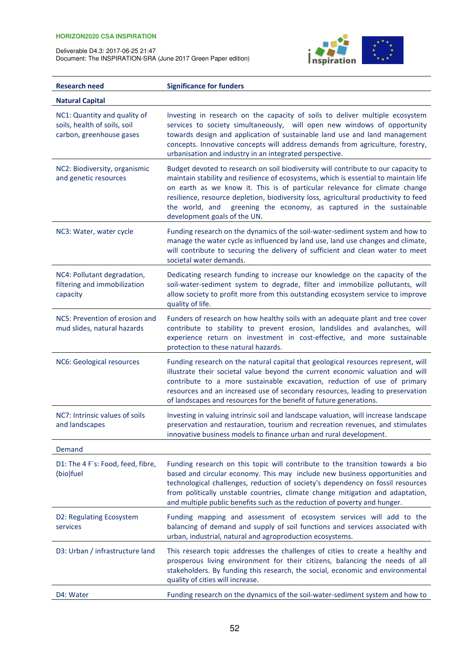

| <b>Research need</b>                                                                     | <b>Significance for funders</b>                                                                                                                                                                                                                                                                                                                                                                                                                            |
|------------------------------------------------------------------------------------------|------------------------------------------------------------------------------------------------------------------------------------------------------------------------------------------------------------------------------------------------------------------------------------------------------------------------------------------------------------------------------------------------------------------------------------------------------------|
| <b>Natural Capital</b>                                                                   |                                                                                                                                                                                                                                                                                                                                                                                                                                                            |
| NC1: Quantity and quality of<br>soils, health of soils, soil<br>carbon, greenhouse gases | Investing in research on the capacity of soils to deliver multiple ecosystem<br>services to society simultaneously, will open new windows of opportunity<br>towards design and application of sustainable land use and land management<br>concepts. Innovative concepts will address demands from agriculture, forestry,<br>urbanisation and industry in an integrated perspective.                                                                        |
| NC2: Biodiversity, organismic<br>and genetic resources                                   | Budget devoted to research on soil biodiversity will contribute to our capacity to<br>maintain stability and resilience of ecosystems, which is essential to maintain life<br>on earth as we know it. This is of particular relevance for climate change<br>resilience, resource depletion, biodiversity loss, agricultural productivity to feed<br>greening the economy, as captured in the sustainable<br>the world, and<br>development goals of the UN. |
| NC3: Water, water cycle                                                                  | Funding research on the dynamics of the soil-water-sediment system and how to<br>manage the water cycle as influenced by land use, land use changes and climate,<br>will contribute to securing the delivery of sufficient and clean water to meet<br>societal water demands.                                                                                                                                                                              |
| NC4: Pollutant degradation,<br>filtering and immobilization<br>capacity                  | Dedicating research funding to increase our knowledge on the capacity of the<br>soil-water-sediment system to degrade, filter and immobilize pollutants, will<br>allow society to profit more from this outstanding ecosystem service to improve<br>quality of life.                                                                                                                                                                                       |
| NC5: Prevention of erosion and<br>mud slides, natural hazards                            | Funders of research on how healthy soils with an adequate plant and tree cover<br>contribute to stability to prevent erosion, landslides and avalanches, will<br>experience return on investment in cost-effective, and more sustainable<br>protection to these natural hazards.                                                                                                                                                                           |
| NC6: Geological resources                                                                | Funding research on the natural capital that geological resources represent, will<br>illustrate their societal value beyond the current economic valuation and will<br>contribute to a more sustainable excavation, reduction of use of primary<br>resources and an increased use of secondary resources, leading to preservation<br>of landscapes and resources for the benefit of future generations.                                                    |
| NC7: Intrinsic values of soils<br>and landscapes                                         | Investing in valuing intrinsic soil and landscape valuation, will increase landscape<br>preservation and restauration, tourism and recreation revenues, and stimulates<br>innovative business models to finance urban and rural development.                                                                                                                                                                                                               |
| Demand                                                                                   |                                                                                                                                                                                                                                                                                                                                                                                                                                                            |
| D1: The 4 F's: Food, feed, fibre,<br>(bio)fuel                                           | Funding research on this topic will contribute to the transition towards a bio<br>based and circular economy. This may include new business opportunities and<br>technological challenges, reduction of society's dependency on fossil resources<br>from politically unstable countries, climate change mitigation and adaptation,<br>and multiple public benefits such as the reduction of poverty and hunger.                                            |
| D2: Regulating Ecosystem<br>services                                                     | Funding mapping and assessment of ecosystem services will add to the<br>balancing of demand and supply of soil functions and services associated with<br>urban, industrial, natural and agroproduction ecosystems.                                                                                                                                                                                                                                         |
| D3: Urban / infrastructure land                                                          | This research topic addresses the challenges of cities to create a healthy and<br>prosperous living environment for their citizens, balancing the needs of all<br>stakeholders. By funding this research, the social, economic and environmental<br>quality of cities will increase.                                                                                                                                                                       |
| D4: Water                                                                                | Funding research on the dynamics of the soil-water-sediment system and how to                                                                                                                                                                                                                                                                                                                                                                              |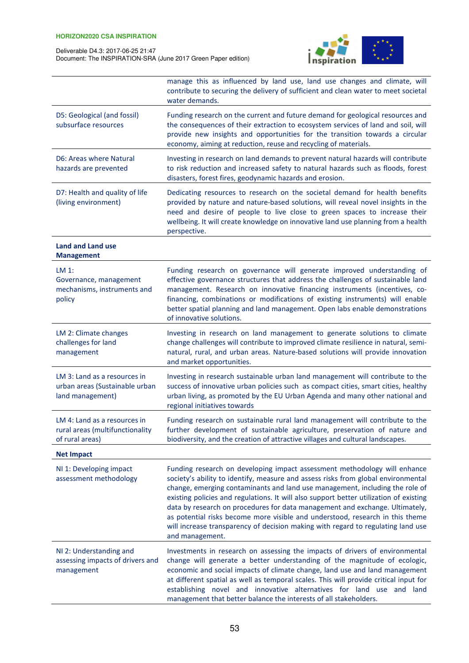| Deliverable D4.3: 2017-06-25 21:47                            |
|---------------------------------------------------------------|
| Document: The INSPIRATION-SRA (June 2017 Green Paper edition) |



|                                                                                    | manage this as influenced by land use, land use changes and climate, will<br>contribute to securing the delivery of sufficient and clean water to meet societal<br>water demands.                                                                                                                                                                                                                                                                                                                                                                                                                                |
|------------------------------------------------------------------------------------|------------------------------------------------------------------------------------------------------------------------------------------------------------------------------------------------------------------------------------------------------------------------------------------------------------------------------------------------------------------------------------------------------------------------------------------------------------------------------------------------------------------------------------------------------------------------------------------------------------------|
| D5: Geological (and fossil)<br>subsurface resources                                | Funding research on the current and future demand for geological resources and<br>the consequences of their extraction to ecosystem services of land and soil, will<br>provide new insights and opportunities for the transition towards a circular<br>economy, aiming at reduction, reuse and recycling of materials.                                                                                                                                                                                                                                                                                           |
| D6: Areas where Natural<br>hazards are prevented                                   | Investing in research on land demands to prevent natural hazards will contribute<br>to risk reduction and increased safety to natural hazards such as floods, forest<br>disasters, forest fires, geodynamic hazards and erosion.                                                                                                                                                                                                                                                                                                                                                                                 |
| D7: Health and quality of life<br>(living environment)                             | Dedicating resources to research on the societal demand for health benefits<br>provided by nature and nature-based solutions, will reveal novel insights in the<br>need and desire of people to live close to green spaces to increase their<br>wellbeing. It will create knowledge on innovative land use planning from a health<br>perspective.                                                                                                                                                                                                                                                                |
| <b>Land and Land use</b><br><b>Management</b>                                      |                                                                                                                                                                                                                                                                                                                                                                                                                                                                                                                                                                                                                  |
| LM 1:<br>Governance, management<br>mechanisms, instruments and<br>policy           | Funding research on governance will generate improved understanding of<br>effective governance structures that address the challenges of sustainable land<br>management. Research on innovative financing instruments (incentives, co-<br>financing, combinations or modifications of existing instruments) will enable<br>better spatial planning and land management. Open labs enable demonstrations<br>of innovative solutions.                                                                                                                                                                              |
| LM 2: Climate changes<br>challenges for land<br>management                         | Investing in research on land management to generate solutions to climate<br>change challenges will contribute to improved climate resilience in natural, semi-<br>natural, rural, and urban areas. Nature-based solutions will provide innovation<br>and market opportunities.                                                                                                                                                                                                                                                                                                                                  |
| LM 3: Land as a resources in<br>urban areas (Sustainable urban<br>land management) | Investing in research sustainable urban land management will contribute to the<br>success of innovative urban policies such as compact cities, smart cities, healthy<br>urban living, as promoted by the EU Urban Agenda and many other national and<br>regional initiatives towards                                                                                                                                                                                                                                                                                                                             |
| LM 4: Land as a resources in<br>rural areas (multifunctionality<br>of rural areas) | Funding research on sustainable rural land management will contribute to the<br>further development of sustainable agriculture, preservation of nature and<br>biodiversity, and the creation of attractive villages and cultural landscapes.                                                                                                                                                                                                                                                                                                                                                                     |
| <b>Net Impact</b>                                                                  |                                                                                                                                                                                                                                                                                                                                                                                                                                                                                                                                                                                                                  |
| NI 1: Developing impact<br>assessment methodology                                  | Funding research on developing impact assessment methodology will enhance<br>society's ability to identify, measure and assess risks from global environmental<br>change, emerging contaminants and land use management, including the role of<br>existing policies and regulations. It will also support better utilization of existing<br>data by research on procedures for data management and exchange. Ultimately,<br>as potential risks become more visible and understood, research in this theme<br>will increase transparency of decision making with regard to regulating land use<br>and management. |
| NI 2: Understanding and<br>assessing impacts of drivers and<br>management          | Investments in research on assessing the impacts of drivers of environmental<br>change will generate a better understanding of the magnitude of ecologic,<br>economic and social impacts of climate change, land use and land management<br>at different spatial as well as temporal scales. This will provide critical input for<br>establishing novel and innovative alternatives for land use and land<br>management that better balance the interests of all stakeholders.                                                                                                                                   |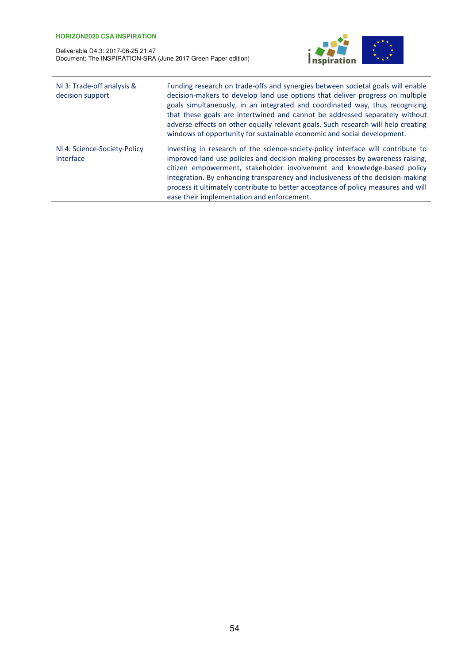

| NI 3: Trade-off analysis &<br>decision support   | Funding research on trade-offs and synergies between societal goals will enable<br>decision-makers to develop land use options that deliver progress on multiple<br>goals simultaneously, in an integrated and coordinated way, thus recognizing<br>that these goals are intertwined and cannot be addressed separately without<br>adverse effects on other equally relevant goals. Such research will help creating<br>windows of opportunity for sustainable economic and social development. |
|--------------------------------------------------|-------------------------------------------------------------------------------------------------------------------------------------------------------------------------------------------------------------------------------------------------------------------------------------------------------------------------------------------------------------------------------------------------------------------------------------------------------------------------------------------------|
| NI 4: Science-Society-Policy<br><b>Interface</b> | Investing in research of the science-society-policy interface will contribute to<br>improved land use policies and decision making processes by awareness raising,<br>citizen empowerment, stakeholder involvement and knowledge-based policy<br>integration. By enhancing transparency and inclusiveness of the decision-making<br>process it ultimately contribute to better acceptance of policy measures and will<br>ease their implementation and enforcement.                             |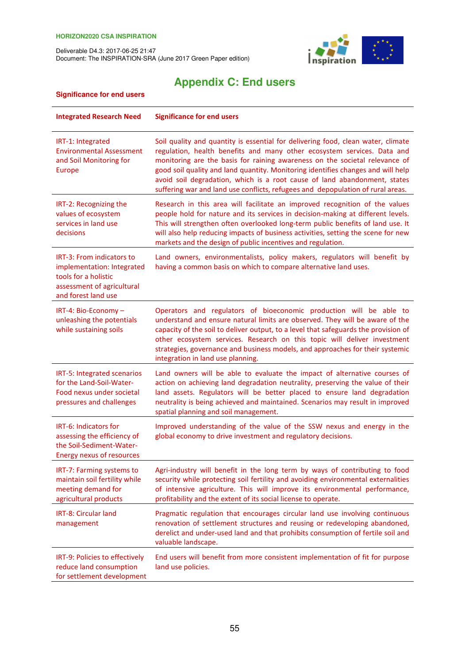**Significance for end users**

Deliverable D4.3: 2017-06-25 21:47 Document: The INSPIRATION-SRA (June 2017 Green Paper edition)



# **Appendix C: End users**

| <b>Integrated Research Need</b>                                                                                                      | <b>Significance for end users</b>                                                                                                                                                                                                                                                                                                                                                                                                                                                              |
|--------------------------------------------------------------------------------------------------------------------------------------|------------------------------------------------------------------------------------------------------------------------------------------------------------------------------------------------------------------------------------------------------------------------------------------------------------------------------------------------------------------------------------------------------------------------------------------------------------------------------------------------|
| IRT-1: Integrated<br><b>Environmental Assessment</b><br>and Soil Monitoring for<br><b>Europe</b>                                     | Soil quality and quantity is essential for delivering food, clean water, climate<br>regulation, health benefits and many other ecosystem services. Data and<br>monitoring are the basis for raining awareness on the societal relevance of<br>good soil quality and land quantity. Monitoring identifies changes and will help<br>avoid soil degradation, which is a root cause of land abandonment, states<br>suffering war and land use conflicts, refugees and depopulation of rural areas. |
| IRT-2: Recognizing the<br>values of ecosystem<br>services in land use<br>decisions                                                   | Research in this area will facilitate an improved recognition of the values<br>people hold for nature and its services in decision-making at different levels.<br>This will strengthen often overlooked long-term public benefits of land use. It<br>will also help reducing impacts of business activities, setting the scene for new<br>markets and the design of public incentives and regulation.                                                                                          |
| IRT-3: From indicators to<br>implementation: Integrated<br>tools for a holistic<br>assessment of agricultural<br>and forest land use | Land owners, environmentalists, policy makers, regulators will benefit by<br>having a common basis on which to compare alternative land uses.                                                                                                                                                                                                                                                                                                                                                  |
| IRT-4: Bio-Economy -<br>unleashing the potentials<br>while sustaining soils                                                          | Operators and regulators of bioeconomic production will be able to<br>understand and ensure natural limits are observed. They will be aware of the<br>capacity of the soil to deliver output, to a level that safeguards the provision of<br>other ecosystem services. Research on this topic will deliver investment<br>strategies, governance and business models, and approaches for their systemic<br>integration in land use planning.                                                    |
| IRT-5: Integrated scenarios<br>for the Land-Soil-Water-<br>Food nexus under societal<br>pressures and challenges                     | Land owners will be able to evaluate the impact of alternative courses of<br>action on achieving land degradation neutrality, preserving the value of their<br>land assets. Regulators will be better placed to ensure land degradation<br>neutrality is being achieved and maintained. Scenarios may result in improved<br>spatial planning and soil management.                                                                                                                              |
| IRT-6: Indicators for<br>assessing the efficiency of<br>the Soil-Sediment-Water-<br>Energy nexus of resources                        | Improved understanding of the value of the SSW nexus and energy in the<br>global economy to drive investment and regulatory decisions.                                                                                                                                                                                                                                                                                                                                                         |
| IRT-7: Farming systems to<br>maintain soil fertility while<br>meeting demand for<br>agricultural products                            | Agri-industry will benefit in the long term by ways of contributing to food<br>security while protecting soil fertility and avoiding environmental externalities<br>of intensive agriculture. This will improve its environmental performance,<br>profitability and the extent of its social license to operate.                                                                                                                                                                               |
| IRT-8: Circular land<br>management                                                                                                   | Pragmatic regulation that encourages circular land use involving continuous<br>renovation of settlement structures and reusing or redeveloping abandoned,<br>derelict and under-used land and that prohibits consumption of fertile soil and<br>valuable landscape.                                                                                                                                                                                                                            |
| IRT-9: Policies to effectively<br>reduce land consumption<br>for settlement development                                              | End users will benefit from more consistent implementation of fit for purpose<br>land use policies.                                                                                                                                                                                                                                                                                                                                                                                            |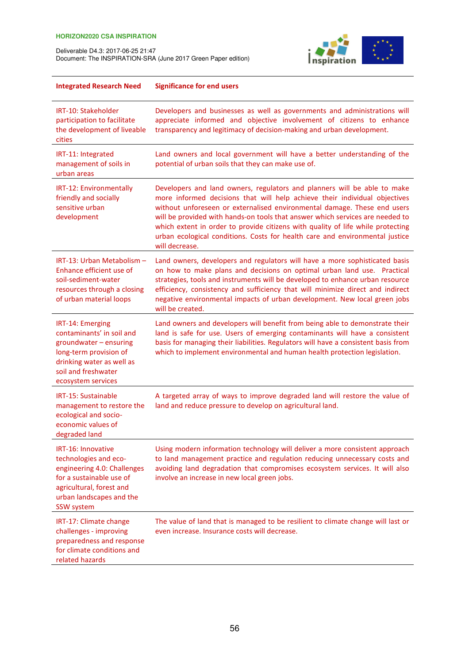

| <b>Integrated Research Need</b>                                                                                                                                              | <b>Significance for end users</b>                                                                                                                                                                                                                                                                                                                                                                                                                                                                        |
|------------------------------------------------------------------------------------------------------------------------------------------------------------------------------|----------------------------------------------------------------------------------------------------------------------------------------------------------------------------------------------------------------------------------------------------------------------------------------------------------------------------------------------------------------------------------------------------------------------------------------------------------------------------------------------------------|
| IRT-10: Stakeholder<br>participation to facilitate<br>the development of liveable<br>cities                                                                                  | Developers and businesses as well as governments and administrations will<br>appreciate informed and objective involvement of citizens to enhance<br>transparency and legitimacy of decision-making and urban development.                                                                                                                                                                                                                                                                               |
| IRT-11: Integrated<br>management of soils in<br>urban areas                                                                                                                  | Land owners and local government will have a better understanding of the<br>potential of urban soils that they can make use of.                                                                                                                                                                                                                                                                                                                                                                          |
| IRT-12: Environmentally<br>friendly and socially<br>sensitive urban<br>development                                                                                           | Developers and land owners, regulators and planners will be able to make<br>more informed decisions that will help achieve their individual objectives<br>without unforeseen or externalised environmental damage. These end users<br>will be provided with hands-on tools that answer which services are needed to<br>which extent in order to provide citizens with quality of life while protecting<br>urban ecological conditions. Costs for health care and environmental justice<br>will decrease. |
| IRT-13: Urban Metabolism -<br>Enhance efficient use of<br>soil-sediment-water<br>resources through a closing<br>of urban material loops                                      | Land owners, developers and regulators will have a more sophisticated basis<br>on how to make plans and decisions on optimal urban land use. Practical<br>strategies, tools and instruments will be developed to enhance urban resource<br>efficiency, consistency and sufficiency that will minimize direct and indirect<br>negative environmental impacts of urban development. New local green jobs<br>will be created.                                                                               |
| IRT-14: Emerging<br>contaminants' in soil and<br>groundwater - ensuring<br>long-term provision of<br>drinking water as well as<br>soil and freshwater<br>ecosystem services  | Land owners and developers will benefit from being able to demonstrate their<br>land is safe for use. Users of emerging contaminants will have a consistent<br>basis for managing their liabilities. Regulators will have a consistent basis from<br>which to implement environmental and human health protection legislation.                                                                                                                                                                           |
| IRT-15: Sustainable<br>management to restore the<br>ecological and socio-<br>economic values of<br>degraded land                                                             | A targeted array of ways to improve degraded land will restore the value of<br>land and reduce pressure to develop on agricultural land.                                                                                                                                                                                                                                                                                                                                                                 |
| IRT-16: Innovative<br>technologies and eco-<br>engineering 4.0: Challenges<br>for a sustainable use of<br>agricultural, forest and<br>urban landscapes and the<br>SSW system | Using modern information technology will deliver a more consistent approach<br>to land management practice and regulation reducing unnecessary costs and<br>avoiding land degradation that compromises ecosystem services. It will also<br>involve an increase in new local green jobs.                                                                                                                                                                                                                  |
| IRT-17: Climate change<br>challenges - improving<br>preparedness and response<br>for climate conditions and<br>related hazards                                               | The value of land that is managed to be resilient to climate change will last or<br>even increase. Insurance costs will decrease.                                                                                                                                                                                                                                                                                                                                                                        |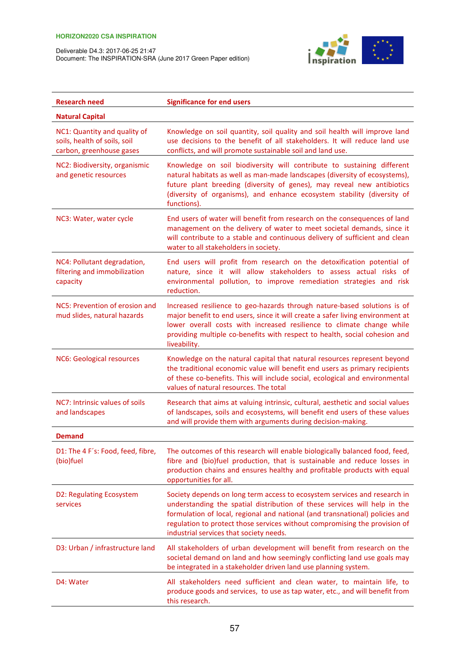| Deliverable D4.3: 2017-06-25 21:47                            |
|---------------------------------------------------------------|
| Document: The INSPIRATION-SRA (June 2017 Green Paper edition) |



| <b>Research need</b>                                                                     | <b>Significance for end users</b>                                                                                                                                                                                                                                                                                                                               |
|------------------------------------------------------------------------------------------|-----------------------------------------------------------------------------------------------------------------------------------------------------------------------------------------------------------------------------------------------------------------------------------------------------------------------------------------------------------------|
| <b>Natural Capital</b>                                                                   |                                                                                                                                                                                                                                                                                                                                                                 |
| NC1: Quantity and quality of<br>soils, health of soils, soil<br>carbon, greenhouse gases | Knowledge on soil quantity, soil quality and soil health will improve land<br>use decisions to the benefit of all stakeholders. It will reduce land use<br>conflicts, and will promote sustainable soil and land use.                                                                                                                                           |
| NC2: Biodiversity, organismic<br>and genetic resources                                   | Knowledge on soil biodiversity will contribute to sustaining different<br>natural habitats as well as man-made landscapes (diversity of ecosystems),<br>future plant breeding (diversity of genes), may reveal new antibiotics<br>(diversity of organisms), and enhance ecosystem stability (diversity of<br>functions).                                        |
| NC3: Water, water cycle                                                                  | End users of water will benefit from research on the consequences of land<br>management on the delivery of water to meet societal demands, since it<br>will contribute to a stable and continuous delivery of sufficient and clean<br>water to all stakeholders in society.                                                                                     |
| NC4: Pollutant degradation,<br>filtering and immobilization<br>capacity                  | End users will profit from research on the detoxification potential of<br>nature, since it will allow stakeholders to assess actual risks of<br>environmental pollution, to improve remediation strategies and risk<br>reduction.                                                                                                                               |
| NC5: Prevention of erosion and<br>mud slides, natural hazards                            | Increased resilience to geo-hazards through nature-based solutions is of<br>major benefit to end users, since it will create a safer living environment at<br>lower overall costs with increased resilience to climate change while<br>providing multiple co-benefits with respect to health, social cohesion and<br>liveability.                               |
| NC6: Geological resources                                                                | Knowledge on the natural capital that natural resources represent beyond<br>the traditional economic value will benefit end users as primary recipients<br>of these co-benefits. This will include social, ecological and environmental<br>values of natural resources. The total                                                                               |
| NC7: Intrinsic values of soils<br>and landscapes                                         | Research that aims at valuing intrinsic, cultural, aesthetic and social values<br>of landscapes, soils and ecosystems, will benefit end users of these values<br>and will provide them with arguments during decision-making.                                                                                                                                   |
| <b>Demand</b>                                                                            |                                                                                                                                                                                                                                                                                                                                                                 |
| D1: The 4 F's: Food, feed, fibre,<br>(bio)fuel                                           | The outcomes of this research will enable biologically balanced food, feed,<br>fibre and (bio)fuel production, that is sustainable and reduce losses in<br>production chains and ensures healthy and profitable products with equal<br>opportunities for all.                                                                                                   |
| D2: Regulating Ecosystem<br>services                                                     | Society depends on long term access to ecosystem services and research in<br>understanding the spatial distribution of these services will help in the<br>formulation of local, regional and national (and transnational) policies and<br>regulation to protect those services without compromising the provision of<br>industrial services that society needs. |
| D3: Urban / infrastructure land                                                          | All stakeholders of urban development will benefit from research on the<br>societal demand on land and how seemingly conflicting land use goals may<br>be integrated in a stakeholder driven land use planning system.                                                                                                                                          |
| D4: Water                                                                                | All stakeholders need sufficient and clean water, to maintain life, to<br>produce goods and services, to use as tap water, etc., and will benefit from<br>this research.                                                                                                                                                                                        |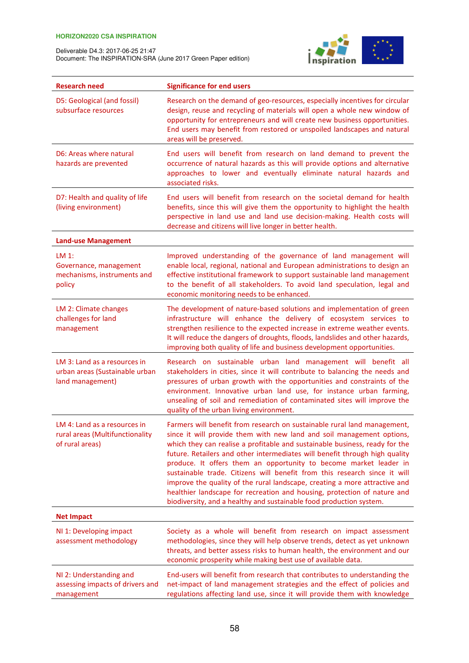| Deliverable D4.3: 2017-06-25 21:47                            |
|---------------------------------------------------------------|
| Document: The INSPIRATION-SRA (June 2017 Green Paper edition) |



| <b>Research need</b>                                                               | <b>Significance for end users</b>                                                                                                                                                                                                                                                                                                                                                                                                                                                                                                                                                                                                                                                                  |
|------------------------------------------------------------------------------------|----------------------------------------------------------------------------------------------------------------------------------------------------------------------------------------------------------------------------------------------------------------------------------------------------------------------------------------------------------------------------------------------------------------------------------------------------------------------------------------------------------------------------------------------------------------------------------------------------------------------------------------------------------------------------------------------------|
| D5: Geological (and fossil)<br>subsurface resources                                | Research on the demand of geo-resources, especially incentives for circular<br>design, reuse and recycling of materials will open a whole new window of<br>opportunity for entrepreneurs and will create new business opportunities.<br>End users may benefit from restored or unspoiled landscapes and natural<br>areas will be preserved.                                                                                                                                                                                                                                                                                                                                                        |
| D6: Areas where natural<br>hazards are prevented                                   | End users will benefit from research on land demand to prevent the<br>occurrence of natural hazards as this will provide options and alternative<br>approaches to lower and eventually eliminate natural hazards and<br>associated risks.                                                                                                                                                                                                                                                                                                                                                                                                                                                          |
| D7: Health and quality of life<br>(living environment)                             | End users will benefit from research on the societal demand for health<br>benefits, since this will give them the opportunity to highlight the health<br>perspective in land use and land use decision-making. Health costs will<br>decrease and citizens will live longer in better health.                                                                                                                                                                                                                                                                                                                                                                                                       |
| <b>Land-use Management</b>                                                         |                                                                                                                                                                                                                                                                                                                                                                                                                                                                                                                                                                                                                                                                                                    |
| LM 1:<br>Governance, management<br>mechanisms, instruments and<br>policy           | Improved understanding of the governance of land management will<br>enable local, regional, national and European administrations to design an<br>effective institutional framework to support sustainable land management<br>to the benefit of all stakeholders. To avoid land speculation, legal and<br>economic monitoring needs to be enhanced.                                                                                                                                                                                                                                                                                                                                                |
| LM 2: Climate changes<br>challenges for land<br>management                         | The development of nature-based solutions and implementation of green<br>infrastructure will enhance the delivery of ecosystem services to<br>strengthen resilience to the expected increase in extreme weather events.<br>It will reduce the dangers of droughts, floods, landslides and other hazards,<br>improving both quality of life and business development opportunities.                                                                                                                                                                                                                                                                                                                 |
| LM 3: Land as a resources in<br>urban areas (Sustainable urban<br>land management) | Research on sustainable urban land management will benefit all<br>stakeholders in cities, since it will contribute to balancing the needs and<br>pressures of urban growth with the opportunities and constraints of the<br>environment. Innovative urban land use, for instance urban farming,<br>unsealing of soil and remediation of contaminated sites will improve the<br>quality of the urban living environment.                                                                                                                                                                                                                                                                            |
| LM 4: Land as a resources in<br>rural areas (Multifunctionality<br>of rural areas) | Farmers will benefit from research on sustainable rural land management,<br>since it will provide them with new land and soil management options,<br>which they can realise a profitable and sustainable business, ready for the<br>future. Retailers and other intermediates will benefit through high quality<br>produce. It offers them an opportunity to become market leader in<br>sustainable trade. Citizens will benefit from this research since it will<br>improve the quality of the rural landscape, creating a more attractive and<br>healthier landscape for recreation and housing, protection of nature and<br>biodiversity, and a healthy and sustainable food production system. |
| <b>Net Impact</b>                                                                  |                                                                                                                                                                                                                                                                                                                                                                                                                                                                                                                                                                                                                                                                                                    |
| NI 1: Developing impact<br>assessment methodology                                  | Society as a whole will benefit from research on impact assessment<br>methodologies, since they will help observe trends, detect as yet unknown<br>threats, and better assess risks to human health, the environment and our<br>economic prosperity while making best use of available data.                                                                                                                                                                                                                                                                                                                                                                                                       |
| NI 2: Understanding and<br>assessing impacts of drivers and<br>management          | End-users will benefit from research that contributes to understanding the<br>net-impact of land management strategies and the effect of policies and<br>regulations affecting land use, since it will provide them with knowledge                                                                                                                                                                                                                                                                                                                                                                                                                                                                 |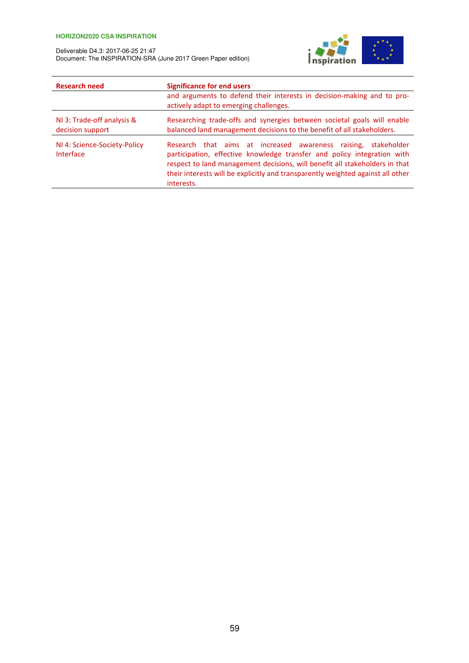

| <b>Research need</b>                           | <b>Significance for end users</b>                                                                                                                                                                                                                                                                                            |
|------------------------------------------------|------------------------------------------------------------------------------------------------------------------------------------------------------------------------------------------------------------------------------------------------------------------------------------------------------------------------------|
|                                                | and arguments to defend their interests in decision-making and to pro-<br>actively adapt to emerging challenges.                                                                                                                                                                                                             |
| NI 3: Trade-off analysis &<br>decision support | Researching trade-offs and synergies between societal goals will enable<br>balanced land management decisions to the benefit of all stakeholders.                                                                                                                                                                            |
| NI 4: Science-Society-Policy<br>Interface      | Research that aims at increased awareness raising,<br>stakeholder<br>participation, effective knowledge transfer and policy integration with<br>respect to land management decisions, will benefit all stakeholders in that<br>their interests will be explicitly and transparently weighted against all other<br>interests. |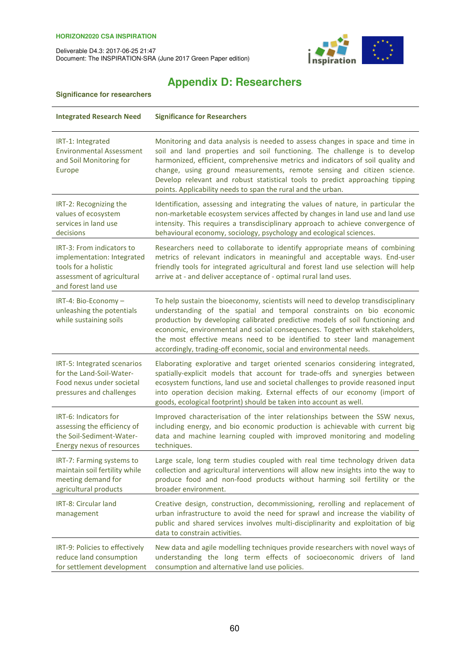**Significance for researchers** 

Deliverable D4.3: 2017-06-25 21:47 Document: The INSPIRATION-SRA (June 2017 Green Paper edition)



# **Appendix D: Researchers**

| <b>Integrated Research Need</b>                                                                                                      | <b>Significance for Researchers</b>                                                                                                                                                                                                                                                                                                                                                                                                                                          |
|--------------------------------------------------------------------------------------------------------------------------------------|------------------------------------------------------------------------------------------------------------------------------------------------------------------------------------------------------------------------------------------------------------------------------------------------------------------------------------------------------------------------------------------------------------------------------------------------------------------------------|
| IRT-1: Integrated<br><b>Environmental Assessment</b><br>and Soil Monitoring for<br>Europe                                            | Monitoring and data analysis is needed to assess changes in space and time in<br>soil and land properties and soil functioning. The challenge is to develop<br>harmonized, efficient, comprehensive metrics and indicators of soil quality and<br>change, using ground measurements, remote sensing and citizen science.<br>Develop relevant and robust statistical tools to predict approaching tipping<br>points. Applicability needs to span the rural and the urban.     |
| IRT-2: Recognizing the<br>values of ecosystem<br>services in land use<br>decisions                                                   | Identification, assessing and integrating the values of nature, in particular the<br>non-marketable ecosystem services affected by changes in land use and land use<br>intensity. This requires a transdisciplinary approach to achieve convergence of<br>behavioural economy, sociology, psychology and ecological sciences.                                                                                                                                                |
| IRT-3: From indicators to<br>implementation: Integrated<br>tools for a holistic<br>assessment of agricultural<br>and forest land use | Researchers need to collaborate to identify appropriate means of combining<br>metrics of relevant indicators in meaningful and acceptable ways. End-user<br>friendly tools for integrated agricultural and forest land use selection will help<br>arrive at - and deliver acceptance of - optimal rural land uses.                                                                                                                                                           |
| IRT-4: Bio-Economy-<br>unleashing the potentials<br>while sustaining soils                                                           | To help sustain the bioeconomy, scientists will need to develop transdisciplinary<br>understanding of the spatial and temporal constraints on bio economic<br>production by developing calibrated predictive models of soil functioning and<br>economic, environmental and social consequences. Together with stakeholders,<br>the most effective means need to be identified to steer land management<br>accordingly, trading-off economic, social and environmental needs. |
| IRT-5: Integrated scenarios<br>for the Land-Soil-Water-<br>Food nexus under societal<br>pressures and challenges                     | Elaborating explorative and target oriented scenarios considering integrated,<br>spatially-explicit models that account for trade-offs and synergies between<br>ecosystem functions, land use and societal challenges to provide reasoned input<br>into operation decision making. External effects of our economy (import of<br>goods, ecological footprint) should be taken into account as well.                                                                          |
| IRT-6: Indicators for<br>assessing the efficiency of<br>the Soil-Sediment-Water-<br>Energy nexus of resources                        | Improved characterisation of the inter relationships between the SSW nexus,<br>including energy, and bio economic production is achievable with current big<br>data and machine learning coupled with improved monitoring and modeling<br>techniques.                                                                                                                                                                                                                        |
| IRT-7: Farming systems to<br>maintain soil fertility while<br>meeting demand for<br>agricultural products                            | Large scale, long term studies coupled with real time technology driven data<br>collection and agricultural interventions will allow new insights into the way to<br>produce food and non-food products without harming soil fertility or the<br>broader environment.                                                                                                                                                                                                        |
| IRT-8: Circular land<br>management                                                                                                   | Creative design, construction, decommissioning, rerolling and replacement of<br>urban infrastructure to avoid the need for sprawl and increase the viability of<br>public and shared services involves multi-disciplinarity and exploitation of big<br>data to constrain activities.                                                                                                                                                                                         |
| IRT-9: Policies to effectively<br>reduce land consumption<br>for settlement development                                              | New data and agile modelling techniques provide researchers with novel ways of<br>understanding the long term effects of socioeconomic drivers of land<br>consumption and alternative land use policies.                                                                                                                                                                                                                                                                     |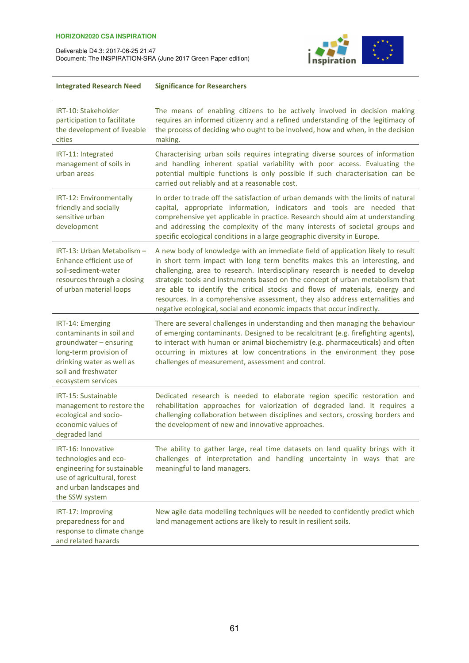

| <b>Integrated Research Need</b>                                                                                                                                            | <b>Significance for Researchers</b>                                                                                                                                                                                                                                                                                                                                                                                                                                                                                                                                          |
|----------------------------------------------------------------------------------------------------------------------------------------------------------------------------|------------------------------------------------------------------------------------------------------------------------------------------------------------------------------------------------------------------------------------------------------------------------------------------------------------------------------------------------------------------------------------------------------------------------------------------------------------------------------------------------------------------------------------------------------------------------------|
| IRT-10: Stakeholder<br>participation to facilitate<br>the development of liveable<br>cities                                                                                | The means of enabling citizens to be actively involved in decision making<br>requires an informed citizenry and a refined understanding of the legitimacy of<br>the process of deciding who ought to be involved, how and when, in the decision<br>making.                                                                                                                                                                                                                                                                                                                   |
| IRT-11: Integrated<br>management of soils in<br>urban areas                                                                                                                | Characterising urban soils requires integrating diverse sources of information<br>and handling inherent spatial variability with poor access. Evaluating the<br>potential multiple functions is only possible if such characterisation can be<br>carried out reliably and at a reasonable cost.                                                                                                                                                                                                                                                                              |
| IRT-12: Environmentally<br>friendly and socially<br>sensitive urban<br>development                                                                                         | In order to trade off the satisfaction of urban demands with the limits of natural<br>capital, appropriate information, indicators and tools are needed that<br>comprehensive yet applicable in practice. Research should aim at understanding<br>and addressing the complexity of the many interests of societal groups and<br>specific ecological conditions in a large geographic diversity in Europe.                                                                                                                                                                    |
| IRT-13: Urban Metabolism -<br>Enhance efficient use of<br>soil-sediment-water<br>resources through a closing<br>of urban material loops                                    | A new body of knowledge with an immediate field of application likely to result<br>in short term impact with long term benefits makes this an interesting, and<br>challenging, area to research. Interdisciplinary research is needed to develop<br>strategic tools and instruments based on the concept of urban metabolism that<br>are able to identify the critical stocks and flows of materials, energy and<br>resources. In a comprehensive assessment, they also address externalities and<br>negative ecological, social and economic impacts that occur indirectly. |
| IRT-14: Emerging<br>contaminants in soil and<br>groundwater - ensuring<br>long-term provision of<br>drinking water as well as<br>soil and freshwater<br>ecosystem services | There are several challenges in understanding and then managing the behaviour<br>of emerging contaminants. Designed to be recalcitrant (e.g. firefighting agents),<br>to interact with human or animal biochemistry (e.g. pharmaceuticals) and often<br>occurring in mixtures at low concentrations in the environment they pose<br>challenges of measurement, assessment and control.                                                                                                                                                                                       |
| IRT-15: Sustainable<br>management to restore the<br>ecological and socio-<br>economic values of<br>degraded land                                                           | Dedicated research is needed to elaborate region specific restoration and<br>rehabilitation approaches for valorization of degraded land. It requires a<br>challenging collaboration between disciplines and sectors, crossing borders and<br>the development of new and innovative approaches.                                                                                                                                                                                                                                                                              |
| IRT-16: Innovative<br>technologies and eco-<br>engineering for sustainable<br>use of agricultural, forest<br>and urban landscapes and<br>the SSW system                    | The ability to gather large, real time datasets on land quality brings with it<br>challenges of interpretation and handling uncertainty in ways that are<br>meaningful to land managers.                                                                                                                                                                                                                                                                                                                                                                                     |
| IRT-17: Improving<br>preparedness for and<br>response to climate change<br>and related hazards                                                                             | New agile data modelling techniques will be needed to confidently predict which<br>land management actions are likely to result in resilient soils.                                                                                                                                                                                                                                                                                                                                                                                                                          |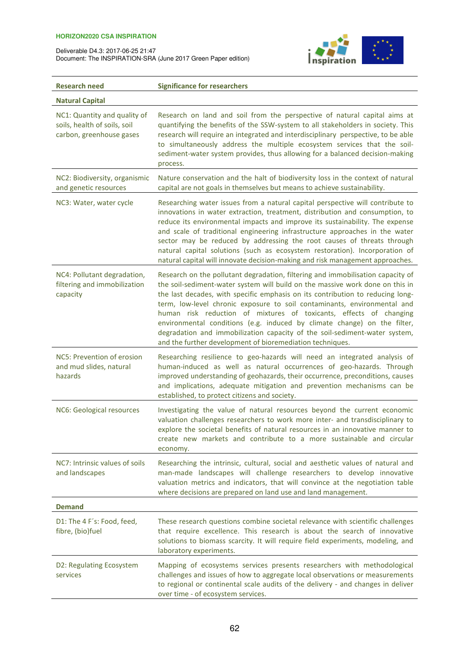

| <b>Research need</b>                                                                     | <b>Significance for researchers</b>                                                                                                                                                                                                                                                                                                                                                                                                                                                                                                                                                                                         |
|------------------------------------------------------------------------------------------|-----------------------------------------------------------------------------------------------------------------------------------------------------------------------------------------------------------------------------------------------------------------------------------------------------------------------------------------------------------------------------------------------------------------------------------------------------------------------------------------------------------------------------------------------------------------------------------------------------------------------------|
| <b>Natural Capital</b>                                                                   |                                                                                                                                                                                                                                                                                                                                                                                                                                                                                                                                                                                                                             |
| NC1: Quantity and quality of<br>soils, health of soils, soil<br>carbon, greenhouse gases | Research on land and soil from the perspective of natural capital aims at<br>quantifying the benefits of the SSW-system to all stakeholders in society. This<br>research will require an integrated and interdisciplinary perspective, to be able<br>to simultaneously address the multiple ecosystem services that the soil-<br>sediment-water system provides, thus allowing for a balanced decision-making<br>process.                                                                                                                                                                                                   |
| NC2: Biodiversity, organismic<br>and genetic resources                                   | Nature conservation and the halt of biodiversity loss in the context of natural<br>capital are not goals in themselves but means to achieve sustainability.                                                                                                                                                                                                                                                                                                                                                                                                                                                                 |
| NC3: Water, water cycle                                                                  | Researching water issues from a natural capital perspective will contribute to<br>innovations in water extraction, treatment, distribution and consumption, to<br>reduce its environmental impacts and improve its sustainability. The expense<br>and scale of traditional engineering infrastructure approaches in the water<br>sector may be reduced by addressing the root causes of threats through<br>natural capital solutions (such as ecosystem restoration). Incorporation of<br>natural capital will innovate decision-making and risk management approaches.                                                     |
| NC4: Pollutant degradation,<br>filtering and immobilization<br>capacity                  | Research on the pollutant degradation, filtering and immobilisation capacity of<br>the soil-sediment-water system will build on the massive work done on this in<br>the last decades, with specific emphasis on its contribution to reducing long-<br>term, low-level chronic exposure to soil contaminants, environmental and<br>human risk reduction of mixtures of toxicants, effects of changing<br>environmental conditions (e.g. induced by climate change) on the filter,<br>degradation and immobilization capacity of the soil-sediment-water system,<br>and the further development of bioremediation techniques. |
| NC5: Prevention of erosion<br>and mud slides, natural<br>hazards                         | Researching resilience to geo-hazards will need an integrated analysis of<br>human-induced as well as natural occurrences of geo-hazards. Through<br>improved understanding of geohazards, their occurrence, preconditions, causes<br>and implications, adequate mitigation and prevention mechanisms can be<br>established, to protect citizens and society.                                                                                                                                                                                                                                                               |
| NC6: Geological resources                                                                | Investigating the value of natural resources beyond the current economic<br>valuation challenges researchers to work more inter- and transdisciplinary to<br>explore the societal benefits of natural resources in an innovative manner to<br>create new markets and contribute to a more sustainable and circular<br>economy.                                                                                                                                                                                                                                                                                              |
| NC7: Intrinsic values of soils<br>and landscapes                                         | Researching the intrinsic, cultural, social and aesthetic values of natural and<br>man-made landscapes will challenge researchers to develop innovative<br>valuation metrics and indicators, that will convince at the negotiation table<br>where decisions are prepared on land use and land management.                                                                                                                                                                                                                                                                                                                   |
| <b>Demand</b>                                                                            |                                                                                                                                                                                                                                                                                                                                                                                                                                                                                                                                                                                                                             |
| D1: The 4 F's: Food, feed,<br>fibre, (bio)fuel                                           | These research questions combine societal relevance with scientific challenges<br>that require excellence. This research is about the search of innovative<br>solutions to biomass scarcity. It will require field experiments, modeling, and<br>laboratory experiments.                                                                                                                                                                                                                                                                                                                                                    |
| D2: Regulating Ecosystem<br>services                                                     | Mapping of ecosystems services presents researchers with methodological<br>challenges and issues of how to aggregate local observations or measurements<br>to regional or continental scale audits of the delivery - and changes in deliver<br>over time - of ecosystem services.                                                                                                                                                                                                                                                                                                                                           |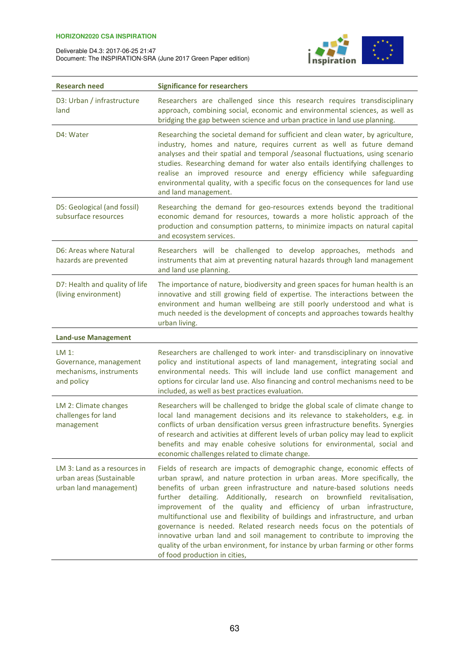

| <b>Research need</b>                                                               | <b>Significance for researchers</b>                                                                                                                                                                                                                                                                                                                                                                                                                                                                                                                                                                                                                                                                                                             |
|------------------------------------------------------------------------------------|-------------------------------------------------------------------------------------------------------------------------------------------------------------------------------------------------------------------------------------------------------------------------------------------------------------------------------------------------------------------------------------------------------------------------------------------------------------------------------------------------------------------------------------------------------------------------------------------------------------------------------------------------------------------------------------------------------------------------------------------------|
| D3: Urban / infrastructure<br>land                                                 | Researchers are challenged since this research requires transdisciplinary<br>approach, combining social, economic and environmental sciences, as well as<br>bridging the gap between science and urban practice in land use planning.                                                                                                                                                                                                                                                                                                                                                                                                                                                                                                           |
| D4: Water                                                                          | Researching the societal demand for sufficient and clean water, by agriculture,<br>industry, homes and nature, requires current as well as future demand<br>analyses and their spatial and temporal /seasonal fluctuations, using scenario<br>studies. Researching demand for water also entails identifying challenges to<br>realise an improved resource and energy efficiency while safeguarding<br>environmental quality, with a specific focus on the consequences for land use<br>and land management.                                                                                                                                                                                                                                    |
| D5: Geological (and fossil)<br>subsurface resources                                | Researching the demand for geo-resources extends beyond the traditional<br>economic demand for resources, towards a more holistic approach of the<br>production and consumption patterns, to minimize impacts on natural capital<br>and ecosystem services.                                                                                                                                                                                                                                                                                                                                                                                                                                                                                     |
| D6: Areas where Natural<br>hazards are prevented                                   | Researchers will be challenged to develop approaches, methods and<br>instruments that aim at preventing natural hazards through land management<br>and land use planning.                                                                                                                                                                                                                                                                                                                                                                                                                                                                                                                                                                       |
| D7: Health and quality of life<br>(living environment)                             | The importance of nature, biodiversity and green spaces for human health is an<br>innovative and still growing field of expertise. The interactions between the<br>environment and human wellbeing are still poorly understood and what is<br>much needed is the development of concepts and approaches towards healthy<br>urban living.                                                                                                                                                                                                                                                                                                                                                                                                        |
| <b>Land-use Management</b>                                                         |                                                                                                                                                                                                                                                                                                                                                                                                                                                                                                                                                                                                                                                                                                                                                 |
| LM 1:<br>Governance, management<br>mechanisms, instruments<br>and policy           | Researchers are challenged to work inter- and transdisciplinary on innovative<br>policy and institutional aspects of land management, integrating social and<br>environmental needs. This will include land use conflict management and<br>options for circular land use. Also financing and control mechanisms need to be<br>included, as well as best practices evaluation.                                                                                                                                                                                                                                                                                                                                                                   |
| LM 2: Climate changes<br>challenges for land<br>management                         | Researchers will be challenged to bridge the global scale of climate change to<br>local land management decisions and its relevance to stakeholders, e.g. in<br>conflicts of urban densification versus green infrastructure benefits. Synergies<br>of research and activities at different levels of urban policy may lead to explicit<br>benefits and may enable cohesive solutions for environmental, social and<br>economic challenges related to climate change.                                                                                                                                                                                                                                                                           |
| LM 3: Land as a resources in<br>urban areas (Sustainable<br>urban land management) | Fields of research are impacts of demographic change, economic effects of<br>urban sprawl, and nature protection in urban areas. More specifically, the<br>benefits of urban green infrastructure and nature-based solutions needs<br>further detailing. Additionally, research on brownfield revitalisation,<br>improvement of the quality and efficiency of urban infrastructure,<br>multifunctional use and flexibility of buildings and infrastructure, and urban<br>governance is needed. Related research needs focus on the potentials of<br>innovative urban land and soil management to contribute to improving the<br>quality of the urban environment, for instance by urban farming or other forms<br>of food production in cities, |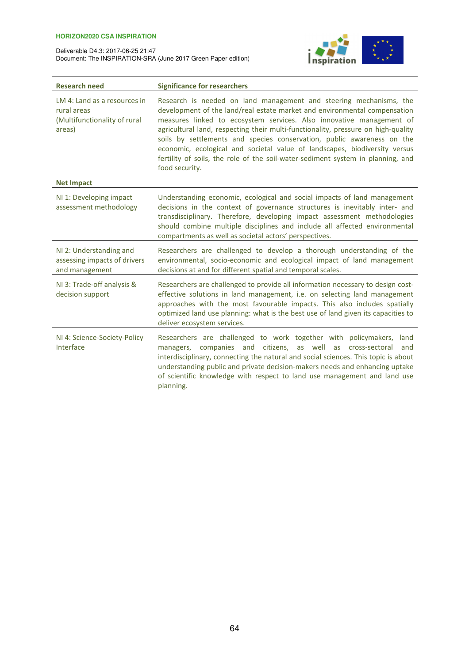

| <b>Research need</b>                                                                  | <b>Significance for researchers</b>                                                                                                                                                                                                                                                                                                                                                                                                                                                                                                                                       |
|---------------------------------------------------------------------------------------|---------------------------------------------------------------------------------------------------------------------------------------------------------------------------------------------------------------------------------------------------------------------------------------------------------------------------------------------------------------------------------------------------------------------------------------------------------------------------------------------------------------------------------------------------------------------------|
| LM 4: Land as a resources in<br>rural areas<br>(Multifunctionality of rural<br>areas) | Research is needed on land management and steering mechanisms, the<br>development of the land/real estate market and environmental compensation<br>measures linked to ecosystem services. Also innovative management of<br>agricultural land, respecting their multi-functionality, pressure on high-quality<br>soils by settlements and species conservation, public awareness on the<br>economic, ecological and societal value of landscapes, biodiversity versus<br>fertility of soils, the role of the soil-water-sediment system in planning, and<br>food security. |
| <b>Net Impact</b>                                                                     |                                                                                                                                                                                                                                                                                                                                                                                                                                                                                                                                                                           |
| NI 1: Developing impact<br>assessment methodology                                     | Understanding economic, ecological and social impacts of land management<br>decisions in the context of governance structures is inevitably inter- and<br>transdisciplinary. Therefore, developing impact assessment methodologies<br>should combine multiple disciplines and include all affected environmental<br>compartments as well as societal actors' perspectives.                                                                                                                                                                                                |
| NI 2: Understanding and<br>assessing impacts of drivers<br>and management             | Researchers are challenged to develop a thorough understanding of the<br>environmental, socio-economic and ecological impact of land management<br>decisions at and for different spatial and temporal scales.                                                                                                                                                                                                                                                                                                                                                            |
| NI 3: Trade-off analysis &<br>decision support                                        | Researchers are challenged to provide all information necessary to design cost-<br>effective solutions in land management, i.e. on selecting land management<br>approaches with the most favourable impacts. This also includes spatially<br>optimized land use planning: what is the best use of land given its capacities to<br>deliver ecosystem services.                                                                                                                                                                                                             |
| NI 4: Science-Society-Policy<br>Interface                                             | Researchers are challenged to work together with policymakers, land<br>companies and citizens, as well as cross-sectoral<br>and<br>managers,<br>interdisciplinary, connecting the natural and social sciences. This topic is about<br>understanding public and private decision-makers needs and enhancing uptake<br>of scientific knowledge with respect to land use management and land use<br>planning.                                                                                                                                                                |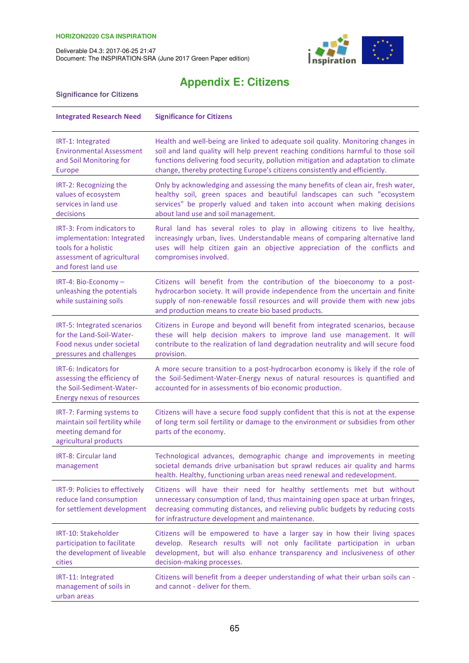**Significance for Citizens** 

Deliverable D4.3: 2017-06-25 21:47 Document: The INSPIRATION-SRA (June 2017 Green Paper edition)



# **Appendix E: Citizens**

| <b>Integrated Research Need</b>                                                                                                             | <b>Significance for Citizens</b>                                                                                                                                                                                                                                                                                                          |
|---------------------------------------------------------------------------------------------------------------------------------------------|-------------------------------------------------------------------------------------------------------------------------------------------------------------------------------------------------------------------------------------------------------------------------------------------------------------------------------------------|
| IRT-1: Integrated<br><b>Environmental Assessment</b><br>and Soil Monitoring for<br><b>Europe</b>                                            | Health and well-being are linked to adequate soil quality. Monitoring changes in<br>soil and land quality will help prevent reaching conditions harmful to those soil<br>functions delivering food security, pollution mitigation and adaptation to climate<br>change, thereby protecting Europe's citizens consistently and efficiently. |
| IRT-2: Recognizing the<br>values of ecosystem<br>services in land use<br>decisions                                                          | Only by acknowledging and assessing the many benefits of clean air, fresh water,<br>healthy soil, green spaces and beautiful landscapes can such "ecosystem<br>services" be properly valued and taken into account when making decisions<br>about land use and soil management.                                                           |
| <b>IRT-3: From indicators to</b><br>implementation: Integrated<br>tools for a holistic<br>assessment of agricultural<br>and forest land use | Rural land has several roles to play in allowing citizens to live healthy,<br>increasingly urban, lives. Understandable means of comparing alternative land<br>uses will help citizen gain an objective appreciation of the conflicts and<br>compromises involved.                                                                        |
| IRT-4: Bio-Economy -<br>unleashing the potentials<br>while sustaining soils                                                                 | Citizens will benefit from the contribution of the bioeconomy to a post-<br>hydrocarbon society. It will provide independence from the uncertain and finite<br>supply of non-renewable fossil resources and will provide them with new jobs<br>and production means to create bio based products.                                         |
| IRT-5: Integrated scenarios<br>for the Land-Soil-Water-<br>Food nexus under societal<br>pressures and challenges                            | Citizens in Europe and beyond will benefit from integrated scenarios, because<br>these will help decision makers to improve land use management. It will<br>contribute to the realization of land degradation neutrality and will secure food<br>provision.                                                                               |
| IRT-6: Indicators for<br>assessing the efficiency of<br>the Soil-Sediment-Water-<br><b>Energy nexus of resources</b>                        | A more secure transition to a post-hydrocarbon economy is likely if the role of<br>the Soil-Sediment-Water-Energy nexus of natural resources is quantified and<br>accounted for in assessments of bio economic production.                                                                                                                |
| IRT-7: Farming systems to<br>maintain soil fertility while<br>meeting demand for<br>agricultural products                                   | Citizens will have a secure food supply confident that this is not at the expense<br>of long term soil fertility or damage to the environment or subsidies from other<br>parts of the economy.                                                                                                                                            |
| IRT-8: Circular land<br>management                                                                                                          | Technological advances, demographic change and improvements in meeting<br>societal demands drive urbanisation but sprawl reduces air quality and harms<br>health. Healthy, functioning urban areas need renewal and redevelopment.                                                                                                        |
| IRT-9: Policies to effectively<br>reduce land consumption<br>for settlement development                                                     | Citizens will have their need for healthy settlements met but without<br>unnecessary consumption of land, thus maintaining open space at urban fringes,<br>decreasing commuting distances, and relieving public budgets by reducing costs<br>for infrastructure development and maintenance.                                              |
| IRT-10: Stakeholder<br>participation to facilitate<br>the development of liveable<br>cities                                                 | Citizens will be empowered to have a larger say in how their living spaces<br>develop. Research results will not only facilitate participation in urban<br>development, but will also enhance transparency and inclusiveness of other<br>decision-making processes.                                                                       |
| IRT-11: Integrated<br>management of soils in<br>urban areas                                                                                 | Citizens will benefit from a deeper understanding of what their urban soils can -<br>and cannot - deliver for them.                                                                                                                                                                                                                       |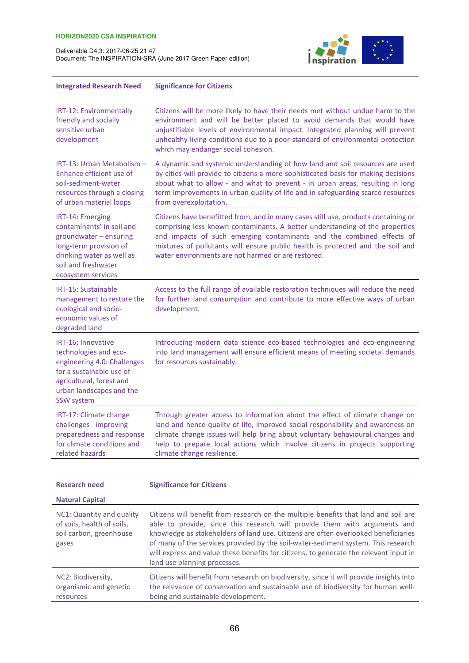

| <b>Integrated Research Need</b>                                                                                                                                                     | <b>Significance for Citizens</b>                                                                                                                                                                                                                                                                                                                                                    |
|-------------------------------------------------------------------------------------------------------------------------------------------------------------------------------------|-------------------------------------------------------------------------------------------------------------------------------------------------------------------------------------------------------------------------------------------------------------------------------------------------------------------------------------------------------------------------------------|
| IRT-12: Environmentally<br>friendly and socially<br>sensitive urban<br>development                                                                                                  | Citizens will be more likely to have their needs met without undue harm to the<br>environment and will be better placed to avoid demands that would have<br>unjustifiable levels of environmental impact. Integrated planning will prevent<br>unhealthy living conditions due to a poor standard of environmental protection<br>which may endanger social cohesion.                 |
| IRT-13: Urban Metabolism -<br>Enhance efficient use of<br>soil-sediment-water<br>resources through a closing<br>of urban material loops                                             | A dynamic and systemic understanding of how land and soil resources are used<br>by cities will provide to citizens a more sophisticated basis for making decisions<br>about what to allow - and what to prevent - in urban areas, resulting in long<br>term improvements in urban quality of life and in safeguarding scarce resources<br>from overexploitation.                    |
| IRT-14: Emerging<br>contaminants' in soil and<br>groundwater - ensuring<br>long-term provision of<br>drinking water as well as<br>soil and freshwater<br>ecosystem services         | Citizens have benefitted from, and in many cases still use, products containing or<br>comprising less known contaminants. A better understanding of the properties<br>and impacts of such emerging contaminants and the combined effects of<br>mixtures of pollutants will ensure public health is protected and the soil and<br>water environments are not harmed or are restored. |
| IRT-15: Sustainable<br>management to restore the<br>ecological and socio-<br>economic values of<br>degraded land                                                                    | Access to the full range of available restoration techniques will reduce the need<br>for further land consumption and contribute to more effective ways of urban<br>development.                                                                                                                                                                                                    |
| IRT-16: Innovative<br>technologies and eco-<br>engineering 4.0: Challenges<br>for a sustainable use of<br>agricultural, forest and<br>urban landscapes and the<br><b>SSW system</b> | Introducing modern data science eco-based technologies and eco-engineering<br>into land management will ensure efficient means of meeting societal demands<br>for resources sustainably.                                                                                                                                                                                            |
| IRT-17: Climate change<br>challenges - improving<br>preparedness and response<br>for climate conditions and<br>related hazards                                                      | Through greater access to information about the effect of climate change on<br>land and hence quality of life, improved social responsibility and awareness on<br>climate change issues will help bring about voluntary behavioural changes and<br>help to prepare local actions which involve citizens in projects supporting<br>climate change resilience.                        |

| <b>Research need</b>                                                                        | <b>Significance for Citizens</b>                                                                                                                                                                                                                                                                                                                                                                                                                                     |
|---------------------------------------------------------------------------------------------|----------------------------------------------------------------------------------------------------------------------------------------------------------------------------------------------------------------------------------------------------------------------------------------------------------------------------------------------------------------------------------------------------------------------------------------------------------------------|
| <b>Natural Capital</b>                                                                      |                                                                                                                                                                                                                                                                                                                                                                                                                                                                      |
| NC1: Quantity and quality<br>of soils, health of soils,<br>soil carbon, greenhouse<br>gases | Citizens will benefit from research on the multiple benefits that land and soil are<br>able to provide, since this research will provide them with arguments and<br>knowledge as stakeholders of land use. Citizens are often overlooked beneficiaries<br>of many of the services provided by the soil-water-sediment system. This research<br>will express and value these benefits for citizens, to generate the relevant input in<br>land use planning processes. |
| NC2: Biodiversity,<br>organismic and genetic<br>resources                                   | Citizens will benefit from research on biodiversity, since it will provide insights into<br>the relevance of conservation and sustainable use of biodiversity for human well-<br>being and sustainable development.                                                                                                                                                                                                                                                  |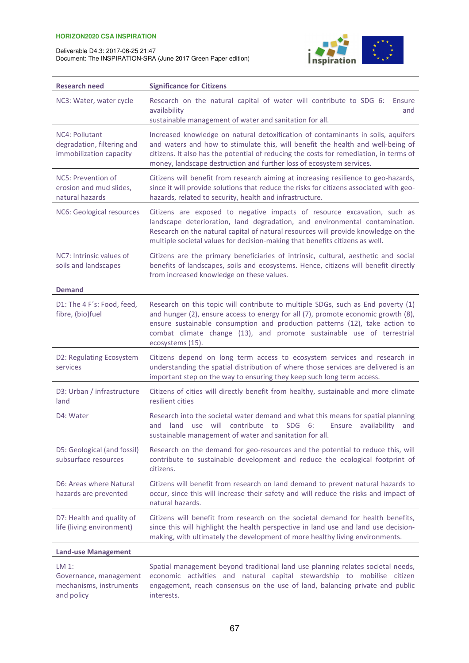| Deliverable D4.3: 2017-06-25 21:47                            |
|---------------------------------------------------------------|
| Document: The INSPIRATION-SRA (June 2017 Green Paper edition) |



| <b>Research need</b>                                                     | <b>Significance for Citizens</b>                                                                                                                                                                                                                                                                                                                   |
|--------------------------------------------------------------------------|----------------------------------------------------------------------------------------------------------------------------------------------------------------------------------------------------------------------------------------------------------------------------------------------------------------------------------------------------|
| NC3: Water, water cycle                                                  | Research on the natural capital of water will contribute to SDG 6:<br>Ensure<br>availability<br>and<br>sustainable management of water and sanitation for all.                                                                                                                                                                                     |
| NC4: Pollutant<br>degradation, filtering and<br>immobilization capacity  | Increased knowledge on natural detoxification of contaminants in soils, aquifers<br>and waters and how to stimulate this, will benefit the health and well-being of<br>citizens. It also has the potential of reducing the costs for remediation, in terms of<br>money, landscape destruction and further loss of ecosystem services.              |
| NC5: Prevention of<br>erosion and mud slides,<br>natural hazards         | Citizens will benefit from research aiming at increasing resilience to geo-hazards,<br>since it will provide solutions that reduce the risks for citizens associated with geo-<br>hazards, related to security, health and infrastructure.                                                                                                         |
| NC6: Geological resources                                                | Citizens are exposed to negative impacts of resource excavation, such as<br>landscape deterioration, land degradation, and environmental contamination.<br>Research on the natural capital of natural resources will provide knowledge on the<br>multiple societal values for decision-making that benefits citizens as well.                      |
| NC7: Intrinsic values of<br>soils and landscapes                         | Citizens are the primary beneficiaries of intrinsic, cultural, aesthetic and social<br>benefits of landscapes, soils and ecosystems. Hence, citizens will benefit directly<br>from increased knowledge on these values.                                                                                                                            |
| <b>Demand</b>                                                            |                                                                                                                                                                                                                                                                                                                                                    |
| D1: The 4 F's: Food, feed,<br>fibre, (bio)fuel                           | Research on this topic will contribute to multiple SDGs, such as End poverty (1)<br>and hunger (2), ensure access to energy for all (7), promote economic growth (8),<br>ensure sustainable consumption and production patterns (12), take action to<br>combat climate change (13), and promote sustainable use of terrestrial<br>ecosystems (15). |
| D2: Regulating Ecosystem<br>services                                     | Citizens depend on long term access to ecosystem services and research in<br>understanding the spatial distribution of where those services are delivered is an<br>important step on the way to ensuring they keep such long term access.                                                                                                          |
| D3: Urban / infrastructure<br>land                                       | Citizens of cities will directly benefit from healthy, sustainable and more climate<br>resilient cities                                                                                                                                                                                                                                            |
| D4: Water                                                                | Research into the societal water demand and what this means for spatial planning<br>use will contribute to SDG 6:<br>and land<br>Ensure availability and<br>sustainable management of water and sanitation for all.                                                                                                                                |
| D5: Geological (and fossil)<br>subsurface resources                      | Research on the demand for geo-resources and the potential to reduce this, will<br>contribute to sustainable development and reduce the ecological footprint of<br>citizens.                                                                                                                                                                       |
| D6: Areas where Natural<br>hazards are prevented                         | Citizens will benefit from research on land demand to prevent natural hazards to<br>occur, since this will increase their safety and will reduce the risks and impact of<br>natural hazards.                                                                                                                                                       |
| D7: Health and quality of<br>life (living environment)                   | Citizens will benefit from research on the societal demand for health benefits,<br>since this will highlight the health perspective in land use and land use decision-<br>making, with ultimately the development of more healthy living environments.                                                                                             |
| <b>Land-use Management</b>                                               |                                                                                                                                                                                                                                                                                                                                                    |
| LM 1:<br>Governance, management<br>mechanisms, instruments<br>and policy | Spatial management beyond traditional land use planning relates societal needs,<br>economic activities and natural capital stewardship to mobilise citizen<br>engagement, reach consensus on the use of land, balancing private and public<br>interests.                                                                                           |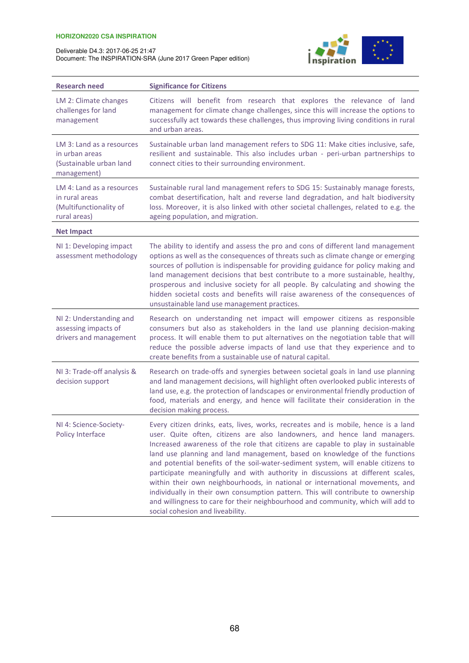| Deliverable D4.3: 2017-06-25 21:47                            |
|---------------------------------------------------------------|
| Document: The INSPIRATION-SRA (June 2017 Green Paper edition) |



| <b>Research need</b>                                                                  | <b>Significance for Citizens</b>                                                                                                                                                                                                                                                                                                                                                                                                                                                                                                                                                                                                                                                                                                                                                                      |
|---------------------------------------------------------------------------------------|-------------------------------------------------------------------------------------------------------------------------------------------------------------------------------------------------------------------------------------------------------------------------------------------------------------------------------------------------------------------------------------------------------------------------------------------------------------------------------------------------------------------------------------------------------------------------------------------------------------------------------------------------------------------------------------------------------------------------------------------------------------------------------------------------------|
| LM 2: Climate changes<br>challenges for land<br>management                            | Citizens will benefit from research that explores the relevance of land<br>management for climate change challenges, since this will increase the options to<br>successfully act towards these challenges, thus improving living conditions in rural<br>and urban areas.                                                                                                                                                                                                                                                                                                                                                                                                                                                                                                                              |
| LM 3: Land as a resources<br>in urban areas<br>(Sustainable urban land<br>management) | Sustainable urban land management refers to SDG 11: Make cities inclusive, safe,<br>resilient and sustainable. This also includes urban - peri-urban partnerships to<br>connect cities to their surrounding environment.                                                                                                                                                                                                                                                                                                                                                                                                                                                                                                                                                                              |
| LM 4: Land as a resources<br>in rural areas<br>(Multifunctionality of<br>rural areas) | Sustainable rural land management refers to SDG 15: Sustainably manage forests,<br>combat desertification, halt and reverse land degradation, and halt biodiversity<br>loss. Moreover, it is also linked with other societal challenges, related to e.g. the<br>ageing population, and migration.                                                                                                                                                                                                                                                                                                                                                                                                                                                                                                     |
| <b>Net Impact</b>                                                                     |                                                                                                                                                                                                                                                                                                                                                                                                                                                                                                                                                                                                                                                                                                                                                                                                       |
| NI 1: Developing impact<br>assessment methodology                                     | The ability to identify and assess the pro and cons of different land management<br>options as well as the consequences of threats such as climate change or emerging<br>sources of pollution is indispensable for providing guidance for policy making and<br>land management decisions that best contribute to a more sustainable, healthy,<br>prosperous and inclusive society for all people. By calculating and showing the<br>hidden societal costs and benefits will raise awareness of the consequences of<br>unsustainable land use management practices.                                                                                                                                                                                                                                    |
| NI 2: Understanding and<br>assessing impacts of<br>drivers and management             | Research on understanding net impact will empower citizens as responsible<br>consumers but also as stakeholders in the land use planning decision-making<br>process. It will enable them to put alternatives on the negotiation table that will<br>reduce the possible adverse impacts of land use that they experience and to<br>create benefits from a sustainable use of natural capital.                                                                                                                                                                                                                                                                                                                                                                                                          |
| NI 3: Trade-off analysis &<br>decision support                                        | Research on trade-offs and synergies between societal goals in land use planning<br>and land management decisions, will highlight often overlooked public interests of<br>land use, e.g. the protection of landscapes or environmental friendly production of<br>food, materials and energy, and hence will facilitate their consideration in the<br>decision making process.                                                                                                                                                                                                                                                                                                                                                                                                                         |
| NI 4: Science-Society-<br><b>Policy Interface</b>                                     | Every citizen drinks, eats, lives, works, recreates and is mobile, hence is a land<br>user. Quite often, citizens are also landowners, and hence land managers.<br>Increased awareness of the role that citizens are capable to play in sustainable<br>land use planning and land management, based on knowledge of the functions<br>and potential benefits of the soil-water-sediment system, will enable citizens to<br>participate meaningfully and with authority in discussions at different scales,<br>within their own neighbourhoods, in national or international movements, and<br>individually in their own consumption pattern. This will contribute to ownership<br>and willingness to care for their neighbourhood and community, which will add to<br>social cohesion and liveability. |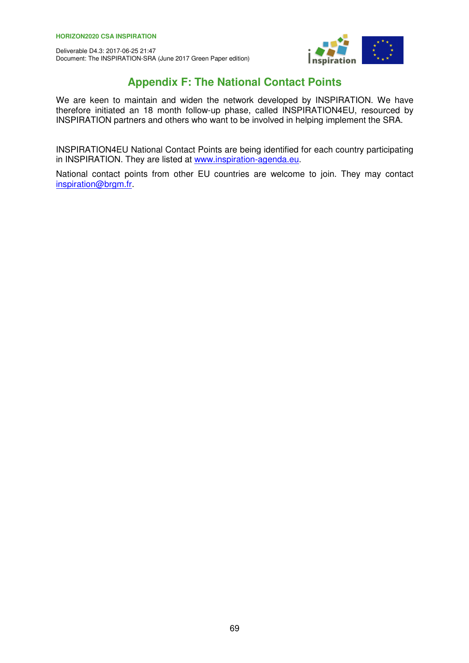

# **Appendix F: The National Contact Points**

We are keen to maintain and widen the network developed by INSPIRATION. We have therefore initiated an 18 month follow-up phase, called INSPIRATION4EU, resourced by INSPIRATION partners and others who want to be involved in helping implement the SRA.

INSPIRATION4EU National Contact Points are being identified for each country participating in INSPIRATION. They are listed at www.inspiration-agenda.eu.

National contact points from other EU countries are welcome to join. They may contact inspiration@brgm.fr.